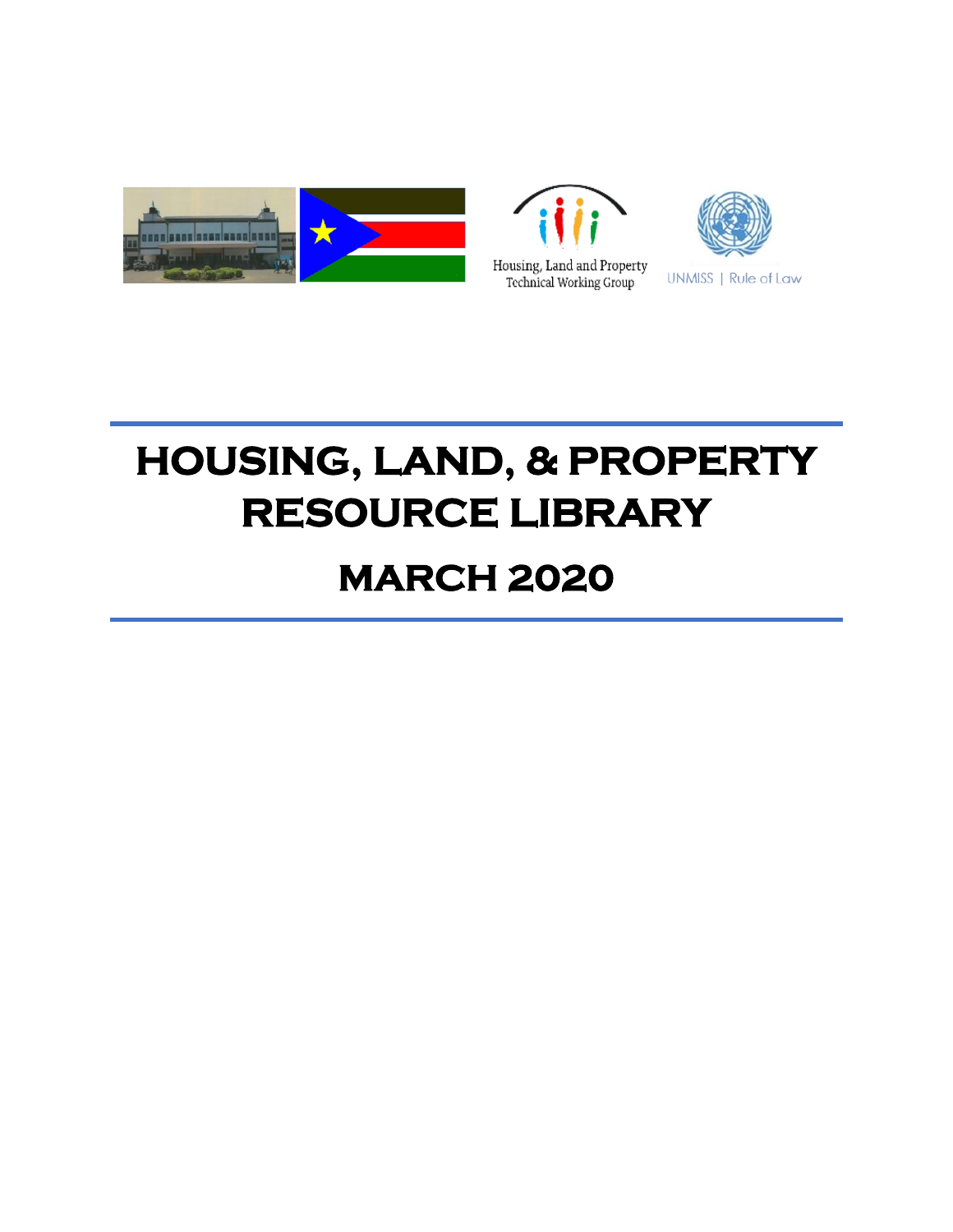





# **HOUSING, LAND, & PROPERTY RESOURCE LIBRARY**

# **MARCH 2020**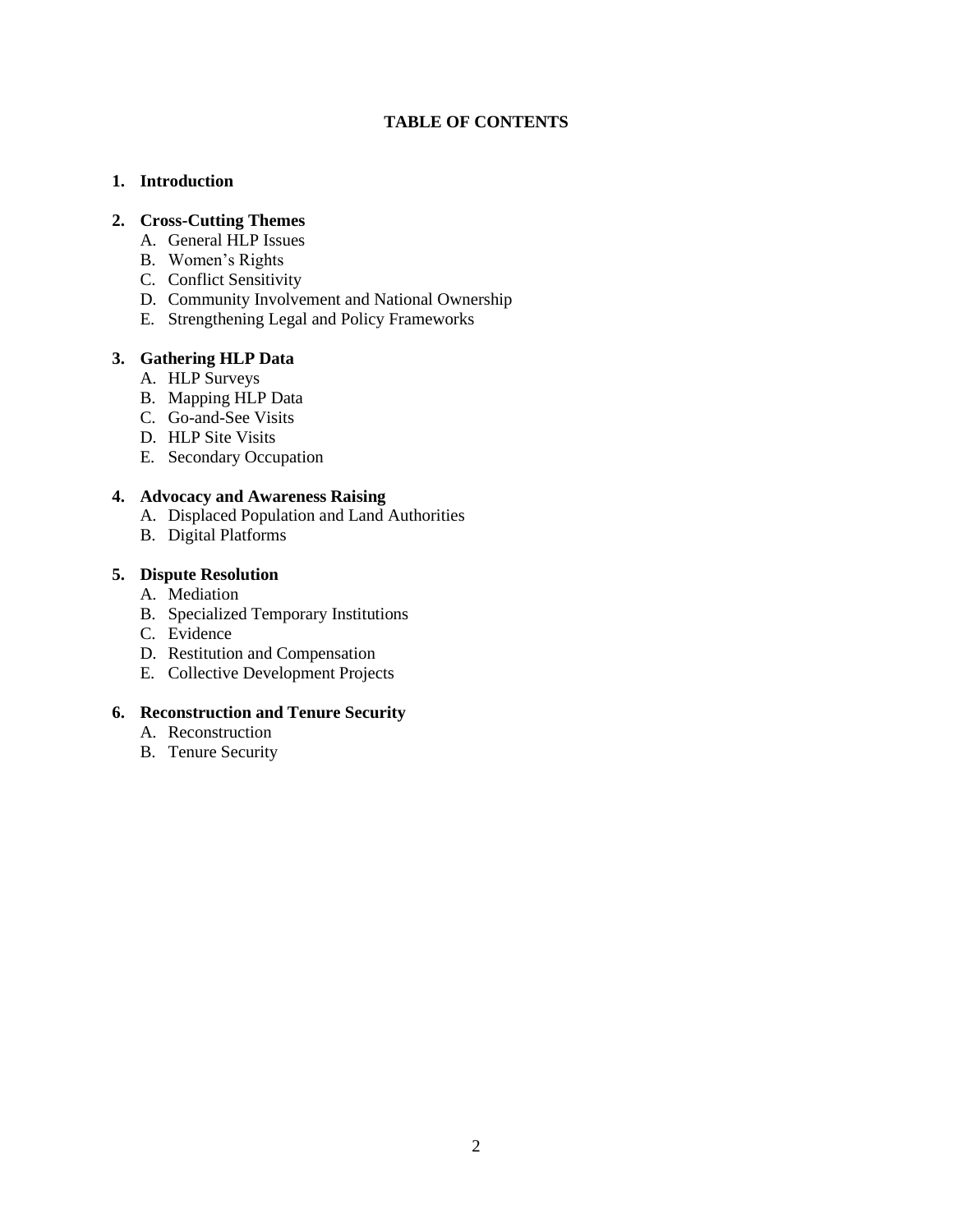#### **TABLE OF CONTENTS**

#### **1. Introduction**

#### **2. Cross-Cutting Themes**

- A. General HLP Issues
- B. Women's Rights
- C. Conflict Sensitivity
- D. Community Involvement and National Ownership
- E. Strengthening Legal and Policy Frameworks

#### **3. Gathering HLP Data**

- A. HLP Surveys
- B. Mapping HLP Data
- C. Go-and-See Visits
- D. HLP Site Visits
- E. Secondary Occupation

#### **4. Advocacy and Awareness Raising**

- A. Displaced Population and Land Authorities
- B. Digital Platforms

# **5. Dispute Resolution**

- A. Mediation
- B. Specialized Temporary Institutions
- C. Evidence
- D. Restitution and Compensation
- E. Collective Development Projects

#### **6. Reconstruction and Tenure Security**

- A. Reconstruction
- B. Tenure Security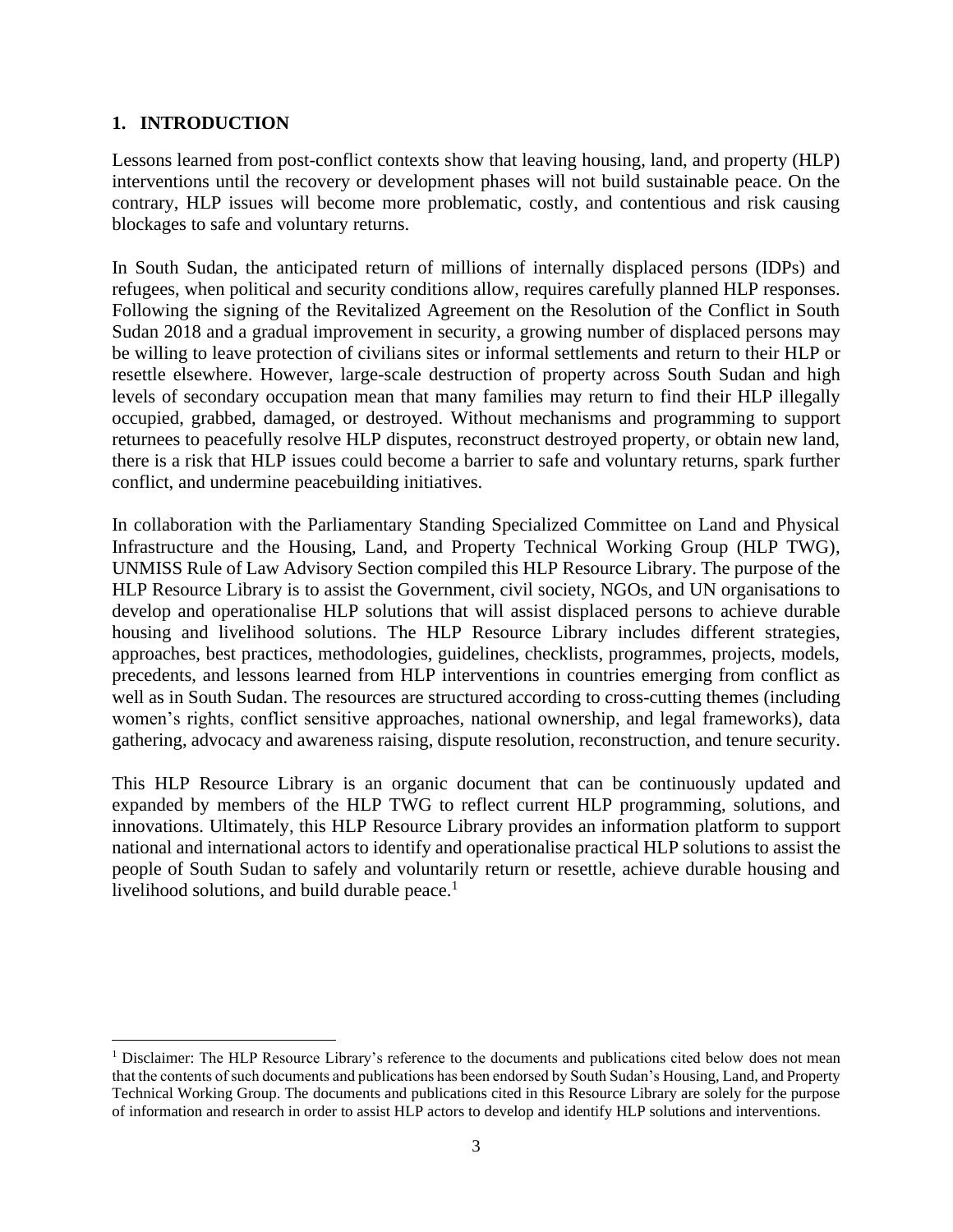# **1. INTRODUCTION**

Lessons learned from post-conflict contexts show that leaving housing, land, and property (HLP) interventions until the recovery or development phases will not build sustainable peace. On the contrary, HLP issues will become more problematic, costly, and contentious and risk causing blockages to safe and voluntary returns.

In South Sudan, the anticipated return of millions of internally displaced persons (IDPs) and refugees, when political and security conditions allow, requires carefully planned HLP responses. Following the signing of the Revitalized Agreement on the Resolution of the Conflict in South Sudan 2018 and a gradual improvement in security, a growing number of displaced persons may be willing to leave protection of civilians sites or informal settlements and return to their HLP or resettle elsewhere. However, large-scale destruction of property across South Sudan and high levels of secondary occupation mean that many families may return to find their HLP illegally occupied, grabbed, damaged, or destroyed. Without mechanisms and programming to support returnees to peacefully resolve HLP disputes, reconstruct destroyed property, or obtain new land, there is a risk that HLP issues could become a barrier to safe and voluntary returns, spark further conflict, and undermine peacebuilding initiatives.

In collaboration with the Parliamentary Standing Specialized Committee on Land and Physical Infrastructure and the Housing, Land, and Property Technical Working Group (HLP TWG), UNMISS Rule of Law Advisory Section compiled this HLP Resource Library. The purpose of the HLP Resource Library is to assist the Government, civil society, NGOs, and UN organisations to develop and operationalise HLP solutions that will assist displaced persons to achieve durable housing and livelihood solutions. The HLP Resource Library includes different strategies, approaches, best practices, methodologies, guidelines, checklists, programmes, projects, models, precedents, and lessons learned from HLP interventions in countries emerging from conflict as well as in South Sudan. The resources are structured according to cross-cutting themes (including women's rights, conflict sensitive approaches, national ownership, and legal frameworks), data gathering, advocacy and awareness raising, dispute resolution, reconstruction, and tenure security.

This HLP Resource Library is an organic document that can be continuously updated and expanded by members of the HLP TWG to reflect current HLP programming, solutions, and innovations. Ultimately, this HLP Resource Library provides an information platform to support national and international actors to identify and operationalise practical HLP solutions to assist the people of South Sudan to safely and voluntarily return or resettle, achieve durable housing and livelihood solutions, and build durable peace. $<sup>1</sup>$ </sup>

<sup>&</sup>lt;sup>1</sup> Disclaimer: The HLP Resource Library's reference to the documents and publications cited below does not mean that the contents of such documents and publications has been endorsed by South Sudan's Housing, Land, and Property Technical Working Group. The documents and publications cited in this Resource Library are solely for the purpose of information and research in order to assist HLP actors to develop and identify HLP solutions and interventions.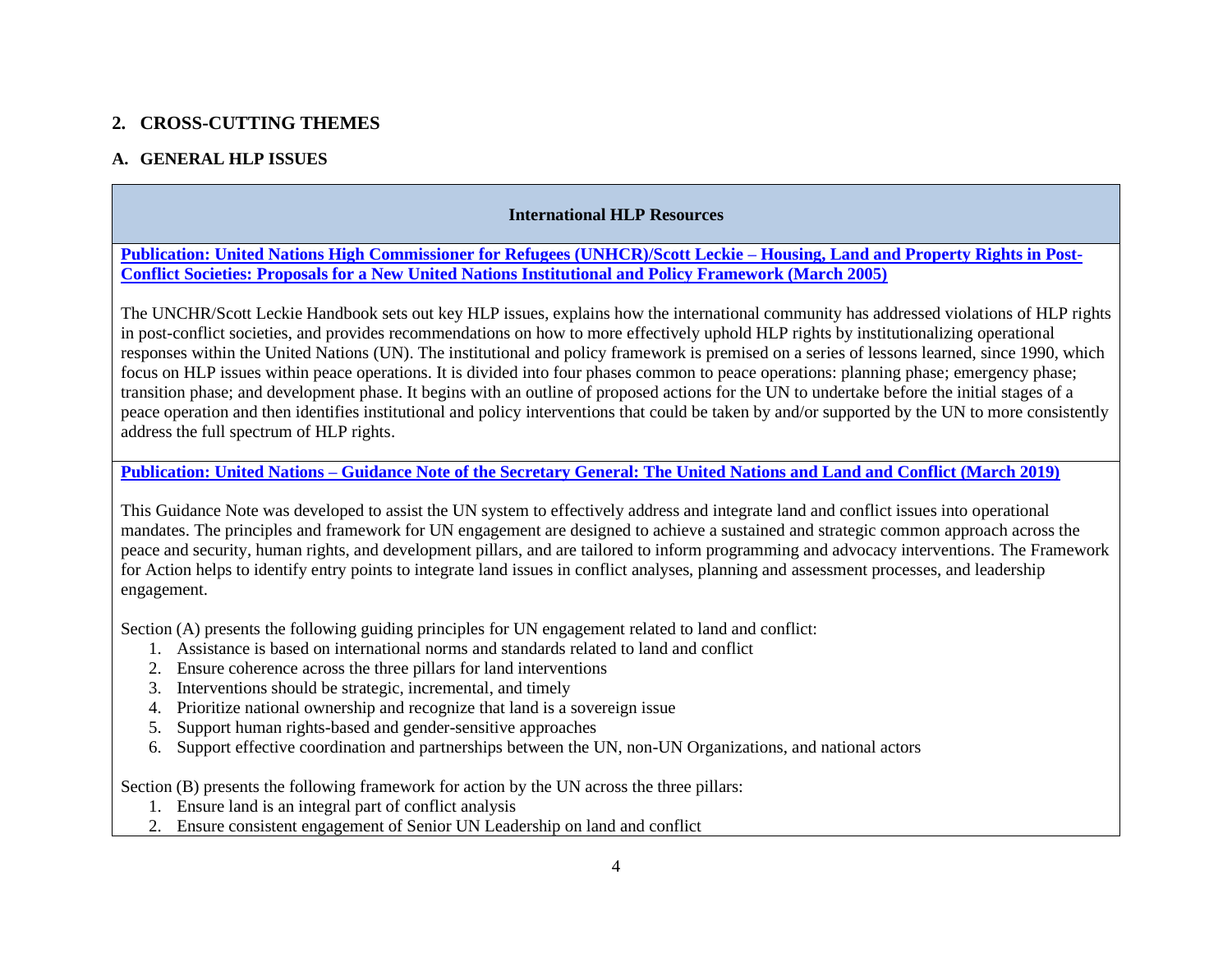# **2. CROSS-CUTTING THEMES**

# **A. GENERAL HLP ISSUES**

# **International HLP Resources**

**[Publication: United Nations High Commissioner for Refugees \(UNHCR\)/Scott Leckie –](https://gltn.net/2016/10/11/designing-and-evaluating-land-tools-with-a-gender-perspective-2011/) Housing, Land and Property Rights in Post-[Conflict Societies: Proposals for a New United Nations Institutional and Policy Framework \(March 2005\)](https://gltn.net/2016/10/11/designing-and-evaluating-land-tools-with-a-gender-perspective-2011/)**

The UNCHR/Scott Leckie Handbook sets out key HLP issues, explains how the international community has addressed violations of HLP rights in post-conflict societies, and provides recommendations on how to more effectively uphold HLP rights by institutionalizing operational responses within the United Nations (UN). The institutional and policy framework is premised on a series of lessons learned, since 1990, which focus on HLP issues within peace operations. It is divided into four phases common to peace operations: planning phase; emergency phase; transition phase; and development phase. It begins with an outline of proposed actions for the UN to undertake before the initial stages of a peace operation and then identifies institutional and policy interventions that could be taken by and/or supported by the UN to more consistently address the full spectrum of HLP rights.

# **Publication: United Nations – [Guidance Note of the Secretary General: The United Nations and Land and Conflict \(March 2019\)](https://gltn.net/2019/03/15/guidance-note-of-the-secretary-general-the-united-nations-and-land-and-conflict-march-2019/)**

This Guidance Note was developed to assist the UN system to effectively address and integrate land and conflict issues into operational mandates. The principles and framework for UN engagement are designed to achieve a sustained and strategic common approach across the peace and security, human rights, and development pillars, and are tailored to inform programming and advocacy interventions. The Framework for Action helps to identify entry points to integrate land issues in conflict analyses, planning and assessment processes, and leadership engagement.

Section (A) presents the following guiding principles for UN engagement related to land and conflict:

- 1. Assistance is based on international norms and standards related to land and conflict
- 2. Ensure coherence across the three pillars for land interventions
- 3. Interventions should be strategic, incremental, and timely
- 4. Prioritize national ownership and recognize that land is a sovereign issue
- 5. Support human rights-based and gender-sensitive approaches
- 6. Support effective coordination and partnerships between the UN, non-UN Organizations, and national actors

Section (B) presents the following framework for action by the UN across the three pillars:

- 1. Ensure land is an integral part of conflict analysis
- 2. Ensure consistent engagement of Senior UN Leadership on land and conflict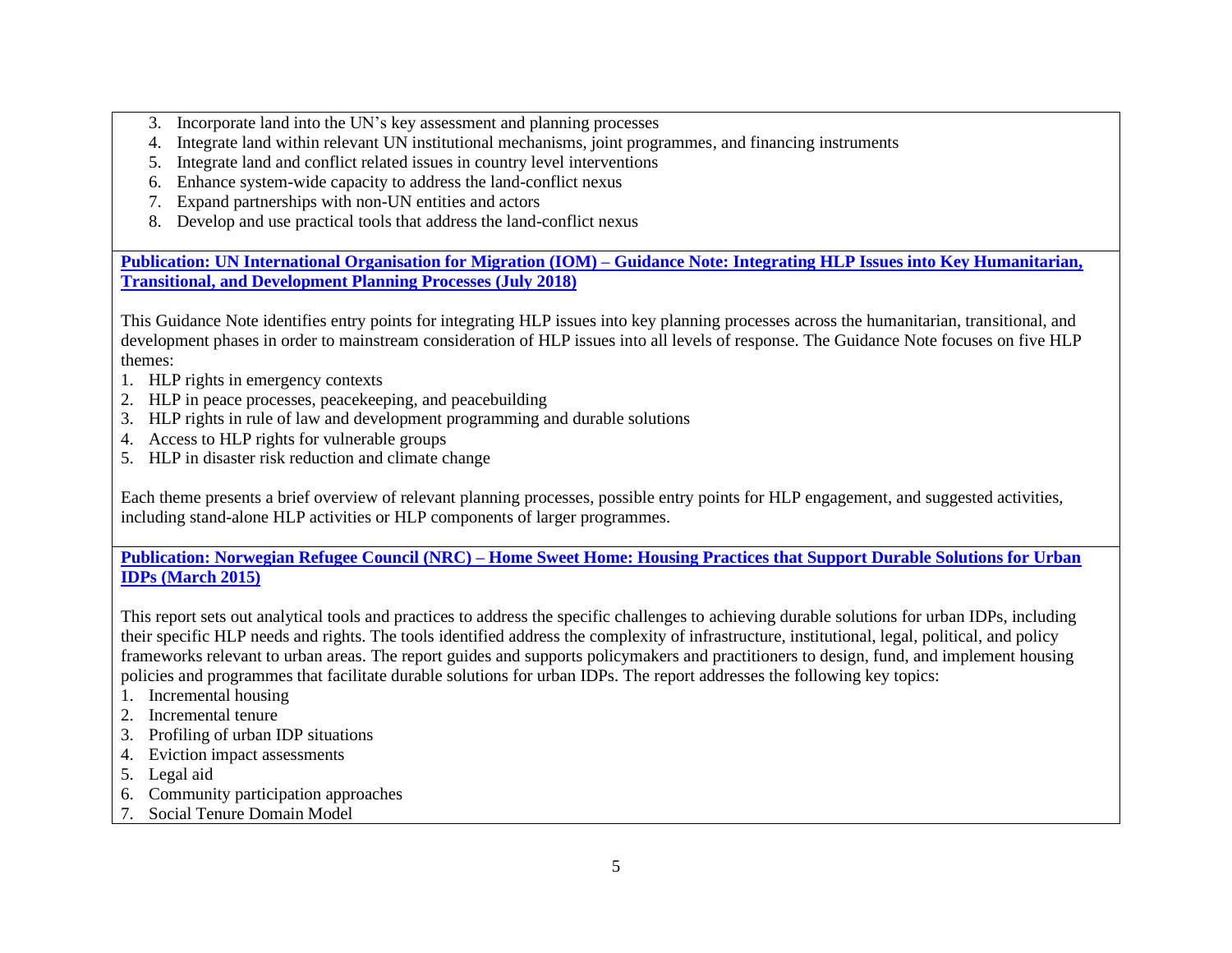- 3. Incorporate land into the UN's key assessment and planning processes
- 4. Integrate land within relevant UN institutional mechanisms, joint programmes, and financing instruments
- 5. Integrate land and conflict related issues in country level interventions
- 6. Enhance system-wide capacity to address the land-conflict nexus
- 7. Expand partnerships with non-UN entities and actors
- 8. Develop and use practical tools that address the land-conflict nexus

**[Publication: UN International Organisation for Migration \(IOM\)](https://publications.iom.int/books/guidance-note-integrating-housing-land-and-property-issues-key-humanitarian-transitional-and) – Guidance Note: Integrating HLP Issues into Key Humanitarian, Transitional, [and Development Planning Processes \(July 2018\)](https://publications.iom.int/books/guidance-note-integrating-housing-land-and-property-issues-key-humanitarian-transitional-and)**

This Guidance Note identifies entry points for integrating HLP issues into key planning processes across the humanitarian, transitional, and development phases in order to mainstream consideration of HLP issues into all levels of response. The Guidance Note focuses on five HLP themes:

- 1. HLP rights in emergency contexts
- 2. HLP in peace processes, peacekeeping, and peacebuilding
- 3. HLP rights in rule of law and development programming and durable solutions
- 4. Access to HLP rights for vulnerable groups
- 5. HLP in disaster risk reduction and climate change

Each theme presents a brief overview of relevant planning processes, possible entry points for HLP engagement, and suggested activities, including stand-alone HLP activities or HLP components of larger programmes.

**Publication: Norwegian Refugee Council (NRC) – [Home Sweet Home: Housing Practices that Support Durable Solutions for Urban](http://www.internal-displacement.org/sites/default/files/inline-files/20150325-global-home-sweet-home-en-full-report.pdf)  [IDPs \(March 2015\)](http://www.internal-displacement.org/sites/default/files/inline-files/20150325-global-home-sweet-home-en-full-report.pdf)**

This report sets out analytical tools and practices to address the specific challenges to achieving durable solutions for urban IDPs, including their specific HLP needs and rights. The tools identified address the complexity of infrastructure, institutional, legal, political, and policy frameworks relevant to urban areas. The report guides and supports policymakers and practitioners to design, fund, and implement housing policies and programmes that facilitate durable solutions for urban IDPs. The report addresses the following key topics:

- 1. Incremental housing
- 2. Incremental tenure
- 3. Profiling of urban IDP situations
- 4. Eviction impact assessments
- 5. Legal aid
- 6. Community participation approaches
- 7. Social Tenure Domain Model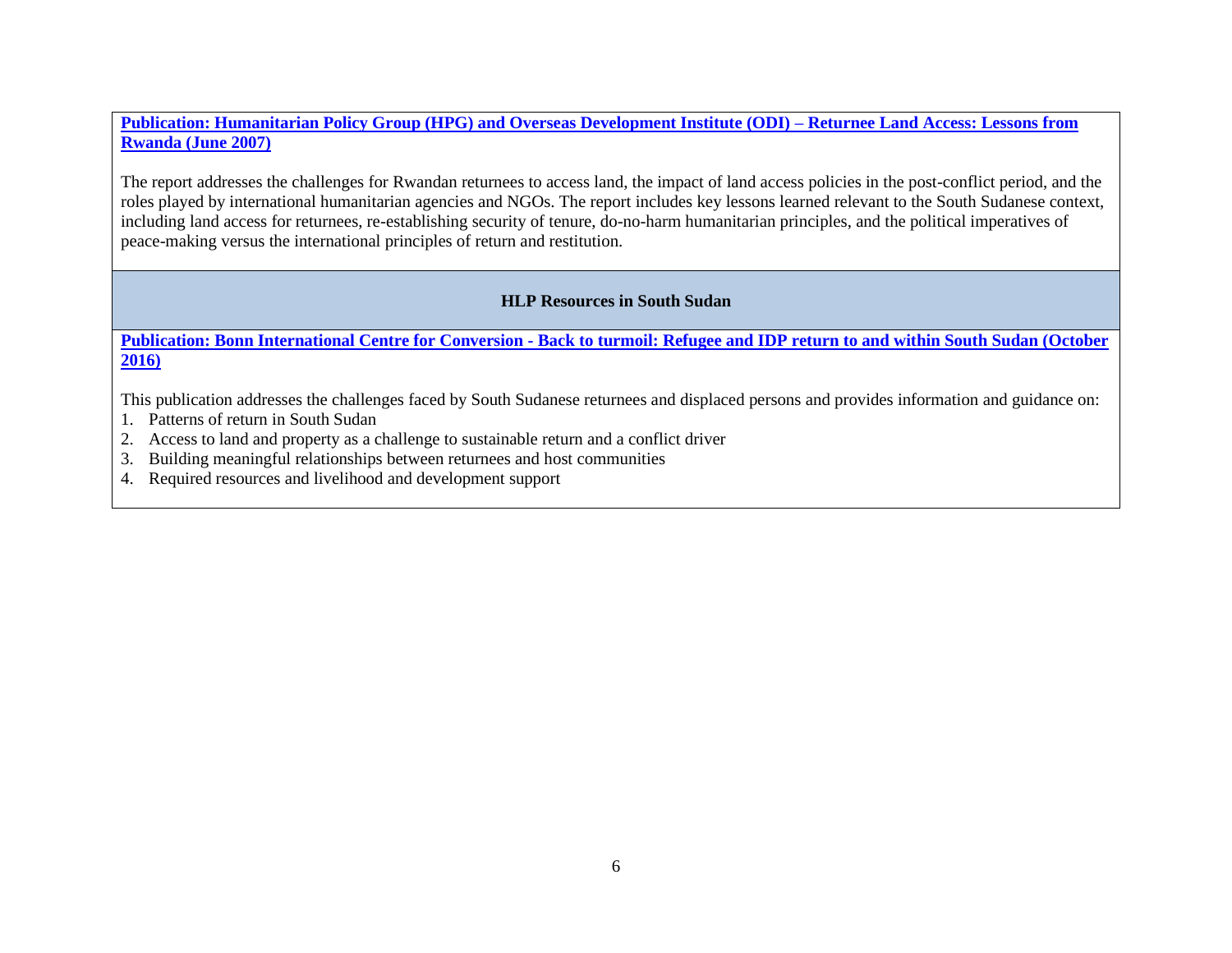**[Publication: Humanitarian Policy Group \(HPG\) and Overseas Development Institute \(ODI\) –](https://www.odi.org/sites/odi.org.uk/files/odi-assets/publications-opinion-files/4176.pdf) Returnee Land Access: Lessons from [Rwanda \(June 2007\)](https://www.odi.org/sites/odi.org.uk/files/odi-assets/publications-opinion-files/4176.pdf)**

The report addresses the challenges for Rwandan returnees to access land, the impact of land access policies in the post-conflict period, and the roles played by international humanitarian agencies and NGOs. The report includes key lessons learned relevant to the South Sudanese context, including land access for returnees, re-establishing security of tenure, do-no-harm humanitarian principles, and the political imperatives of peace-making versus the international principles of return and restitution.

#### **HLP Resources in South Sudan**

**Publication: Bonn International Centre for Conversion - [Back to turmoil: Refugee and IDP return to and within South Sudan \(October](https://www.bicc.de/uploads/tx_bicctools/WP_7_16_final.pdf)  [2016\)](https://www.bicc.de/uploads/tx_bicctools/WP_7_16_final.pdf)**

This publication addresses the challenges faced by South Sudanese returnees and displaced persons and provides information and guidance on:

- 1. Patterns of return in South Sudan
- 2. Access to land and property as a challenge to sustainable return and a conflict driver
- 3. Building meaningful relationships between returnees and host communities
- 4. Required resources and livelihood and development support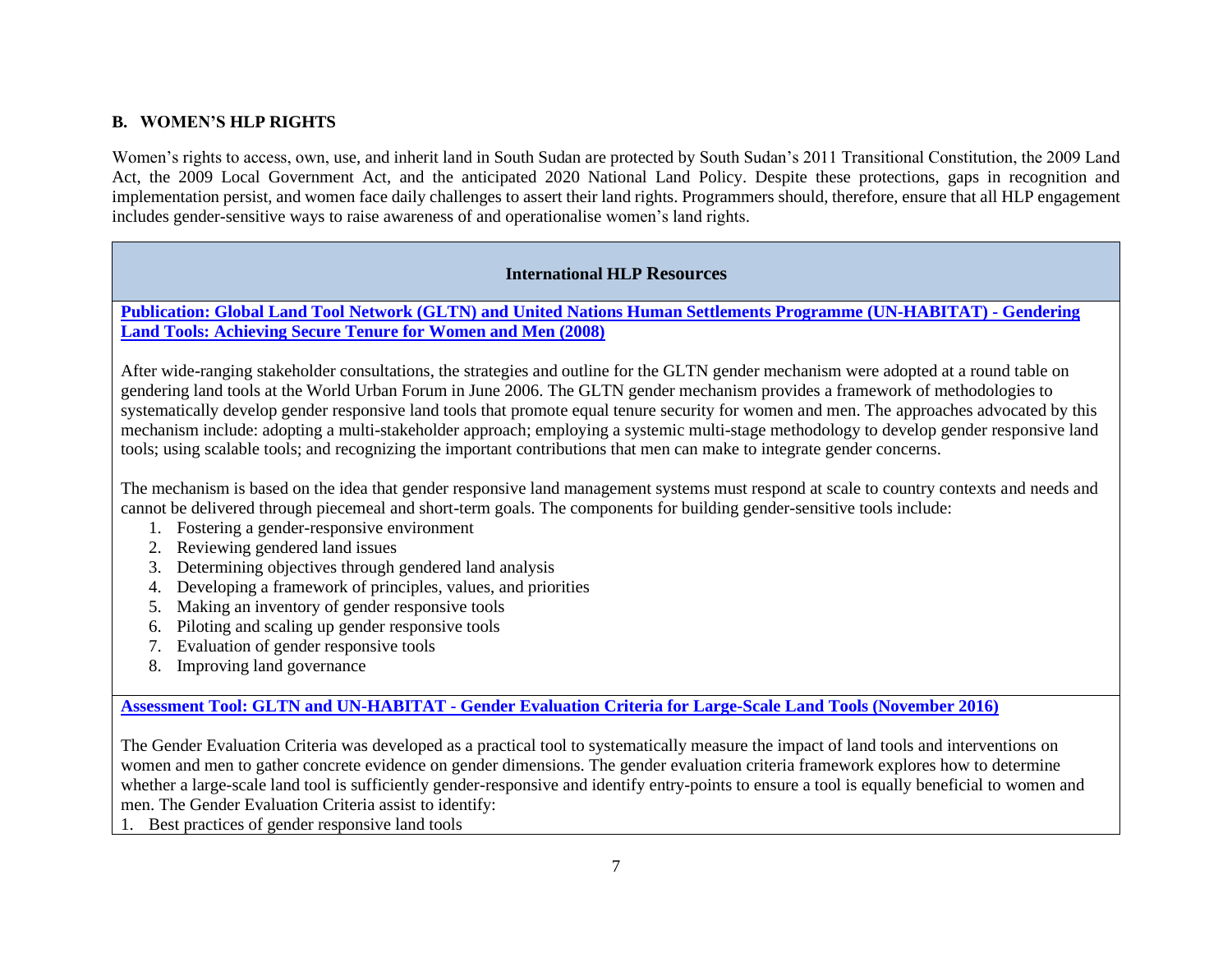# **B. WOMEN'S HLP RIGHTS**

Women's rights to access, own, use, and inherit land in South Sudan are protected by South Sudan's 2011 Transitional Constitution, the 2009 Land Act, the 2009 Local Government Act, and the anticipated 2020 National Land Policy. Despite these protections, gaps in recognition and implementation persist, and women face daily challenges to assert their land rights. Programmers should, therefore, ensure that all HLP engagement includes gender-sensitive ways to raise awareness of and operationalise women's land rights.

#### **International HLP Resources**

**[Publication: Global Land Tool Network \(GLTN\) and United Nations Human Settlements Programme \(UN-HABITAT\)](http://www.globalprotectioncluster.org/_assets/files/tools_and_guidance/housing_land_property/By%20Themes/HLP%20and%20Gender/Gendering_Land_Tools_2008_EN.pdf) - Gendering [Land Tools: Achieving Secure Tenure for Women and Men \(2008\)](http://www.globalprotectioncluster.org/_assets/files/tools_and_guidance/housing_land_property/By%20Themes/HLP%20and%20Gender/Gendering_Land_Tools_2008_EN.pdf)**

After wide-ranging stakeholder consultations, the strategies and outline for the GLTN gender mechanism were adopted at a round table on gendering land tools at the World Urban Forum in June 2006. The GLTN gender mechanism provides a framework of methodologies to systematically develop gender responsive land tools that promote equal tenure security for women and men. The approaches advocated by this mechanism include: adopting a multi-stakeholder approach; employing a systemic multi-stage methodology to develop gender responsive land tools; using scalable tools; and recognizing the important contributions that men can make to integrate gender concerns.

The mechanism is based on the idea that gender responsive land management systems must respond at scale to country contexts and needs and cannot be delivered through piecemeal and short-term goals. The components for building gender-sensitive tools include:

- 1. Fostering a gender-responsive environment
- 2. Reviewing gendered land issues
- 3. Determining objectives through gendered land analysis
- 4. Developing a framework of principles, values, and priorities
- 5. Making an inventory of gender responsive tools
- 6. Piloting and scaling up gender responsive tools
- 7. Evaluation of gender responsive tools
- 8. Improving land governance

**Assessment Tool: GLTN and UN-HABITAT - [Gender Evaluation Criteria for Large-Scale Land Tools \(November 2016\)](https://gltn.net/download/gender-evaluation-criteria-for-large-scale-land-tools/)**

The Gender Evaluation Criteria was developed as a practical tool to systematically measure the impact of land tools and interventions on women and men to gather concrete evidence on gender dimensions. The gender evaluation criteria framework explores how to determine whether a large-scale land tool is sufficiently gender-responsive and identify entry-points to ensure a tool is equally beneficial to women and men. The Gender Evaluation Criteria assist to identify:

1. Best practices of gender responsive land tools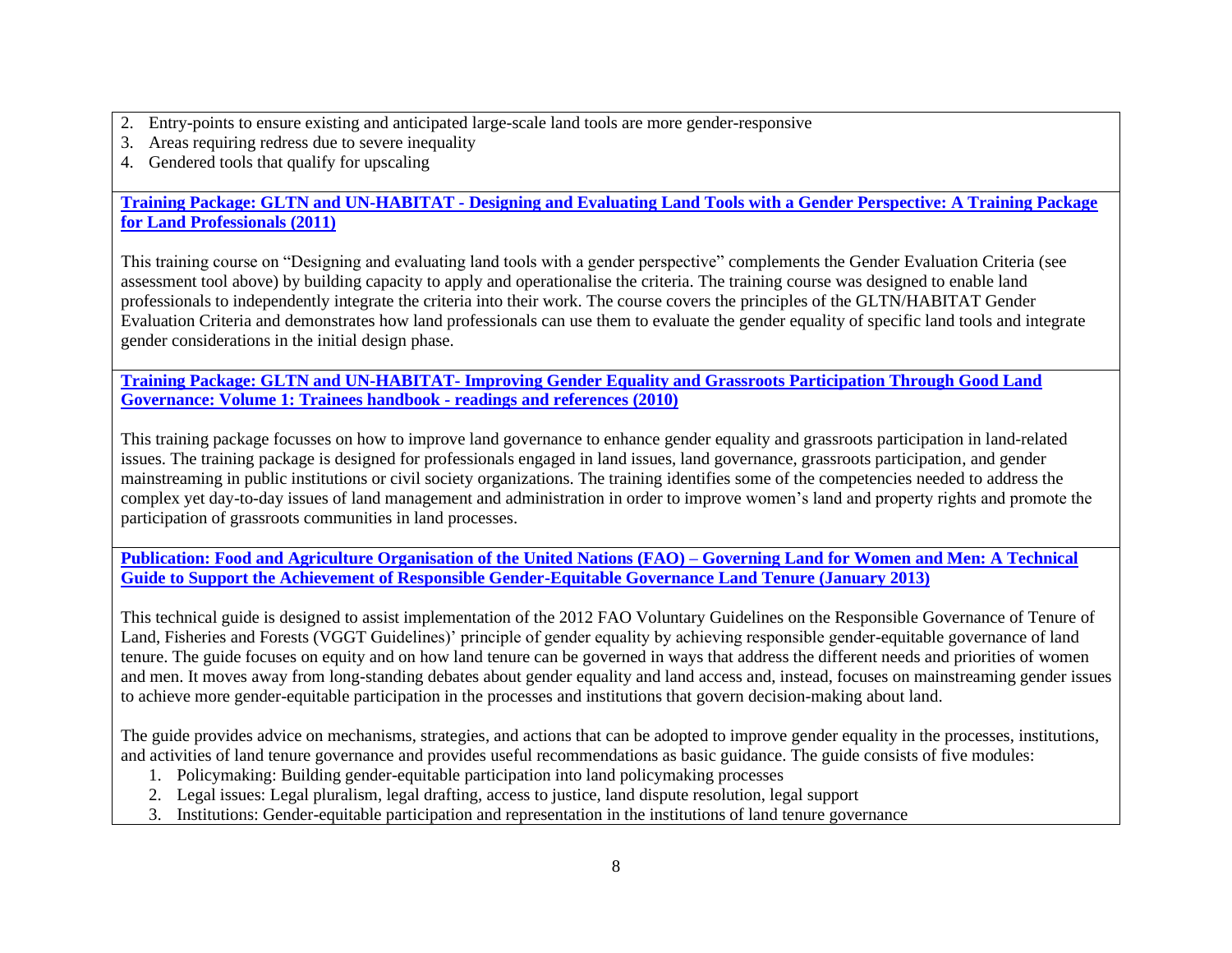- 2. Entry-points to ensure existing and anticipated large-scale land tools are more gender-responsive
- 3. Areas requiring redress due to severe inequality
- 4. Gendered tools that qualify for upscaling

**Training Package: GLTN and UN-HABITAT - [Designing and Evaluating Land Tools with a Gender Perspective: A Training Package](https://gltn.net/download/designing-and-evaluating-land-tools-with-a-gender-perspective-2011/)  [for Land Professionals \(2011\)](https://gltn.net/download/designing-and-evaluating-land-tools-with-a-gender-perspective-2011/)**

This training course on "Designing and evaluating land tools with a gender perspective" complements the Gender Evaluation Criteria (see assessment tool above) by building capacity to apply and operationalise the criteria. The training course was designed to enable land professionals to independently integrate the criteria into their work. The course covers the principles of the GLTN/HABITAT Gender Evaluation Criteria and demonstrates how land professionals can use them to evaluate the gender equality of specific land tools and integrate gender considerations in the initial design phase.

**Training Package: GLTN and UN-HABITAT- [Improving Gender Equality and Grassroots Participation Through Good Land](https://unhabitat.org/books/improving-gender-equality-and-grassroots-participation-through-good-land-governance-a-training-package/)  [Governance: Volume 1: Trainees handbook -](https://unhabitat.org/books/improving-gender-equality-and-grassroots-participation-through-good-land-governance-a-training-package/) readings and references (2010)**

This training package focusses on how to improve land governance to enhance gender equality and grassroots participation in land-related issues. The training package is designed for professionals engaged in land issues, land governance, grassroots participation, and gender mainstreaming in public institutions or civil society organizations. The training identifies some of the competencies needed to address the complex yet day-to-day issues of land management and administration in order to improve women's land and property rights and promote the participation of grassroots communities in land processes.

**[Publication: Food and Agriculture Organisation of the United Nations \(FAO\) –](http://www.fao.org/3/a-i3114e.pdf) Governing Land for Women and Men: A Technical [Guide to Support the Achievement of Responsible Gender-Equitable Governance Land Tenure \(January 2013\)](http://www.fao.org/3/a-i3114e.pdf)**

This technical guide is designed to assist implementation of the 2012 FAO Voluntary Guidelines on the Responsible Governance of Tenure of Land, Fisheries and Forests (VGGT Guidelines)' principle of gender equality by achieving responsible gender-equitable governance of land tenure. The guide focuses on equity and on how land tenure can be governed in ways that address the different needs and priorities of women and men. It moves away from long-standing debates about gender equality and land access and, instead, focuses on mainstreaming gender issues to achieve more gender-equitable participation in the processes and institutions that govern decision-making about land.

The guide provides advice on mechanisms, strategies, and actions that can be adopted to improve gender equality in the processes, institutions, and activities of land tenure governance and provides useful recommendations as basic guidance. The guide consists of five modules:

- 1. Policymaking: Building gender-equitable participation into land policymaking processes
- 2. Legal issues: Legal pluralism, legal drafting, access to justice, land dispute resolution, legal support
- 3. Institutions: Gender-equitable participation and representation in the institutions of land tenure governance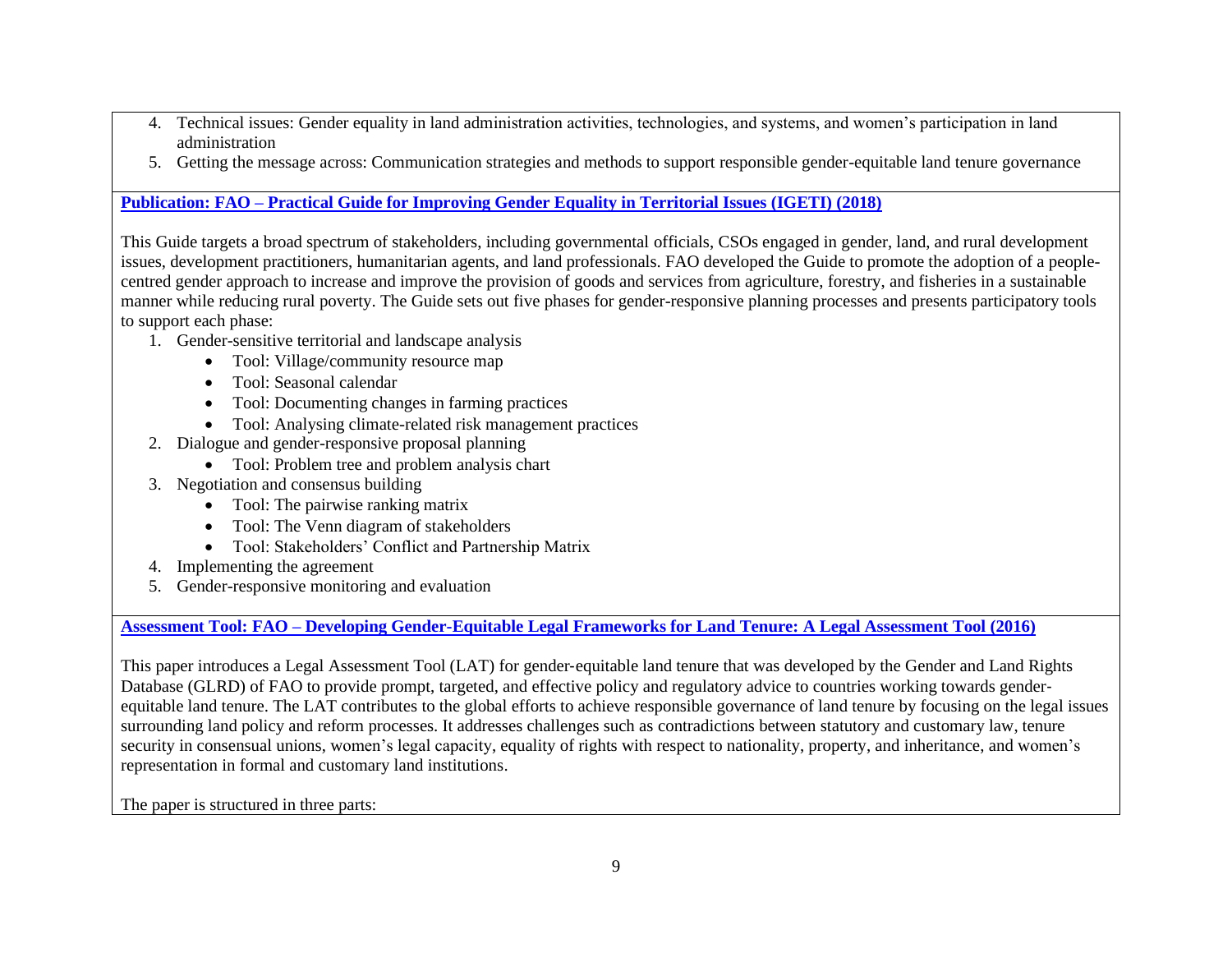- 4. Technical issues: Gender equality in land administration activities, technologies, and systems, and women's participation in land administration
- 5. Getting the message across: Communication strategies and methods to support responsible gender-equitable land tenure governance

**Publication: FAO – [Practical Guide for Improving Gender Equality in Territorial Issues](http://www.fao.org/3/I8769EN/i8769en.pdf) (IGETI) (2018)** 

This Guide targets a broad spectrum of stakeholders, including governmental officials, CSOs engaged in gender, land, and rural development issues, development practitioners, humanitarian agents, and land professionals. FAO developed the Guide to promote the adoption of a peoplecentred gender approach to increase and improve the provision of goods and services from agriculture, forestry, and fisheries in a sustainable manner while reducing rural poverty. The Guide sets out five phases for gender-responsive planning processes and presents participatory tools to support each phase:

- 1. Gender-sensitive territorial and landscape analysis
	- Tool: Village/community resource map
	- Tool: Seasonal calendar
	- Tool: Documenting changes in farming practices
	- Tool: Analysing climate-related risk management practices
- 2. Dialogue and gender-responsive proposal planning
	- Tool: Problem tree and problem analysis chart
- 3. Negotiation and consensus building
	- Tool: The pairwise ranking matrix
	- Tool: The Venn diagram of stakeholders
	- Tool: Stakeholders' Conflict and Partnership Matrix
- 4. Implementing the agreement
- 5. Gender-responsive monitoring and evaluation

**Assessment Tool: FAO – [Developing Gender-Equitable Legal Frameworks for Land Tenure: A Legal Assessment Tool \(2016\)](http://www.fao.org/3/a-i5441e.pdf)**

This paper introduces a Legal Assessment Tool (LAT) for gender-equitable land tenure that was developed by the Gender and Land Rights Database (GLRD) of FAO to provide prompt, targeted, and effective policy and regulatory advice to countries working towards genderequitable land tenure. The LAT contributes to the global efforts to achieve responsible governance of land tenure by focusing on the legal issues surrounding land policy and reform processes. It addresses challenges such as contradictions between statutory and customary law, tenure security in consensual unions, women's legal capacity, equality of rights with respect to nationality, property, and inheritance, and women's representation in formal and customary land institutions.

The paper is structured in three parts: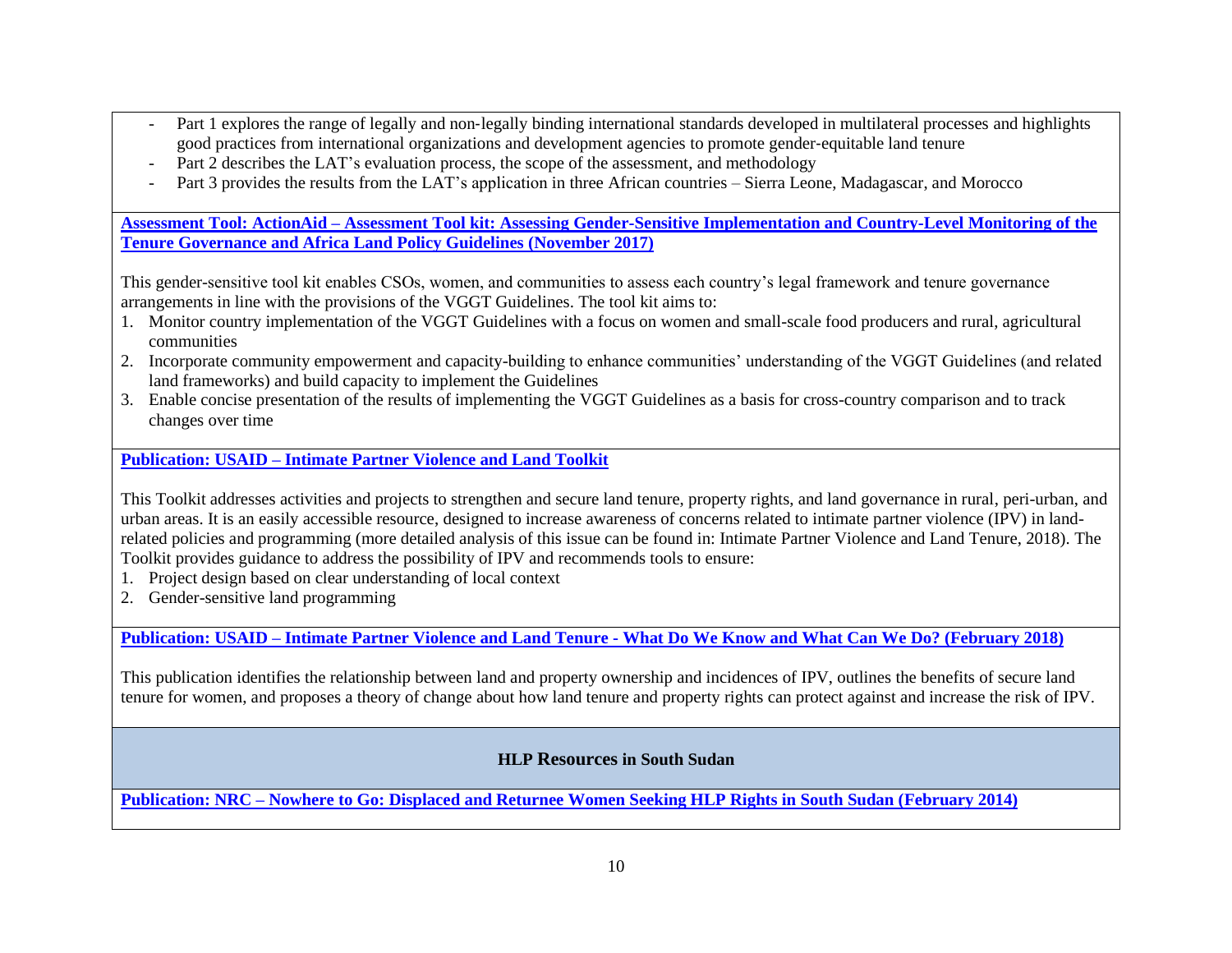- Part 1 explores the range of legally and non-legally binding international standards developed in multilateral processes and highlights good practices from international organizations and development agencies to promote gender‐equitable land tenure
- Part 2 describes the LAT's evaluation process, the scope of the assessment, and methodology
- Part 3 provides the results from the LAT's application in three African countries Sierra Leone, Madagascar, and Morocco

**Assessment Tool: ActionAid – [Assessment Tool kit: Assessing Gender-Sensitive Implementation and Country-Level Monitoring of the](https://actionaid.org/sites/default/files/aa_vggt_toolkit_single_pages.pdf)  [Tenure Governance and Africa Land Policy Guidelines \(November](https://actionaid.org/sites/default/files/aa_vggt_toolkit_single_pages.pdf) 2017)**

This gender-sensitive tool kit enables CSOs, women, and communities to assess each country's legal framework and tenure governance arrangements in line with the provisions of the VGGT Guidelines. The tool kit aims to:

- 1. Monitor country implementation of the VGGT Guidelines with a focus on women and small-scale food producers and rural, agricultural communities
- 2. Incorporate community empowerment and capacity-building to enhance communities' understanding of the VGGT Guidelines (and related land frameworks) and build capacity to implement the Guidelines
- 3. Enable concise presentation of the results of implementing the VGGT Guidelines as a basis for cross-country comparison and to track changes over time

**Publication: USAID – [Intimate Partner Violence and Land Toolkit](https://land-links.org/wp-content/uploads/2018/04/USAID_Land_Tenure_IPV_Toolkit.pdf)**

This Toolkit addresses activities and projects to strengthen and secure land tenure, property rights, and land governance in rural, peri-urban, and urban areas. It is an easily accessible resource, designed to increase awareness of concerns related to intimate partner violence (IPV) in landrelated policies and programming (more detailed analysis of this issue can be found in: Intimate Partner Violence and Land Tenure, 2018). The Toolkit provides guidance to address the possibility of IPV and recommends tools to ensure:

- 1. Project design based on clear understanding of local context
- 2. Gender-sensitive land programming

**Publication: USAID – Intimate Partner Violence and Land Tenure - [What Do We Know and What Can We Do? \(February 2018\)](https://land-links.org/wp-content/uploads/2018/02/USAID_Land_Tenure_IPV_Final_Report.pdf)**

This publication identifies the relationship between land and property ownership and incidences of IPV, outlines the benefits of secure land tenure for women, and proposes a theory of change about how land tenure and property rights can protect against and increase the risk of IPV.

# **HLP Resources in South Sudan**

**Publication: NRC – [Nowhere to Go: Displaced and Returnee Women Seeking HLP Rights in South Sudan \(February 2014\)](https://reliefweb.int/report/south-sudan/nowhere-go-displaced-and-returnee-women-seeking-housing-land-and-property-rights)**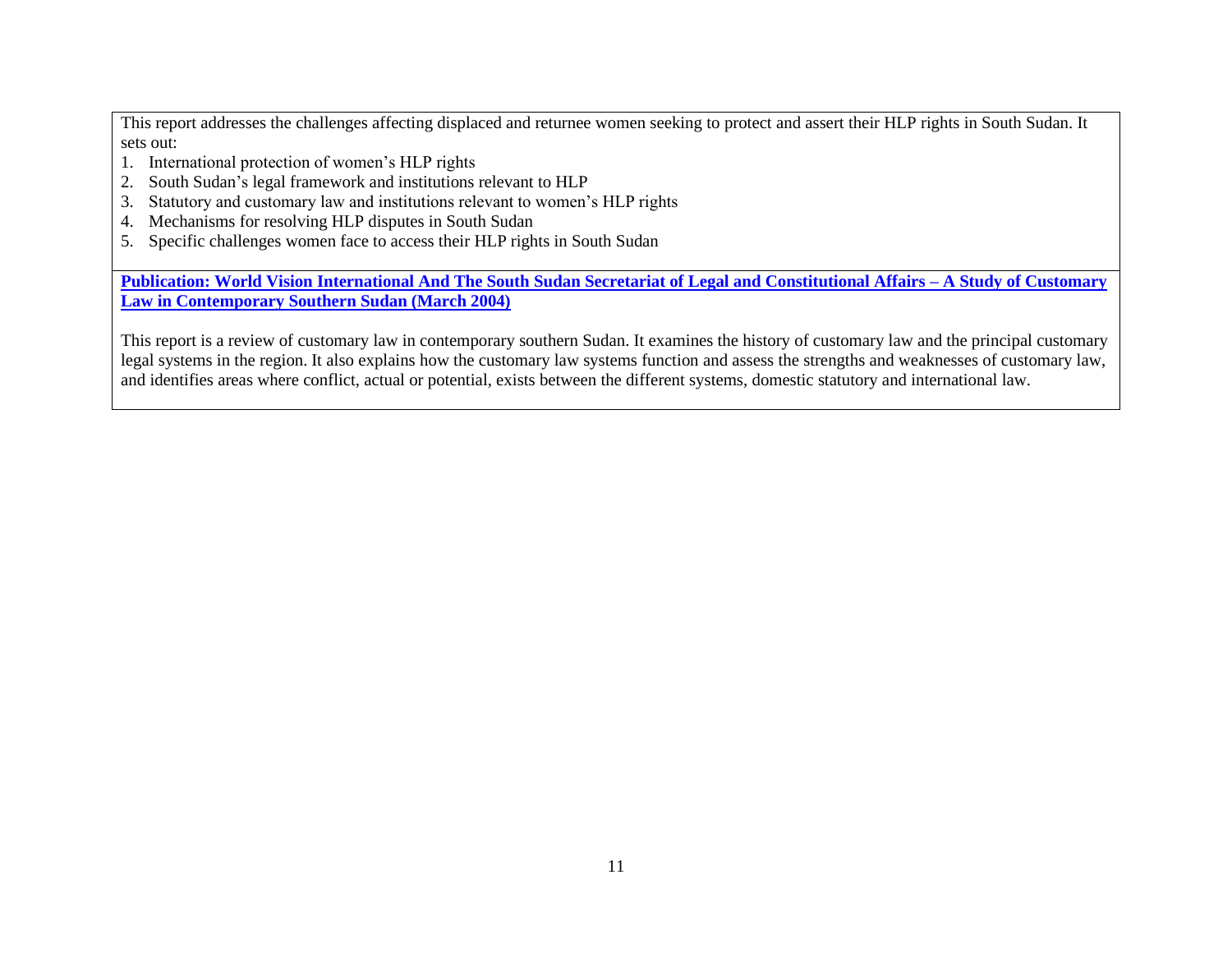This report addresses the challenges affecting displaced and returnee women seeking to protect and assert their HLP rights in South Sudan. It sets out:

- 1. International protection of women's HLP rights
- 2. South Sudan's legal framework and institutions relevant to HLP
- 3. Statutory and customary law and institutions relevant to women's HLP rights
- 4. Mechanisms for resolving HLP disputes in South Sudan
- 5. Specific challenges women face to access their HLP rights in South Sudan

**[Publication: World Vision International And The South Sudan Secretariat of Legal and Constitutional Affairs –](https://www.southsudanpeaceportal.com/repository/study-customary-law-contemporary-southern-sudan/) A Study of Customary [Law in Contemporary Southern Sudan \(March 2004\)](https://www.southsudanpeaceportal.com/repository/study-customary-law-contemporary-southern-sudan/)**

This report is a review of customary law in contemporary southern Sudan. It examines the history of customary law and the principal customary legal systems in the region. It also explains how the customary law systems function and assess the strengths and weaknesses of customary law, and identifies areas where conflict, actual or potential, exists between the different systems, domestic statutory and international law.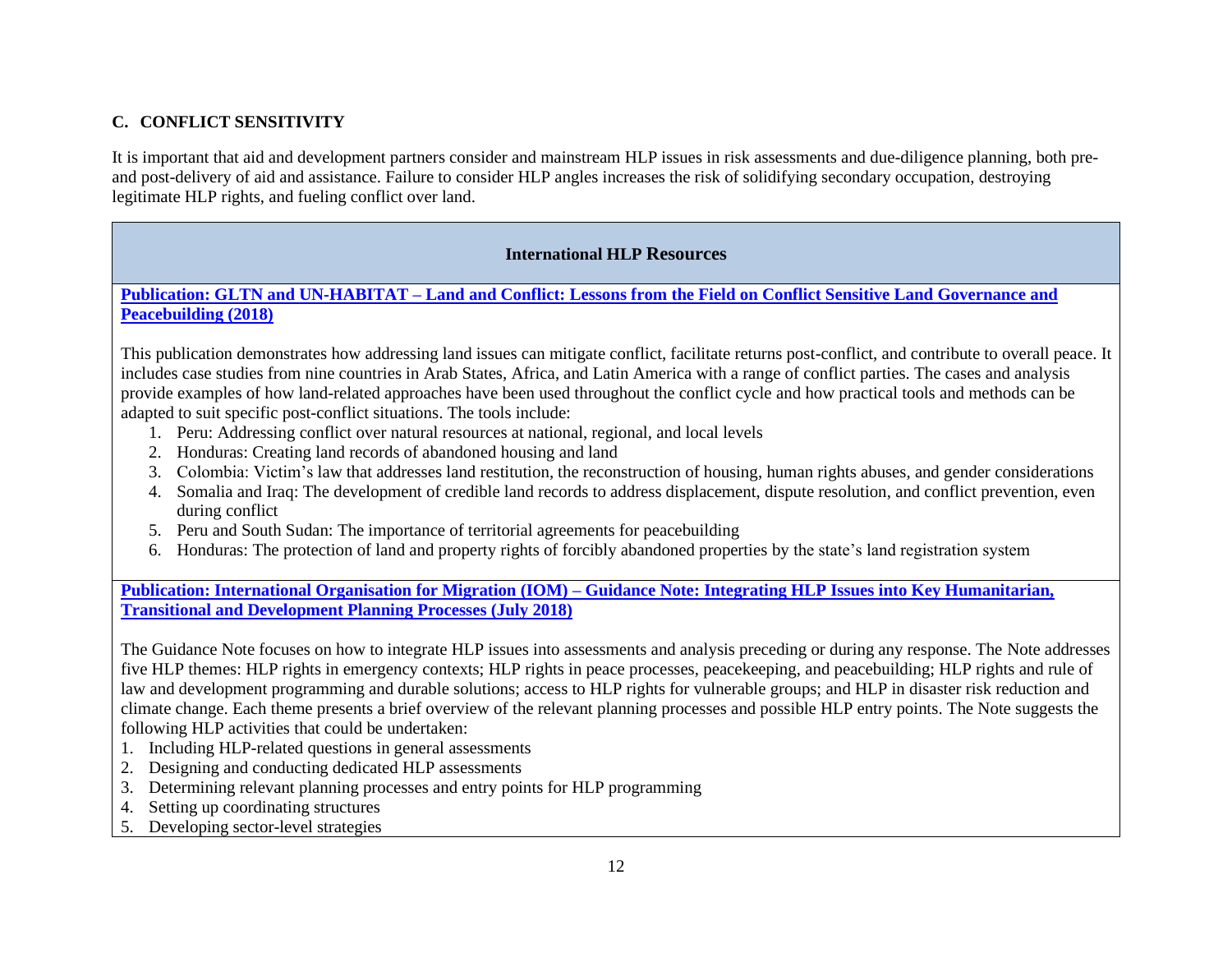# **C. CONFLICT SENSITIVITY**

It is important that aid and development partners consider and mainstream HLP issues in risk assessments and due-diligence planning, both preand post-delivery of aid and assistance. Failure to consider HLP angles increases the risk of solidifying secondary occupation, destroying legitimate HLP rights, and fueling conflict over land.

# **International HLP Resources**

**Publication: GLTN and UN-HABITAT – [Land and Conflict: Lessons from the Field on Conflict Sensitive Land Governance and](https://gltn.net/download/land-and-conflict-lessons-from-the-field-on-conflict-sensitive-land-governance-and-peacebuilding/)  [Peacebuilding \(2018\)](https://gltn.net/download/land-and-conflict-lessons-from-the-field-on-conflict-sensitive-land-governance-and-peacebuilding/)**

This publication demonstrates how addressing land issues can mitigate conflict, facilitate returns post-conflict, and contribute to overall peace. It includes case studies from nine countries in Arab States, Africa, and Latin America with a range of conflict parties. The cases and analysis provide examples of how land-related approaches have been used throughout the conflict cycle and how practical tools and methods can be adapted to suit specific post-conflict situations. The tools include:

- 1. Peru: Addressing conflict over natural resources at national, regional, and local levels
- 2. Honduras: Creating land records of abandoned housing and land
- 3. Colombia: Victim's law that addresses land restitution, the reconstruction of housing, human rights abuses, and gender considerations
- 4. Somalia and Iraq: The development of credible land records to address displacement, dispute resolution, and conflict prevention, even during conflict
- 5. Peru and South Sudan: The importance of territorial agreements for peacebuilding
- 6. Honduras: The protection of land and property rights of forcibly abandoned properties by the state's land registration system

**Publication: International Organisation for Migration (IOM) – [Guidance Note: Integrating HLP Issues into Key Humanitarian,](https://publications.iom.int/system/files/pdf/guidance_note.pdf)  [Transitional and Development Planning Processes \(July 2018\)](https://publications.iom.int/system/files/pdf/guidance_note.pdf)**

The Guidance Note focuses on how to integrate HLP issues into assessments and analysis preceding or during any response. The Note addresses five HLP themes: HLP rights in emergency contexts; HLP rights in peace processes, peacekeeping, and peacebuilding; HLP rights and rule of law and development programming and durable solutions; access to HLP rights for vulnerable groups; and HLP in disaster risk reduction and climate change. Each theme presents a brief overview of the relevant planning processes and possible HLP entry points. The Note suggests the following HLP activities that could be undertaken:

- 1. Including HLP-related questions in general assessments
- 2. Designing and conducting dedicated HLP assessments
- 3. Determining relevant planning processes and entry points for HLP programming
- 4. Setting up coordinating structures
- 5. Developing sector-level strategies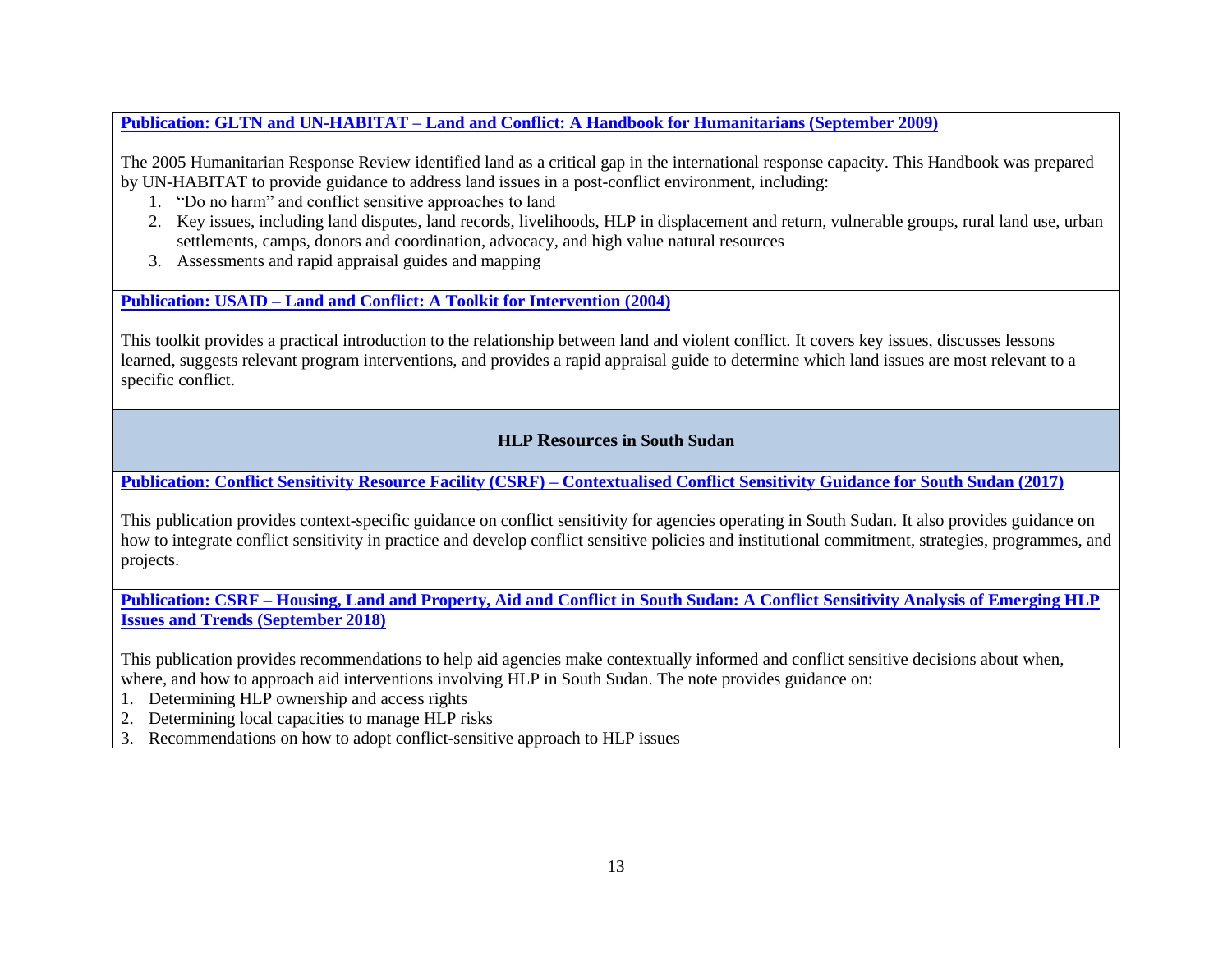**Publication: GLTN and UN-HABITAT – [Land and Conflict: A Handbook for Humanitarians \(September 2009\)](http://land.igad.int/index.php/documents-1/improving-land-governance/capacity-development-tools/1531-land-and-conflict-a-handbook-for-humanitarians/filehttp:/land.igad.int/index.php/documents-1/improving-land-governance/capacity-development-tools/1531-land-and-conflict-a-handbook-for-humanitarians/file)**

The 2005 Humanitarian Response Review identified land as a critical gap in the international response capacity. This Handbook was prepared by UN-HABITAT to provide guidance to address land issues in a post-conflict environment, including:

- 1. "Do no harm" and conflict sensitive approaches to land
- 2. Key issues, including land disputes, land records, livelihoods, HLP in displacement and return, vulnerable groups, rural land use, urban settlements, camps, donors and coordination, advocacy, and high value natural resources
- 3. Assessments and rapid appraisal guides and mapping

**Publication: USAID – Land and [Conflict: A Toolkit for Intervention \(2004\)](http://land.igad.int/index.php/documents-1/improving-land-governance/capacity-development-tools/1532-land-and-conflict-a-toolkit-for-intervention/filehttp:/land.igad.int/index.php/documents-1/improving-land-governance/capacity-development-tools/1532-land-and-conflict-a-toolkit-for-intervention/file)**

This toolkit provides a practical introduction to the relationship between land and violent conflict. It covers key issues, discusses lessons learned, suggests relevant program interventions, and provides a rapid appraisal guide to determine which land issues are most relevant to a specific conflict.

# **HLP Resources in South Sudan**

**Publication: Conflict Sensitivity Resource Facility (CSRF) – [Contextualised Conflict Sensitivity Guidance for South Sudan \(2017\)](https://www.southsudanpeaceportal.com/wp-content/uploads/2017/11/CSRF-Conflict-Sensitivity-Toolkit.pdf)**

This publication provides context-specific guidance on conflict sensitivity for agencies operating in South Sudan. It also provides guidance on how to integrate conflict sensitivity in practice and develop conflict sensitive policies and institutional commitment, strategies, programmes, and projects.

**Publication: CSRF – [Housing, Land and Property, Aid and Conflict in South Sudan: A Conflict Sensitivity Analysis of Emerging HLP](https://fscluster.org/sites/default/files/documents/csrf-briefing-note-housing-land-and-property-aid-and-conflict-in-south-sudan.pdf)  [Issues and Trends \(September](https://fscluster.org/sites/default/files/documents/csrf-briefing-note-housing-land-and-property-aid-and-conflict-in-south-sudan.pdf) 2018)**

This publication provides recommendations to help aid agencies make contextually informed and conflict sensitive decisions about when, where, and how to approach aid interventions involving HLP in South Sudan. The note provides guidance on:

1. Determining HLP ownership and access rights

2. Determining local capacities to manage HLP risks

3. Recommendations on how to adopt conflict-sensitive approach to HLP issues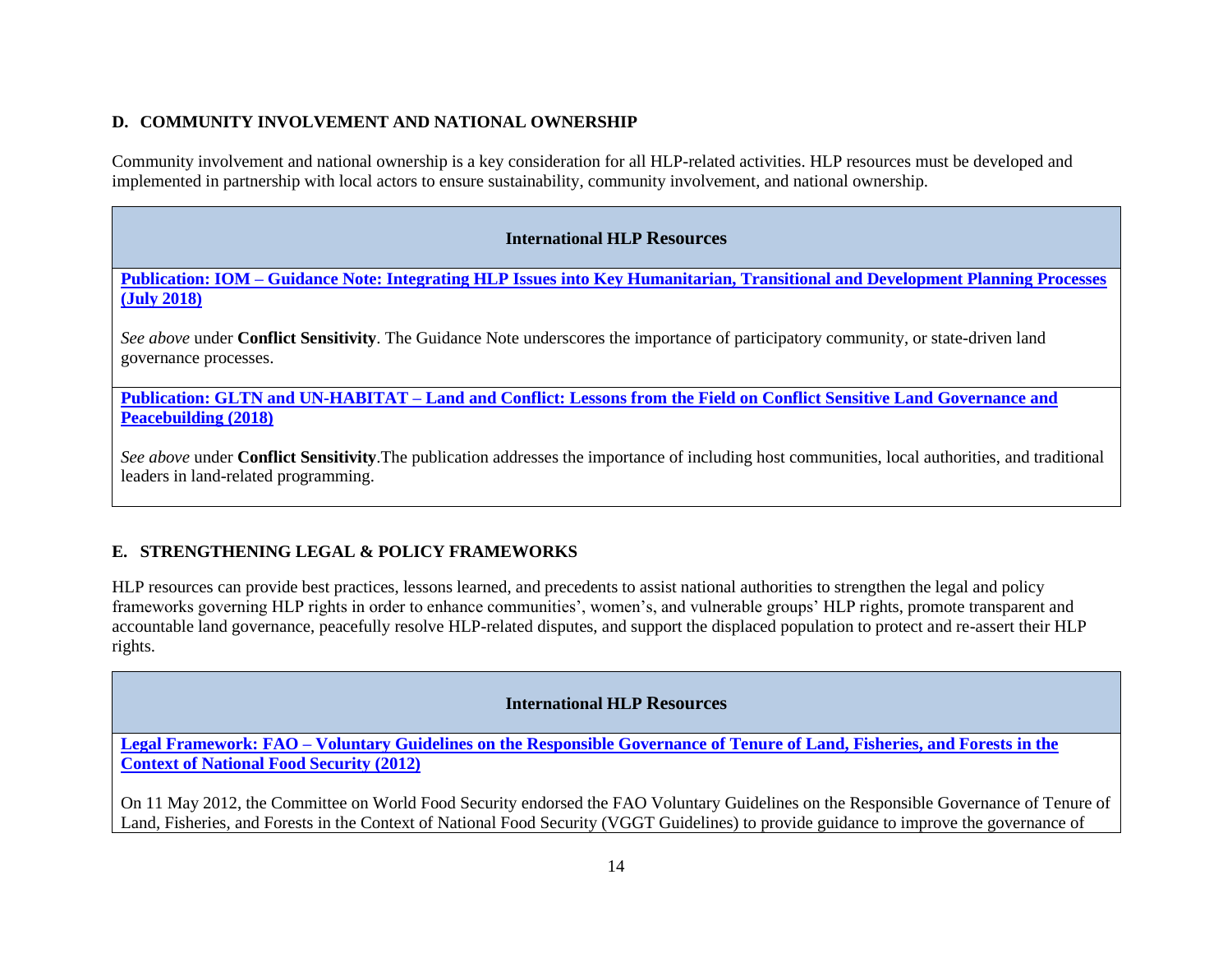#### **D. COMMUNITY INVOLVEMENT AND NATIONAL OWNERSHIP**

Community involvement and national ownership is a key consideration for all HLP-related activities. HLP resources must be developed and implemented in partnership with local actors to ensure sustainability, community involvement, and national ownership.

# **International HLP Resources**

**Publication: IOM – [Guidance Note: Integrating HLP Issues into Key Humanitarian, Transitional and Development Planning Processes](https://publications.iom.int/system/files/pdf/guidance_note.pdf)  [\(July 2018\)](https://publications.iom.int/system/files/pdf/guidance_note.pdf)**

*See above* under **Conflict Sensitivity**. The Guidance Note underscores the importance of participatory community, or state-driven land governance processes.

**Publication: GLTN and UN-HABITAT – [Land and Conflict: Lessons from the Field on Conflict Sensitive Land Governance and](https://gltn.net/download/land-and-conflict-lessons-from-the-field-on-conflict-sensitive-land-governance-and-peacebuilding/)  [Peacebuilding \(2018\)](https://gltn.net/download/land-and-conflict-lessons-from-the-field-on-conflict-sensitive-land-governance-and-peacebuilding/)**

*See above* under **Conflict Sensitivity**.The publication addresses the importance of including host communities, local authorities, and traditional leaders in land-related programming.

# **E. STRENGTHENING LEGAL & POLICY FRAMEWORKS**

HLP resources can provide best practices, lessons learned, and precedents to assist national authorities to strengthen the legal and policy frameworks governing HLP rights in order to enhance communities', women's, and vulnerable groups' HLP rights, promote transparent and accountable land governance, peacefully resolve HLP-related disputes, and support the displaced population to protect and re-assert their HLP rights.

# **International HLP Resources**

**Legal Framework: FAO – [Voluntary Guidelines on the Responsible Governance of Tenure of Land, Fisheries, and Forests](http://www.fao.org/docrep/016/i2801e/i2801e.pdf) in the [Context of National Food Security](http://www.fao.org/docrep/016/i2801e/i2801e.pdf) (2012)**

On 11 May 2012, the Committee on World Food Security endorsed the FAO Voluntary Guidelines on the Responsible Governance of Tenure of Land, Fisheries, and Forests in the Context of National Food Security (VGGT Guidelines) to provide guidance to improve the governance of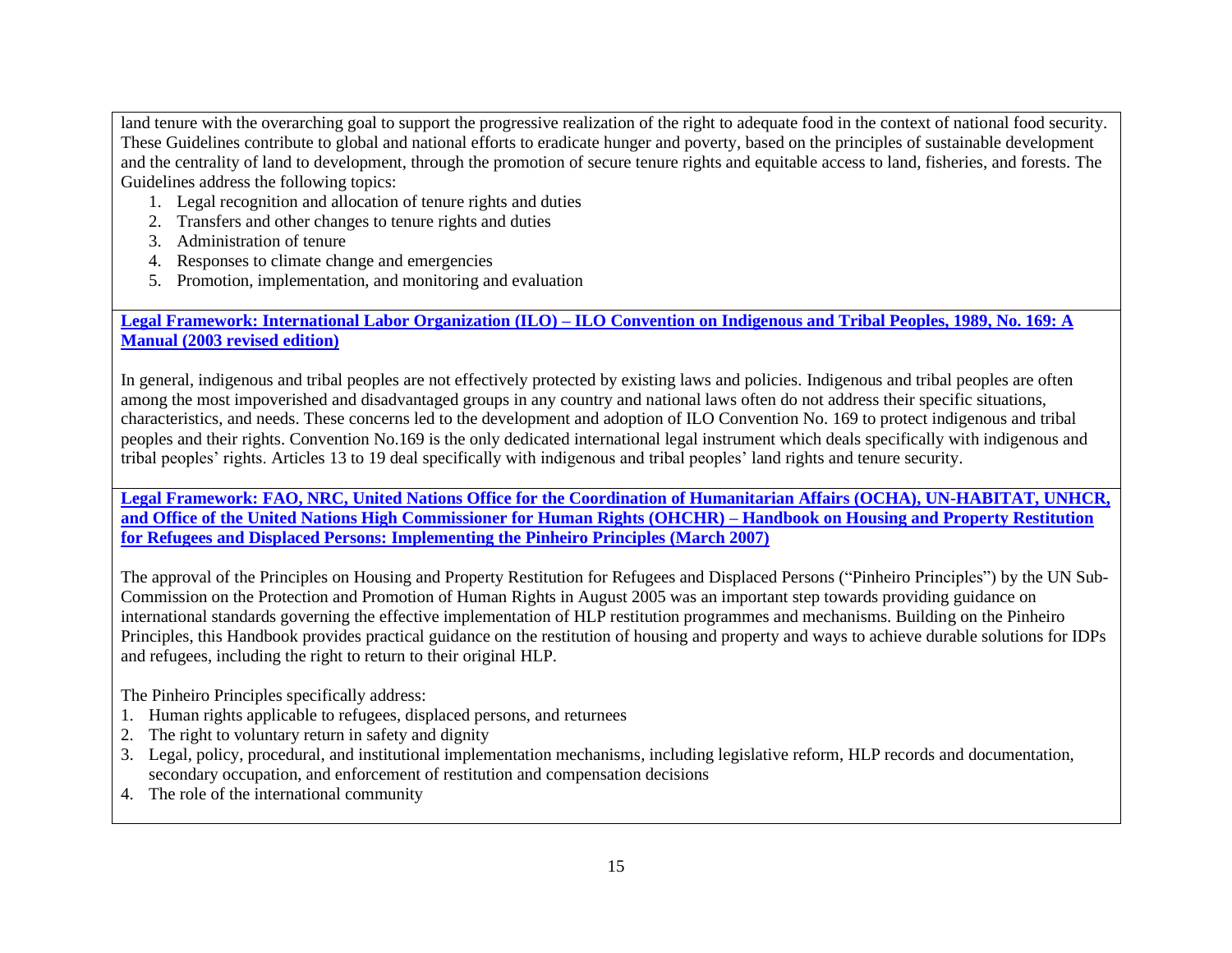land tenure with the overarching goal to support the progressive realization of the right to adequate food in the context of national food security. These Guidelines contribute to global and national efforts to eradicate hunger and poverty, based on the principles of sustainable development and the centrality of land to development, through the promotion of secure tenure rights and equitable access to land, fisheries, and forests. The Guidelines address the following topics:

- 1. Legal recognition and allocation of tenure rights and duties
- 2. Transfers and other changes to tenure rights and duties
- 3. Administration of tenure
- 4. Responses to climate change and emergencies
- 5. Promotion, implementation, and monitoring and evaluation

**Legal Framework: International Labor Organization (ILO) – ILO [Convention on Indigenous and Tribal Peoples, 1989, No. 169: A](http://pro169.org/res/materials/en/general_resources/Manual%20on%20ILO%20Convention%20No.%20169.pdf)  Manual [\(2003 revised edition\)](http://pro169.org/res/materials/en/general_resources/Manual%20on%20ILO%20Convention%20No.%20169.pdf)**

In general, indigenous and tribal peoples are not effectively protected by existing laws and policies. Indigenous and tribal peoples are often among the most impoverished and disadvantaged groups in any country and national laws often do not address their specific situations, characteristics, and needs. These concerns led to the development and adoption of ILO Convention No. 169 to protect indigenous and tribal peoples and their rights. Convention No.169 is the only dedicated international legal instrument which deals specifically with indigenous and tribal peoples' rights. Articles 13 to 19 deal specifically with indigenous and tribal peoples' land rights and tenure security.

**[Legal Framework: FAO, NRC, United Nations Office for the Coordination of Humanitarian Affairs \(OCHA\), UN-HABITAT, UNHCR,](https://www.ohchr.org/Documents/Publications/pinheiro_principles.pdf)  [and Office of the United Nations High Commissioner for Human Rights \(OHCHR\) –](https://www.ohchr.org/Documents/Publications/pinheiro_principles.pdf) Handbook on Housing and Property Restitution for Refugees and Displaced Persons: [Implementing the Pinheiro Principles \(March 2007\)](https://www.ohchr.org/Documents/Publications/pinheiro_principles.pdf)**

The approval of the Principles on Housing and Property Restitution for Refugees and Displaced Persons ("Pinheiro Principles") by the UN Sub-Commission on the Protection and Promotion of Human Rights in August 2005 was an important step towards providing guidance on international standards governing the effective implementation of HLP restitution programmes and mechanisms. Building on the Pinheiro Principles, this Handbook provides practical guidance on the restitution of housing and property and ways to achieve durable solutions for IDPs and refugees, including the right to return to their original HLP.

The Pinheiro Principles specifically address:

- 1. Human rights applicable to refugees, displaced persons, and returnees
- 2. The right to voluntary return in safety and dignity
- 3. Legal, policy, procedural, and institutional implementation mechanisms, including legislative reform, HLP records and documentation, secondary occupation, and enforcement of restitution and compensation decisions
- 4. The role of the international community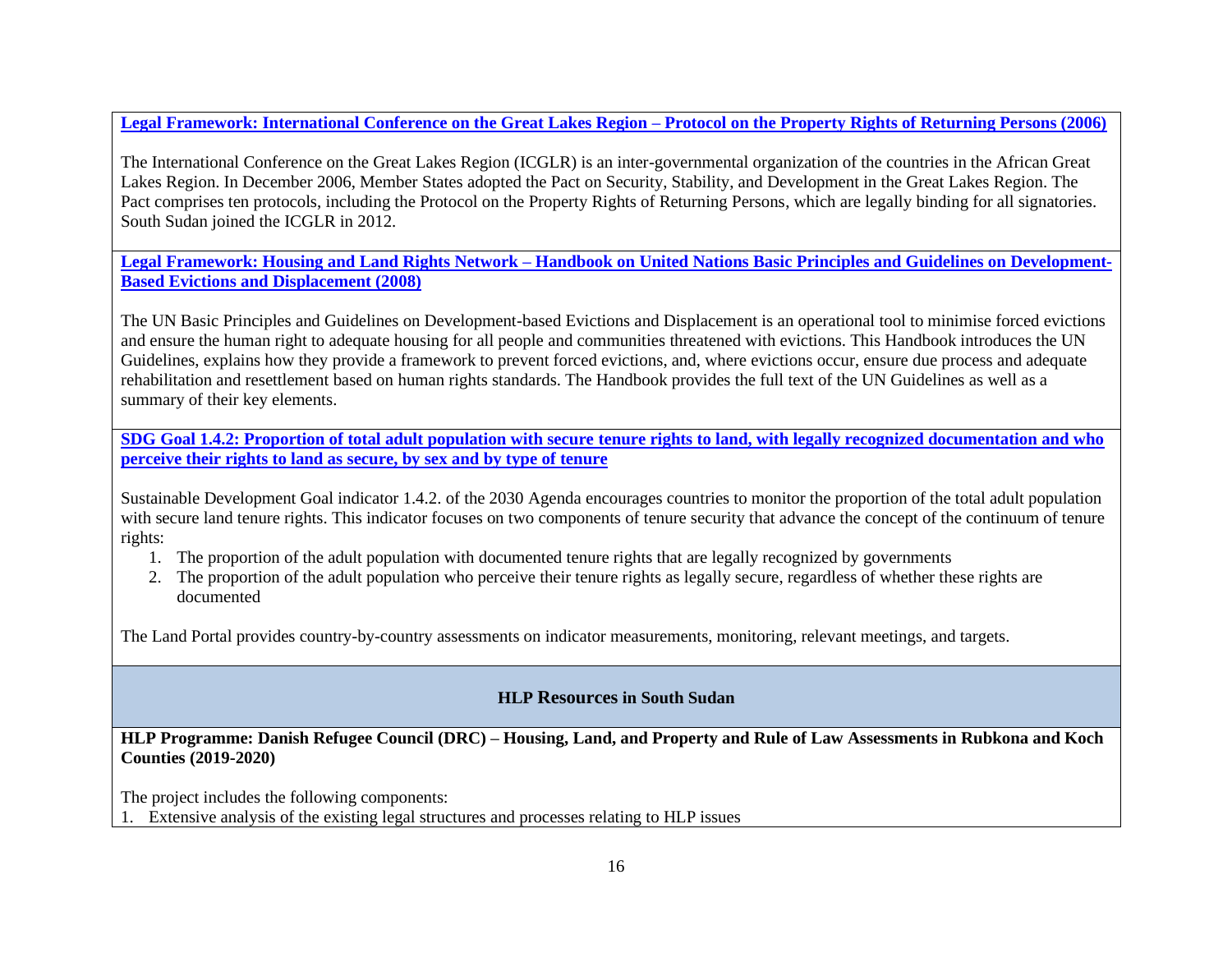**[Legal Framework: International Conference on the Great Lakes Region –](https://www.refworld.org/pdfid/595c92644.pdf) Protocol on the Property Rights of Returning Persons (2006)** 

The International Conference on the Great Lakes Region (ICGLR) is an inter-governmental organization of the countries in the African Great Lakes Region. In December 2006, Member States adopted the Pact on Security, Stability, and Development in the Great Lakes Region. The Pact comprises ten protocols, including the Protocol on the Property Rights of Returning Persons, which are legally binding for all signatories. South Sudan joined the ICGLR in 2012.

**Legal Framework: Housing and Land Rights Network – [Handbook on United Nations Basic Principles and Guidelines on Development-](http://hlrn.org.in/documents/Handbook_UN_Guidelines.pdf)[Based Evictions and Displacement \(2008\)](http://hlrn.org.in/documents/Handbook_UN_Guidelines.pdf)**

The UN Basic Principles and Guidelines on Development-based Evictions and Displacement is an operational tool to minimise forced evictions and ensure the human right to adequate housing for all people and communities threatened with evictions. This Handbook introduces the UN Guidelines, explains how they provide a framework to prevent forced evictions, and, where evictions occur, ensure due process and adequate rehabilitation and resettlement based on human rights standards. The Handbook provides the full text of the UN Guidelines as well as a summary of their key elements.

**[SDG Goal 1.4.2: Proportion of total adult population with secure tenure rights to land, with legally recognized documentation and who](https://landportal.org/book/sdgs/142/sdgs-indicator-142)  [perceive their rights to land as secure, by sex and by type of tenure](https://landportal.org/book/sdgs/142/sdgs-indicator-142)** 

Sustainable Development Goal indicator 1.4.2. of the 2030 Agenda encourages countries to monitor the proportion of the total adult population with secure land tenure rights. This indicator focuses on two components of tenure security that advance the concept of the continuum of tenure rights:

- 1. The proportion of the adult population with documented tenure rights that are legally recognized by governments
- 2. The proportion of the adult population who perceive their tenure rights as legally secure, regardless of whether these rights are documented

The Land Portal provides country-by-country assessments on indicator measurements, monitoring, relevant meetings, and targets.

# **HLP Resources in South Sudan**

**HLP Programme: Danish Refugee Council (DRC) – Housing, Land, and Property and Rule of Law Assessments in Rubkona and Koch Counties (2019-2020)**

The project includes the following components:

1. Extensive analysis of the existing legal structures and processes relating to HLP issues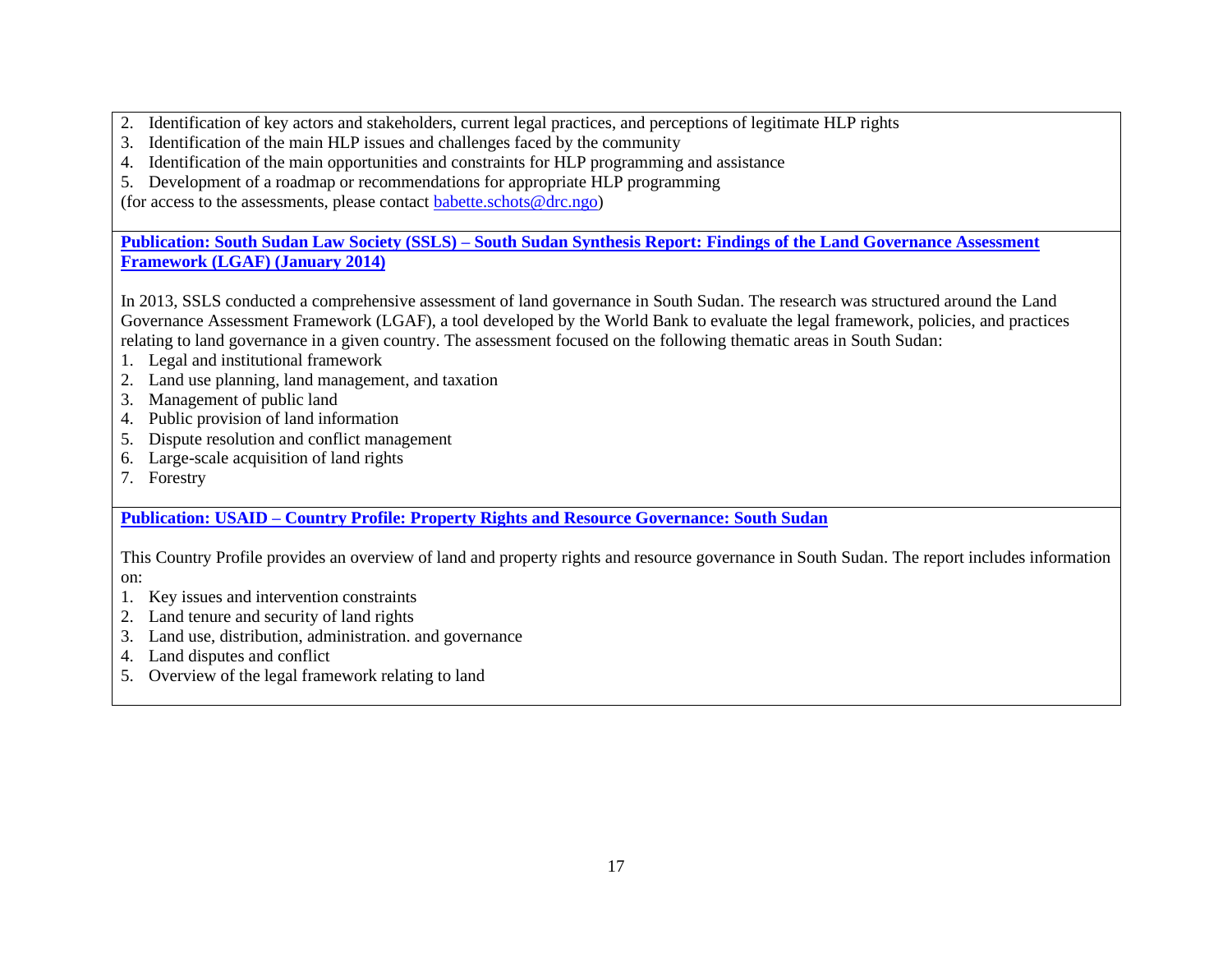- 2. Identification of key actors and stakeholders, current legal practices, and perceptions of legitimate HLP rights
- 3. Identification of the main HLP issues and challenges faced by the community
- 4. Identification of the main opportunities and constraints for HLP programming and assistance
- 5. Development of a roadmap or recommendations for appropriate HLP programming

(for access to the assessments, please contact [babette.schots@drc.ngo\)](mailto:babette.schots@drc.ngo)

**Publication: South Sudan Law Society (SSLS) – [South Sudan Synthesis Report: Findings of the Land Governance Assessment](http://siteresources.worldbank.org/INTLGA/Resources/South_Sudan_Synthesis_Report.pdf)  [Framework \(LGAF\) \(January 2014\)](http://siteresources.worldbank.org/INTLGA/Resources/South_Sudan_Synthesis_Report.pdf)**

In 2013, SSLS conducted a comprehensive assessment of land governance in South Sudan. The research was structured around the Land Governance Assessment Framework (LGAF), a tool developed by the World Bank to evaluate the legal framework, policies, and practices relating to land governance in a given country. The assessment focused on the following thematic areas in South Sudan:

- 1. Legal and institutional framework
- 2. Land use planning, land management, and taxation
- 3. Management of public land
- 4. Public provision of land information
- 5. Dispute resolution and conflict management
- 6. Large-scale acquisition of land rights
- 7. Forestry

**Publication: USAID – [Country Profile: Property Rights and Resource Governance:](https://www.land-links.org/wp-content/uploads/2016/09/USAID_Land_Tenure_South_Sudan_Profile-1.pdf) South Sudan**

This Country Profile provides an overview of land and property rights and resource governance in South Sudan. The report includes information on:

- 1. Key issues and intervention constraints
- 2. Land tenure and security of land rights
- 3. Land use, distribution, administration. and governance
- 4. Land disputes and conflict
- 5. Overview of the legal framework relating to land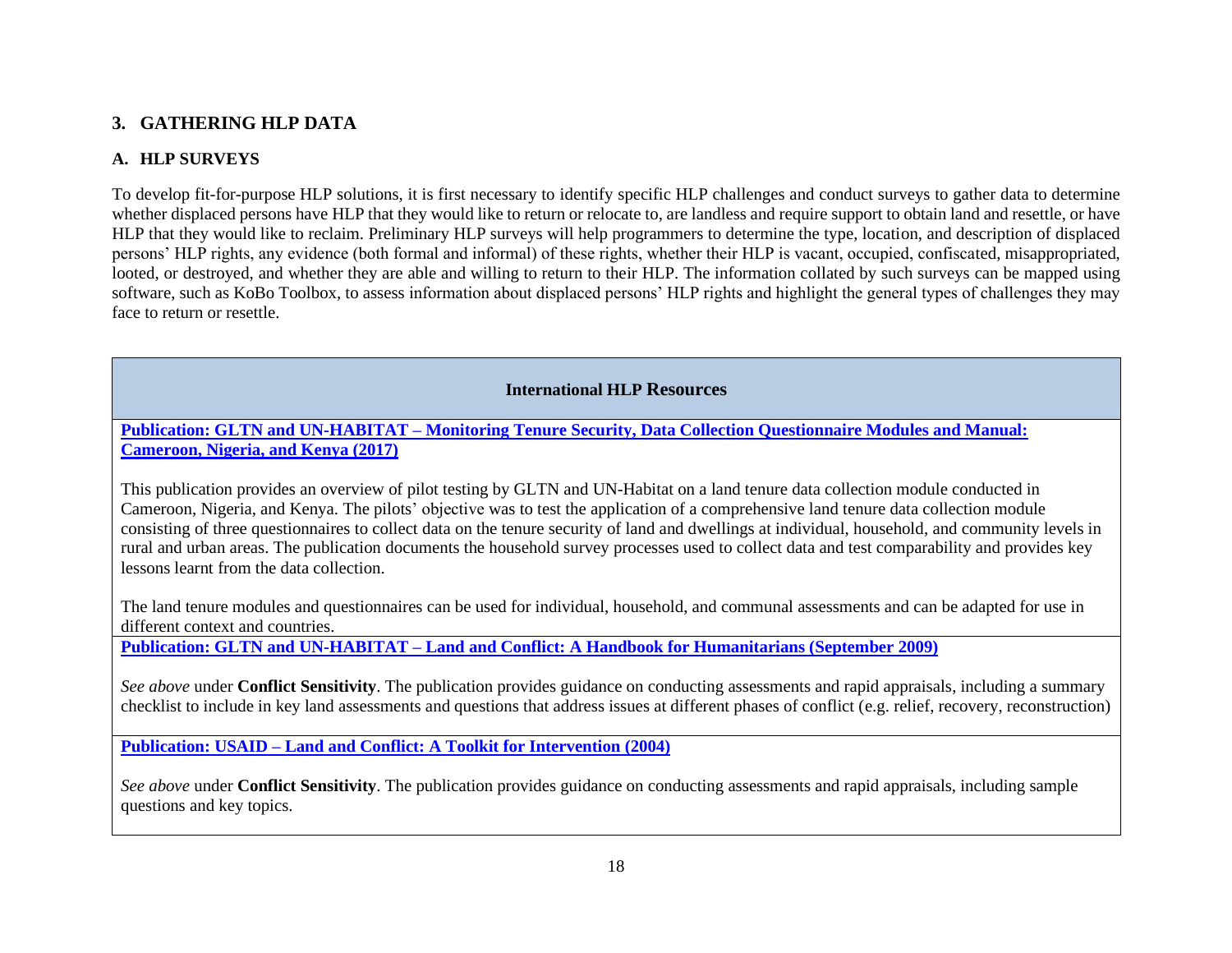# **3. GATHERING HLP DATA**

# **A. HLP SURVEYS**

To develop fit-for-purpose HLP solutions, it is first necessary to identify specific HLP challenges and conduct surveys to gather data to determine whether displaced persons have HLP that they would like to return or relocate to, are landless and require support to obtain land and resettle, or have HLP that they would like to reclaim. Preliminary HLP surveys will help programmers to determine the type, location, and description of displaced persons' HLP rights, any evidence (both formal and informal) of these rights, whether their HLP is vacant, occupied, confiscated, misappropriated, looted, or destroyed, and whether they are able and willing to return to their HLP. The information collated by such surveys can be mapped using software, such as KoBo Toolbox, to assess information about displaced persons' HLP rights and highlight the general types of challenges they may face to return or resettle.

# **International HLP Resources**

**Publication: GLTN and UN-HABITAT – [Monitoring Tenure Security, Data Collection Questionnaire Modules and Manual:](https://unhabitat.org/monitoring-tenure-security-data-collection-questionnaire-modules-and-manual-cameroon-nigeria-and-kenya/)  [Cameroon, Nigeria, and Kenya \(2017\)](https://unhabitat.org/monitoring-tenure-security-data-collection-questionnaire-modules-and-manual-cameroon-nigeria-and-kenya/)**

This publication provides an overview of pilot testing by GLTN and UN-Habitat on a land tenure data collection module conducted in Cameroon, Nigeria, and Kenya. The pilots' objective was to test the application of a comprehensive land tenure data collection module consisting of three questionnaires to collect data on the tenure security of land and dwellings at individual, household, and community levels in rural and urban areas. The publication documents the household survey processes used to collect data and test comparability and provides key lessons learnt from the data collection.

The land tenure modules and questionnaires can be used for individual, household, and communal assessments and can be adapted for use in different context and countries.

**Publication: GLTN and UN-HABITAT – [Land and Conflict: A Handbook for Humanitarians \(September 2009\)](http://land.igad.int/index.php/documents-1/improving-land-governance/capacity-development-tools/1531-land-and-conflict-a-handbook-for-humanitarians/filehttp:/land.igad.int/index.php/documents-1/improving-land-governance/capacity-development-tools/1531-land-and-conflict-a-handbook-for-humanitarians/file)**

*See above* under **Conflict Sensitivity**. The publication provides guidance on conducting assessments and rapid appraisals, including a summary checklist to include in key land assessments and questions that address issues at different phases of conflict (e.g. relief, recovery, reconstruction)

**Publication: USAID – [Land and Conflict: A Toolkit for Intervention \(2004\)](http://land.igad.int/index.php/documents-1/improving-land-governance/capacity-development-tools/1532-land-and-conflict-a-toolkit-for-intervention/filehttp:/land.igad.int/index.php/documents-1/improving-land-governance/capacity-development-tools/1532-land-and-conflict-a-toolkit-for-intervention/file)**

*See above* under **Conflict Sensitivity**. The publication provides guidance on conducting assessments and rapid appraisals, including sample questions and key topics.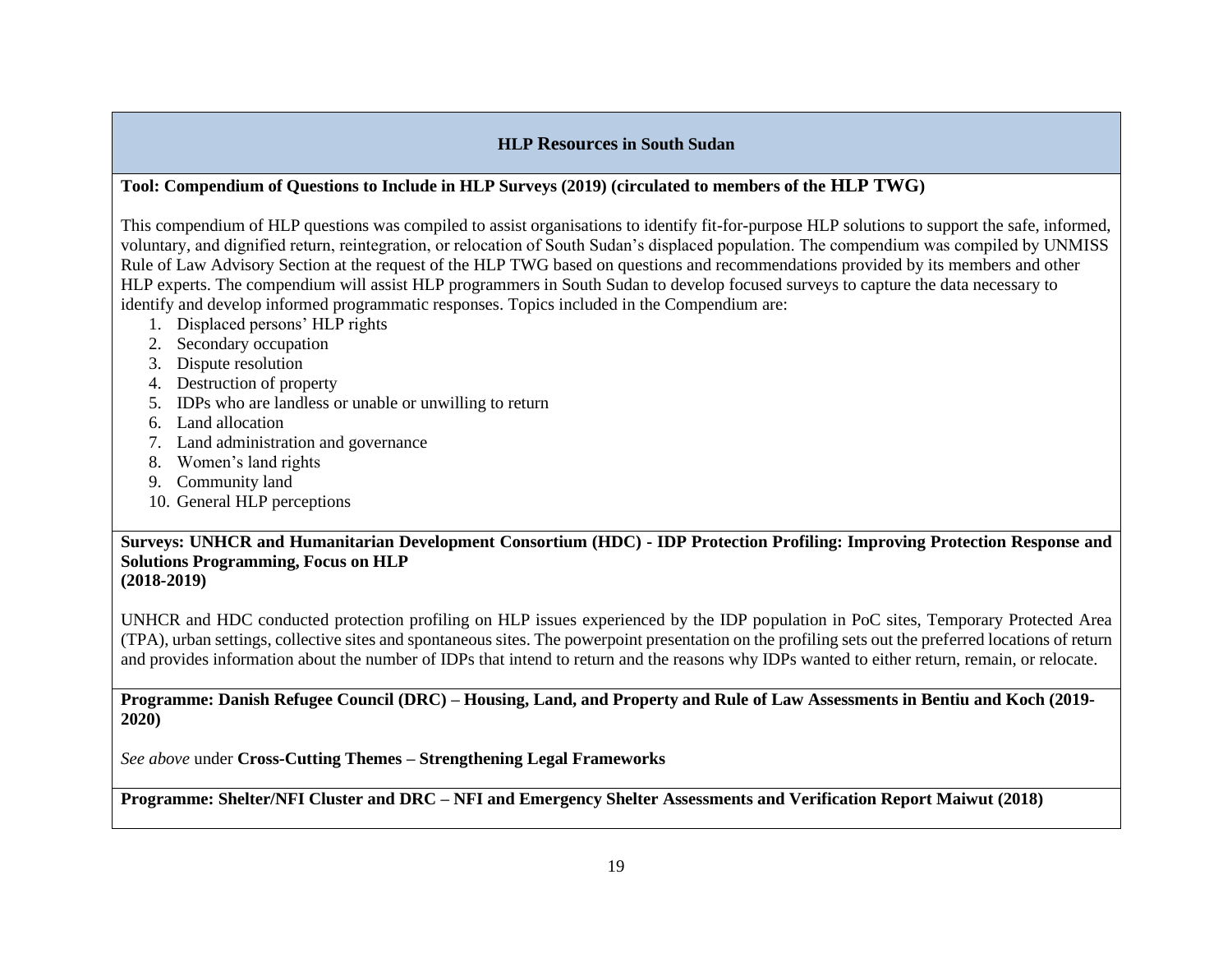# **HLP Resources in South Sudan**

# **Tool: Compendium of Questions to Include in HLP Surveys (2019) (circulated to members of the HLP TWG)**

This compendium of HLP questions was compiled to assist organisations to identify fit-for-purpose HLP solutions to support the safe, informed, voluntary, and dignified return, reintegration, or relocation of South Sudan's displaced population. The compendium was compiled by UNMISS Rule of Law Advisory Section at the request of the HLP TWG based on questions and recommendations provided by its members and other HLP experts. The compendium will assist HLP programmers in South Sudan to develop focused surveys to capture the data necessary to identify and develop informed programmatic responses. Topics included in the Compendium are:

- 1. Displaced persons' HLP rights
- 2. Secondary occupation
- 3. Dispute resolution
- 4. Destruction of property
- 5. IDPs who are landless or unable or unwilling to return
- 6. Land allocation
- 7. Land administration and governance
- 8. Women's land rights
- 9. Community land
- 10. General HLP perceptions

**Surveys: UNHCR and Humanitarian Development Consortium (HDC) - IDP Protection Profiling: Improving Protection Response and Solutions Programming, Focus on HLP (2018-2019)**

UNHCR and HDC conducted protection profiling on HLP issues experienced by the IDP population in PoC sites, Temporary Protected Area (TPA), urban settings, collective sites and spontaneous sites. The powerpoint presentation on the profiling sets out the preferred locations of return and provides information about the number of IDPs that intend to return and the reasons why IDPs wanted to either return, remain, or relocate.

**Programme: Danish Refugee Council (DRC) – Housing, Land, and Property and Rule of Law Assessments in Bentiu and Koch (2019- 2020)**

*See above* under **Cross-Cutting Themes – Strengthening Legal Frameworks**

**Programme: Shelter/NFI Cluster and DRC – NFI and Emergency Shelter Assessments and Verification Report Maiwut (2018)**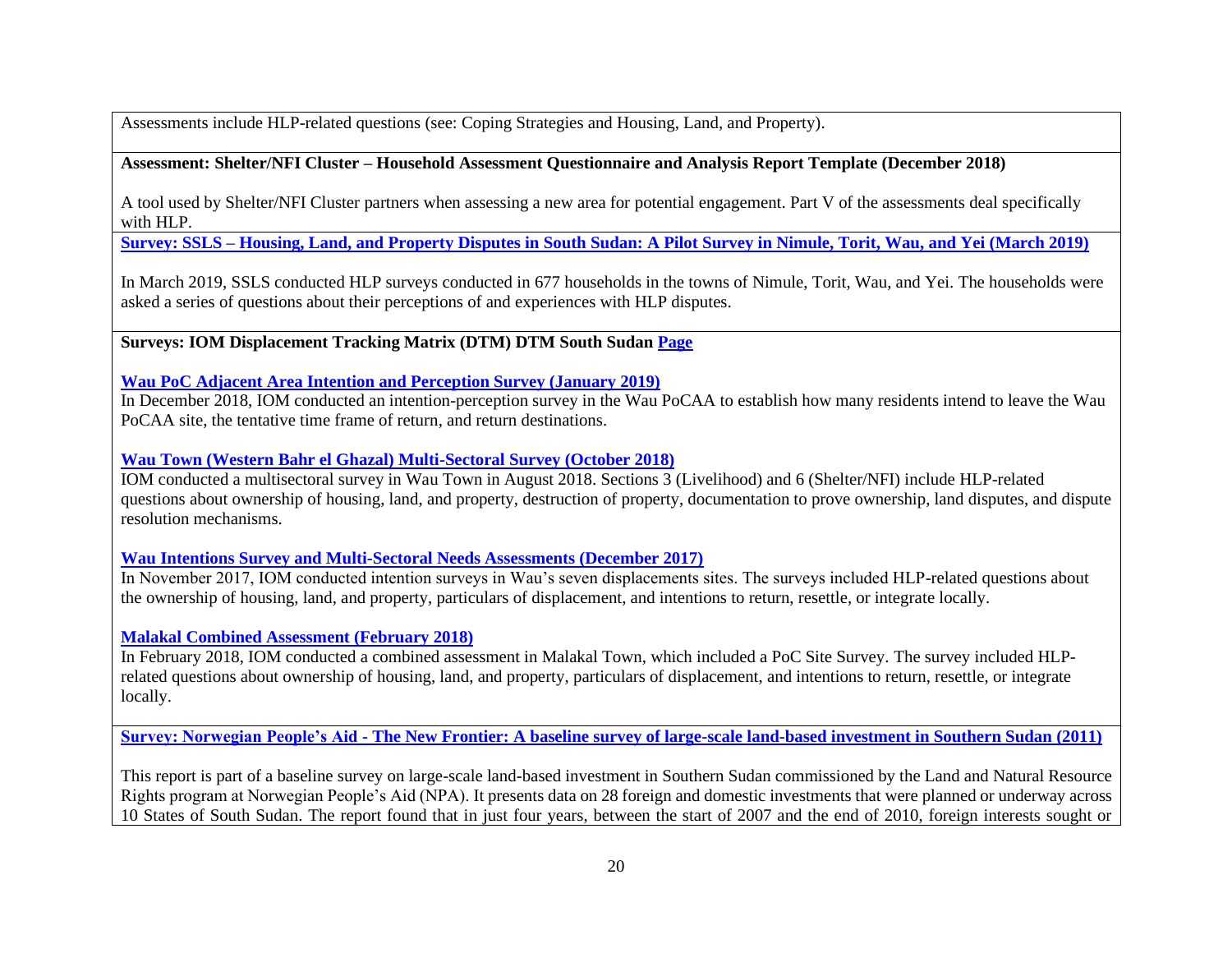Assessments include HLP-related questions (see: Coping Strategies and Housing, Land, and Property).

#### **Assessment: Shelter/NFI Cluster – Household Assessment Questionnaire and Analysis Report Template (December 2018)**

A tool used by Shelter/NFI Cluster partners when assessing a new area for potential engagement. Part V of the assessments deal specifically with HLP.

**Survey: SSLS – [Housing, Land, and Property Disputes in South Sudan: A Pilot Survey in Nimule, Torit, Wau, and Yei \(March 2019\)](https://www.southsudanpeaceportal.com/repository/housing-land-and-property-disputes-in-south-sudan-findings-from-a-survey-nimule-torit-wau-and-yei/)**

In March 2019, SSLS conducted HLP surveys conducted in 677 households in the towns of Nimule, Torit, Wau, and Yei. The households were asked a series of questions about their perceptions of and experiences with HLP disputes.

**Surveys: IOM Displacement Tracking Matrix (DTM) DTM South Suda[n Page](http://www.globaldtm.info/south-sudan/)**

**[Wau PoC Adjacent Area Intention and Perception Survey \(January 2019\)](https://displacement.iom.int/reports/south-sudan-%E2%80%94-intentions-and-perception-survey-%E2%80%93-wau-poc-aa-dec-2018)**

In December 2018, IOM conducted an intention-perception survey in the Wau PoCAA to establish how many residents intend to leave the Wau PoCAA site, the tentative time frame of return, and return destinations.

**[Wau Town \(Western Bahr el Ghazal\) Multi-Sectoral Survey \(October 2018\)](https://displacement.iom.int/system/tdf/reports/20181018%20IOM%20DTM%20Wau%20Multi-Sector%20summary.pdf?file=1&type=node&id=4402)**

IOM conducted a multisectoral survey in Wau Town in August 2018. Sections 3 (Livelihood) and 6 (Shelter/NFI) include HLP-related questions about ownership of housing, land, and property, destruction of property, documentation to prove ownership, land disputes, and dispute resolution mechanisms.

**[Wau Intentions Survey and Multi-Sectoral Needs Assessments \(December 2017\)](https://www.globaldtm.info/dtm-south-sudan-wau-intentions-survey-and-multi-sectorial-assessment-report-december-2017/)**

In November 2017, IOM conducted intention surveys in Wau's seven displacements sites. The surveys included HLP-related questions about the ownership of housing, land, and property, particulars of displacement, and intentions to return, resettle, or integrate locally.

**[Malakal Combined Assessment \(February 2018\)](https://www.iom.int/south-sudan-malakal-combined-assessment-february-2018)**

In February 2018, IOM conducted a combined assessment in Malakal Town, which included a PoC Site Survey. The survey included HLPrelated questions about ownership of housing, land, and property, particulars of displacement, and intentions to return, resettle, or integrate locally.

**Survey: Norwegian People's Aid - [The New Frontier: A baseline survey of large-scale land-based investment in Southern Sudan](https://reliefweb.int/sites/reliefweb.int/files/resources/6F0B144DA275260B8525785C0069DB6A-Full_Report.pdf) (2011)**

This report is part of a baseline survey on large-scale land-based investment in Southern Sudan commissioned by the Land and Natural Resource Rights program at Norwegian People's Aid (NPA). It presents data on 28 foreign and domestic investments that were planned or underway across 10 States of South Sudan. The report found that in just four years, between the start of 2007 and the end of 2010, foreign interests sought or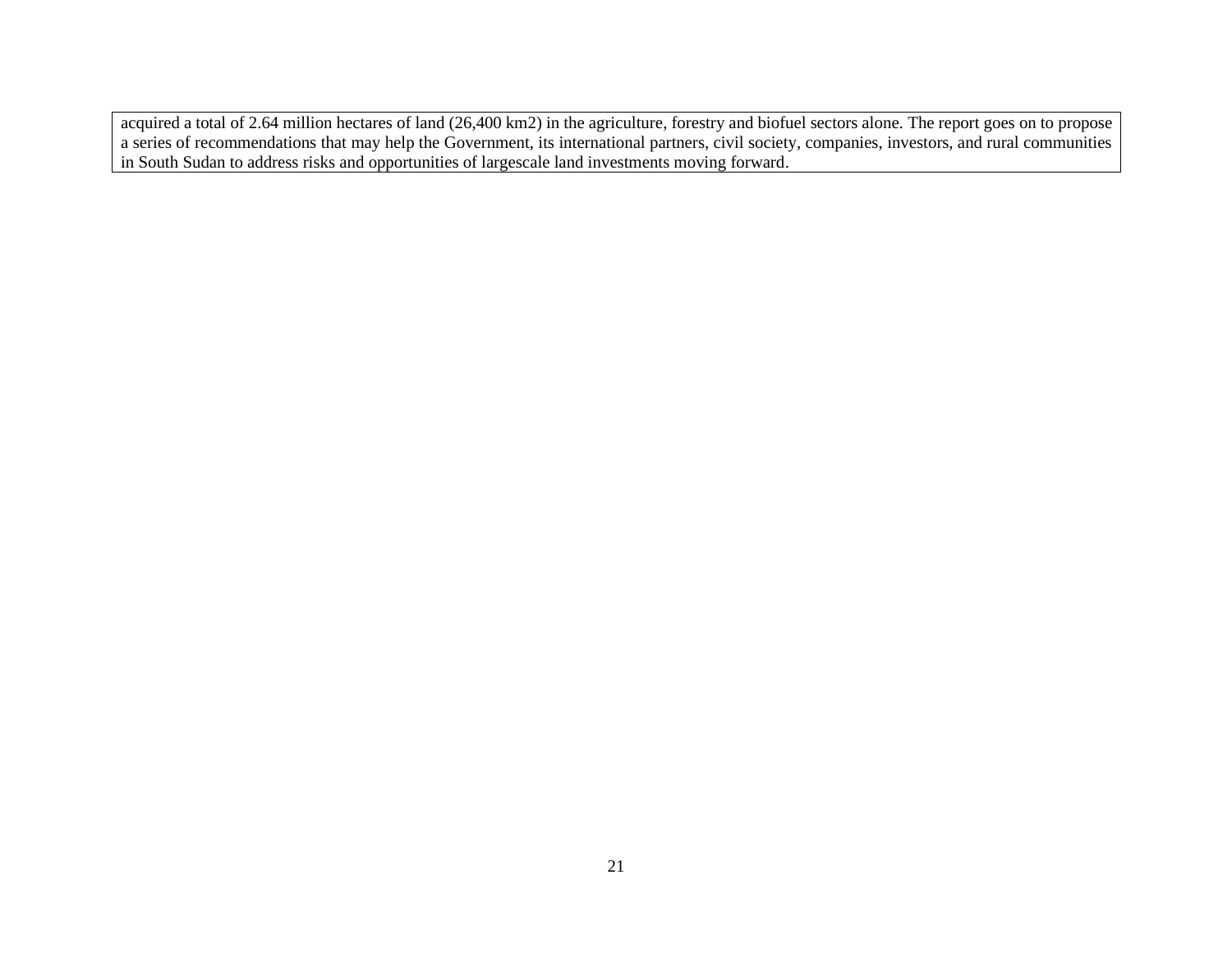acquired a total of 2.64 million hectares of land (26,400 km2) in the agriculture, forestry and biofuel sectors alone. The report goes on to propose a series of recommendations that may help the Government, its international partners, civil society, companies, investors, and rural communities in South Sudan to address risks and opportunities of largescale land investments moving forward.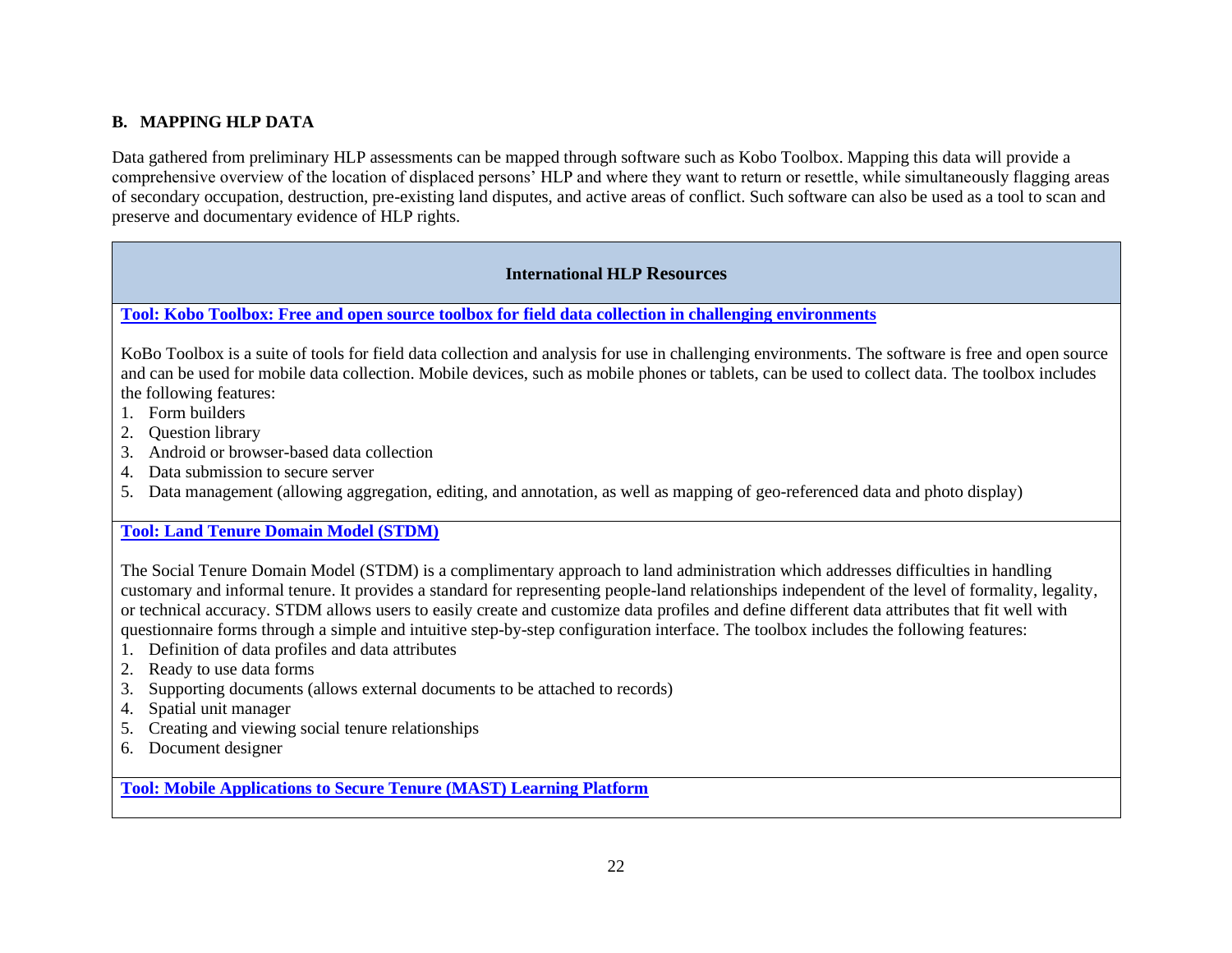# **B. MAPPING HLP DATA**

Data gathered from preliminary HLP assessments can be mapped through software such as Kobo Toolbox. Mapping this data will provide a comprehensive overview of the location of displaced persons' HLP and where they want to return or resettle, while simultaneously flagging areas of secondary occupation, destruction, pre-existing land disputes, and active areas of conflict. Such software can also be used as a tool to scan and preserve and documentary evidence of HLP rights.

# **International HLP Resources**

**[Tool: Kobo Toolbox: Free and open source toolbox for field data collection in challenging environments](https://www.kobotoolbox.org/)**

KoBo Toolbox is a suite of tools for field data collection and analysis for use in challenging environments. The software is free and open source and can be used for mobile data collection. Mobile devices, such as mobile phones or tablets, can be used to collect data. The toolbox includes the following features:

- 1. Form builders
- 2. Question library
- 3. Android or browser-based data collection
- 4. Data submission to secure server
- 5. Data management (allowing aggregation, editing, and annotation, as well as mapping of geo-referenced data and photo display)

# **[Tool: Land Tenure Domain Model \(STDM\)](https://stdm.gltn.net/)**

The Social Tenure Domain Model (STDM) is a complimentary approach to land administration which addresses difficulties in handling customary and informal tenure. It provides a standard for representing people-land relationships independent of the level of formality, legality, or technical accuracy. STDM allows users to easily create and customize data profiles and define different data attributes that fit well with questionnaire forms through a simple and intuitive step-by-step configuration interface. The toolbox includes the following features:

- 1. Definition of data profiles and data attributes
- 2. Ready to use data forms
- 3. Supporting documents (allows external documents to be attached to records)
- 4. Spatial unit manager
- 5. Creating and viewing social tenure relationships
- 6. Document designer

**[Tool: Mobile Applications to Secure Tenure \(MAST\) Learning Platform](https://land-links.org/tool-resource/mobile-applications-to-secure-tenure-mast/)**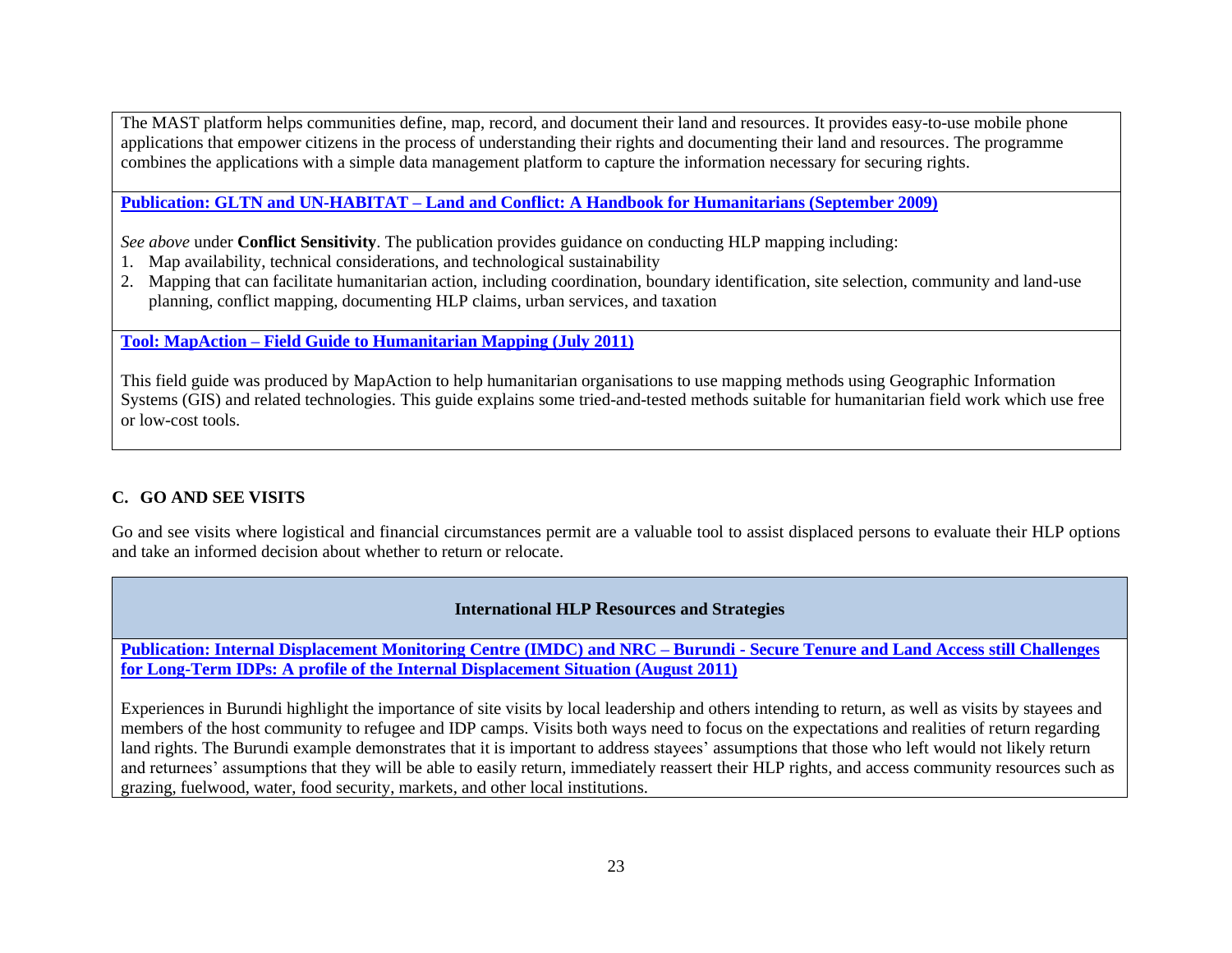The MAST platform helps communities define, map, record, and document their land and resources. It provides easy-to-use mobile phone applications that empower citizens in the process of understanding their rights and documenting their land and resources. The programme combines the applications with a simple data management platform to capture the information necessary for securing rights.

**Publication: GLTN and UN-HABITAT – [Land and Conflict: A Handbook for Humanitarians \(September](http://land.igad.int/index.php/documents-1/improving-land-governance/capacity-development-tools/1531-land-and-conflict-a-handbook-for-humanitarians/filehttp:/land.igad.int/index.php/documents-1/improving-land-governance/capacity-development-tools/1531-land-and-conflict-a-handbook-for-humanitarians/file) 2009)**

*See above* under **Conflict Sensitivity**. The publication provides guidance on conducting HLP mapping including:

- 1. Map availability, technical considerations, and technological sustainability
- 2. Mapping that can facilitate humanitarian action, including coordination, boundary identification, site selection, community and land-use planning, conflict mapping, documenting HLP claims, urban services, and taxation

**Tool: MapAction – [Field Guide to Humanitarian Mapping \(July 2011\)](https://mapaction.org/wp-content/uploads/2016/12/mapaction_field_guide_to_humanitarian_mapping_low_res.pdf)**

This field guide was produced by MapAction to help humanitarian organisations to use mapping methods using Geographic Information Systems (GIS) and related technologies. This guide explains some tried-and-tested methods suitable for humanitarian field work which use free or low-cost tools.

# **C. GO AND SEE VISITS**

Go and see visits where logistical and financial circumstances permit are a valuable tool to assist displaced persons to evaluate their HLP options and take an informed decision about whether to return or relocate.

# **International HLP Resources and Strategies**

**Publication: Internal Displacement Monitoring Centre (IMDC) and NRC – Burundi - [Secure Tenure and Land Access still Challenges](https://www.refworld.org/pdfid/4ed4bf122.pdf)  [for Long-Term IDPs: A profile of the Internal Displacement Situation](https://www.refworld.org/pdfid/4ed4bf122.pdf) (August 2011)**

Experiences in Burundi highlight the importance of site visits by local leadership and others intending to return, as well as visits by stayees and members of the host community to refugee and IDP camps. Visits both ways need to focus on the expectations and realities of return regarding land rights. The Burundi example demonstrates that it is important to address stayees' assumptions that those who left would not likely return and returnees' assumptions that they will be able to easily return, immediately reassert their HLP rights, and access community resources such as grazing, fuelwood, water, food security, markets, and other local institutions.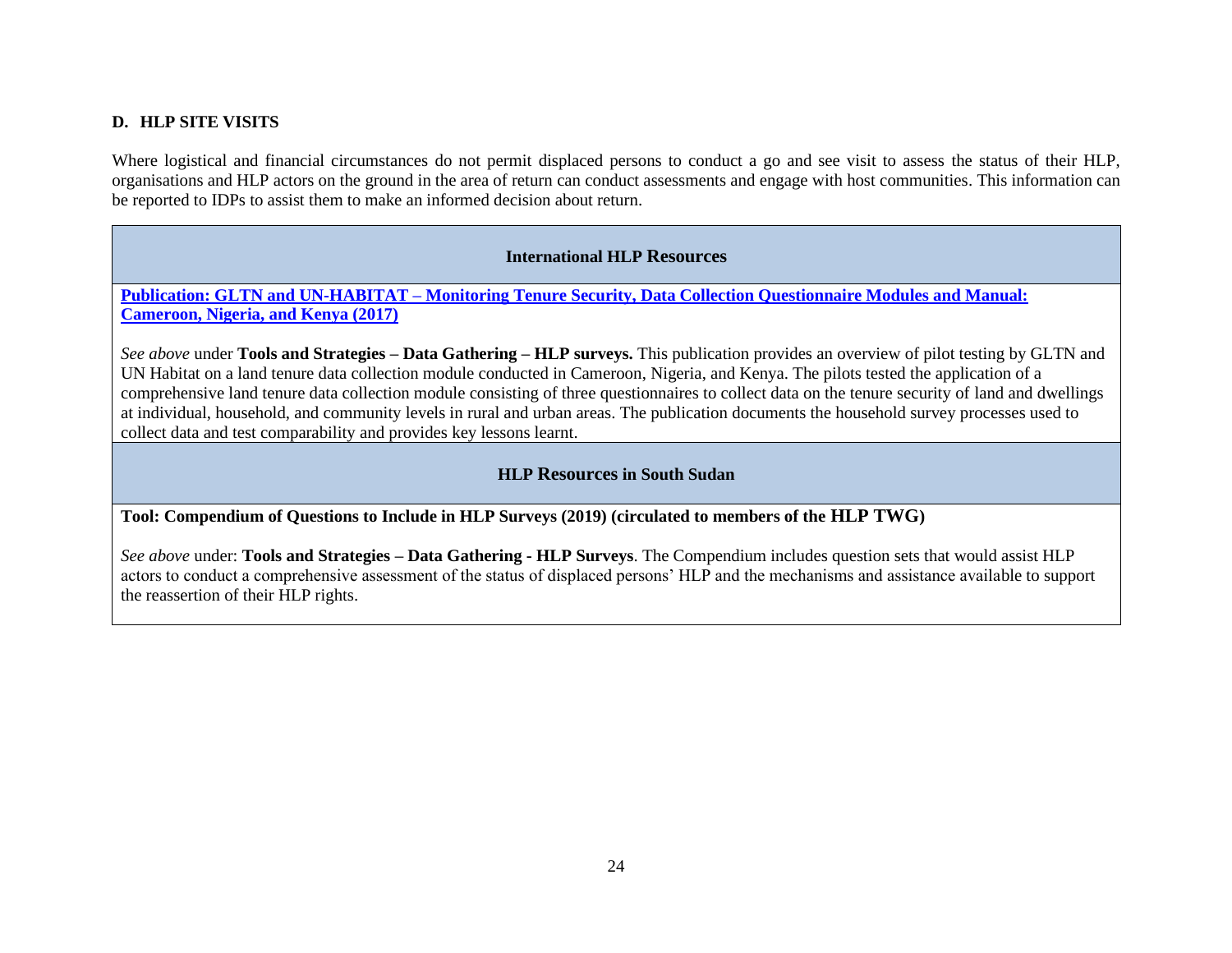#### **D. HLP SITE VISITS**

Where logistical and financial circumstances do not permit displaced persons to conduct a go and see visit to assess the status of their HLP, organisations and HLP actors on the ground in the area of return can conduct assessments and engage with host communities. This information can be reported to IDPs to assist them to make an informed decision about return.

#### **International HLP Resources**

**Publication: GLTN and UN-HABITAT – [Monitoring Tenure Security, Data Collection Questionnaire Modules and Manual:](https://unhabitat.org/monitoring-tenure-security-data-collection-questionnaire-modules-and-manual-cameroon-nigeria-and-kenya/)  [Cameroon, Nigeria, and Kenya \(2017\)](https://unhabitat.org/monitoring-tenure-security-data-collection-questionnaire-modules-and-manual-cameroon-nigeria-and-kenya/)**

*See above* under **Tools and Strategies – Data Gathering – HLP surveys.** This publication provides an overview of pilot testing by GLTN and UN Habitat on a land tenure data collection module conducted in Cameroon, Nigeria, and Kenya. The pilots tested the application of a comprehensive land tenure data collection module consisting of three questionnaires to collect data on the tenure security of land and dwellings at individual, household, and community levels in rural and urban areas. The publication documents the household survey processes used to collect data and test comparability and provides key lessons learnt.

#### **HLP Resources in South Sudan**

**Tool: Compendium of Questions to Include in HLP Surveys (2019) (circulated to members of the HLP TWG)**

*See above* under: **Tools and Strategies – Data Gathering - HLP Surveys**. The Compendium includes question sets that would assist HLP actors to conduct a comprehensive assessment of the status of displaced persons' HLP and the mechanisms and assistance available to support the reassertion of their HLP rights.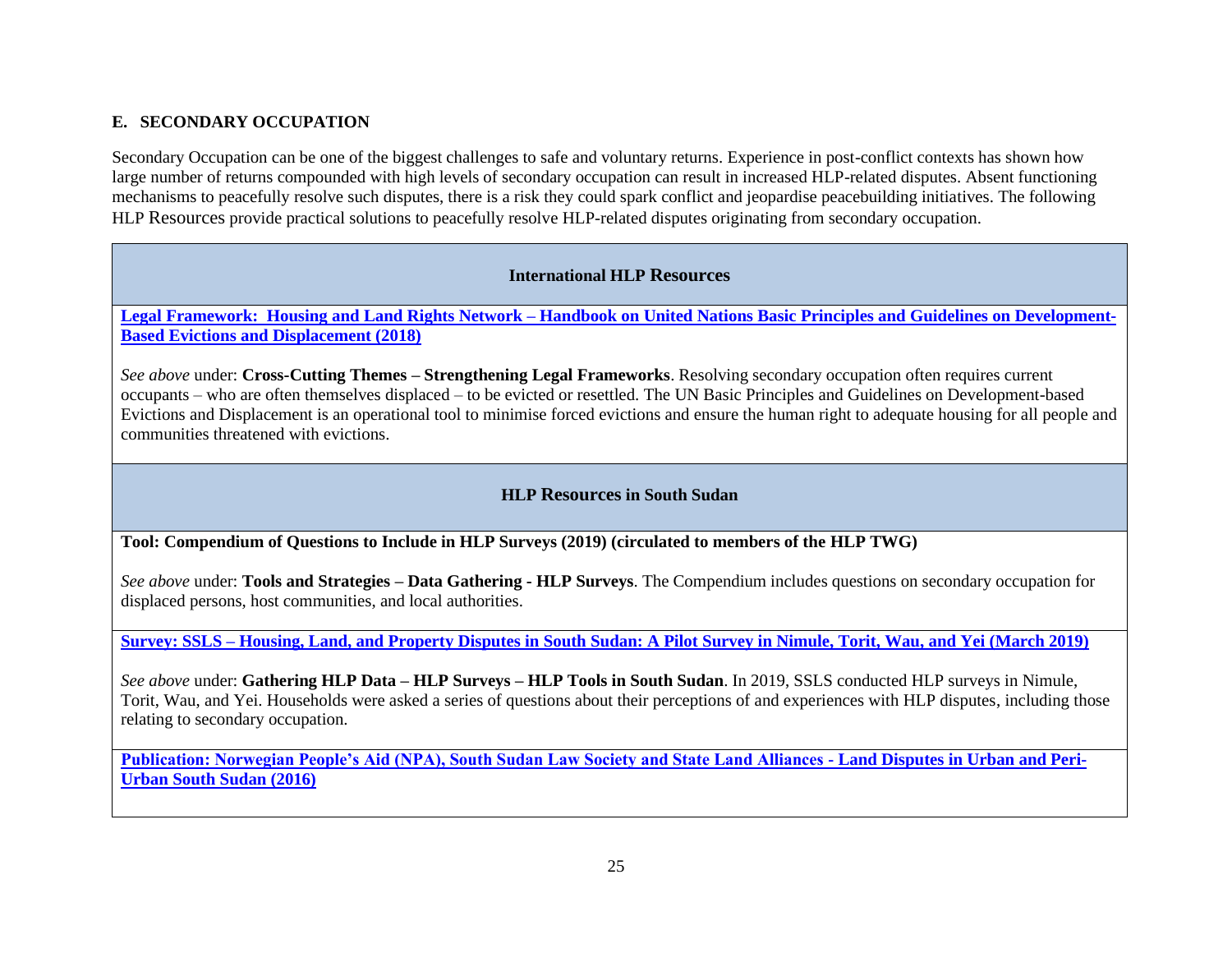# **E. SECONDARY OCCUPATION**

Secondary Occupation can be one of the biggest challenges to safe and voluntary returns. Experience in post-conflict contexts has shown how large number of returns compounded with high levels of secondary occupation can result in increased HLP-related disputes. Absent functioning mechanisms to peacefully resolve such disputes, there is a risk they could spark conflict and jeopardise peacebuilding initiatives. The following HLP Resources provide practical solutions to peacefully resolve HLP-related disputes originating from secondary occupation.

#### **International HLP Resources**

**Legal Framework: Housing and Land Rights Network – [Handbook on United Nations Basic Principles and Guidelines on Development-](http://hlrn.org.in/documents/Handbook_UN_Guidelines.pdf)[Based Evictions and Displacement \(2018\)](http://hlrn.org.in/documents/Handbook_UN_Guidelines.pdf)**

*See above* under: **Cross-Cutting Themes – Strengthening Legal Frameworks**. Resolving secondary occupation often requires current occupants – who are often themselves displaced – to be evicted or resettled. The UN Basic Principles and Guidelines on Development-based Evictions and Displacement is an operational tool to minimise forced evictions and ensure the human right to adequate housing for all people and communities threatened with evictions.

# **HLP Resources in South Sudan**

**Tool: Compendium of Questions to Include in HLP Surveys (2019) (circulated to members of the HLP TWG)**

*See above* under: **Tools and Strategies – Data Gathering - HLP Surveys**. The Compendium includes questions on secondary occupation for displaced persons, host communities, and local authorities.

**Survey: SSLS – [Housing, Land, and Property Disputes in South Sudan: A Pilot Survey in Nimule, Torit, Wau, and Yei \(March 2019\)](https://www.southsudanpeaceportal.com/repository/housing-land-and-property-disputes-in-south-sudan-findings-from-a-survey-nimule-torit-wau-and-yei/)**

*See above* under: **Gathering HLP Data – HLP Surveys – HLP Tools in South Sudan**. In 2019, SSLS conducted HLP surveys in Nimule, Torit, Wau, and Yei. Households were asked a series of questions about their perceptions of and experiences with HLP disputes, including those relating to secondary occupation.

**[Publication: Norwegian People's Aid \(NPA\), South Sudan Law Society and State Land Alliances -](http://www.mfpritchard.com/wp-content/uploads/2017/09/Pritchard-2017.pdf) Land Disputes in Urban and Peri-[Urban South Sudan \(2016\)](http://www.mfpritchard.com/wp-content/uploads/2017/09/Pritchard-2017.pdf)**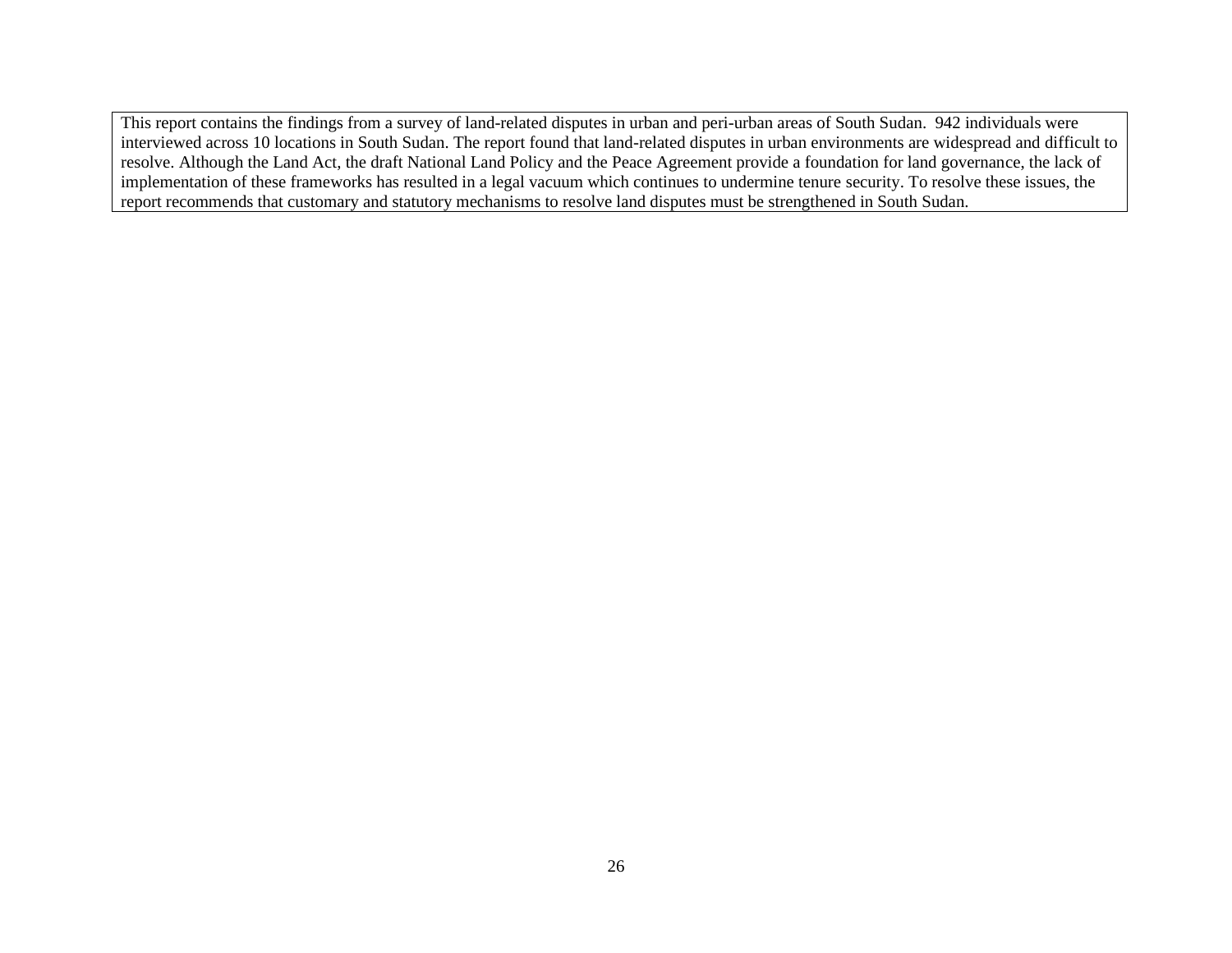This report contains the findings from a survey of land-related disputes in urban and peri-urban areas of South Sudan. 942 individuals were interviewed across 10 locations in South Sudan. The report found that land-related disputes in urban environments are widespread and difficult to resolve. Although the Land Act, the draft National Land Policy and the Peace Agreement provide a foundation for land governance, the lack of implementation of these frameworks has resulted in a legal vacuum which continues to undermine tenure security. To resolve these issues, the report recommends that customary and statutory mechanisms to resolve land disputes must be strengthened in South Sudan.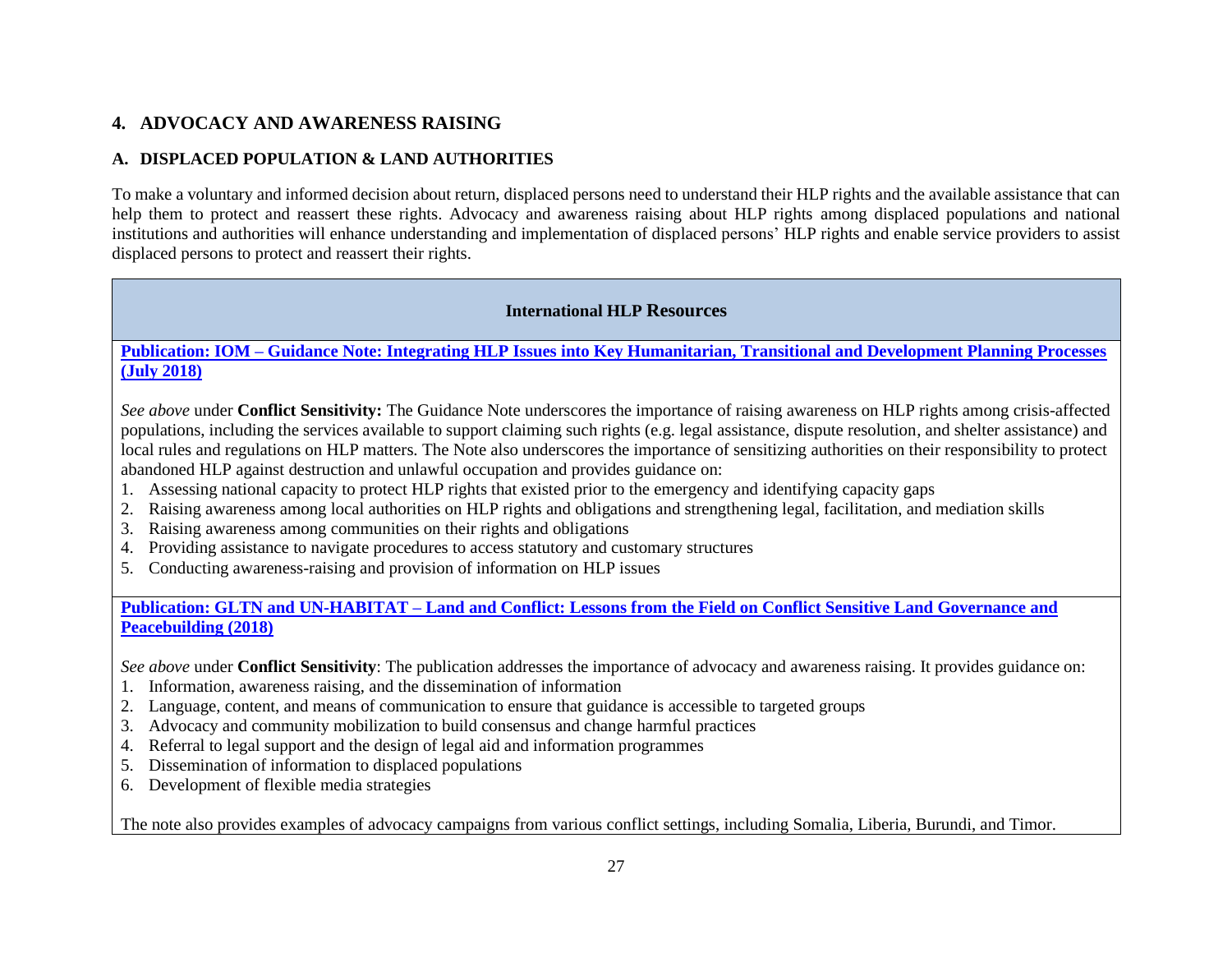# **4. ADVOCACY AND AWARENESS RAISING**

# **A. DISPLACED POPULATION & LAND AUTHORITIES**

To make a voluntary and informed decision about return, displaced persons need to understand their HLP rights and the available assistance that can help them to protect and reassert these rights. Advocacy and awareness raising about HLP rights among displaced populations and national institutions and authorities will enhance understanding and implementation of displaced persons' HLP rights and enable service providers to assist displaced persons to protect and reassert their rights.

# **International HLP Resources**

# **Publication: IOM – [Guidance Note: Integrating HLP Issues into Key Humanitarian, Transitional and Development Planning Processes](https://publications.iom.int/system/files/pdf/guidance_note.pdf)  [\(July 2018\)](https://publications.iom.int/system/files/pdf/guidance_note.pdf)**

*See above* under **Conflict Sensitivity:** The Guidance Note underscores the importance of raising awareness on HLP rights among crisis-affected populations, including the services available to support claiming such rights (e.g. legal assistance, dispute resolution, and shelter assistance) and local rules and regulations on HLP matters. The Note also underscores the importance of sensitizing authorities on their responsibility to protect abandoned HLP against destruction and unlawful occupation and provides guidance on:

- 1. Assessing national capacity to protect HLP rights that existed prior to the emergency and identifying capacity gaps
- 2. Raising awareness among local authorities on HLP rights and obligations and strengthening legal, facilitation, and mediation skills
- 3. Raising awareness among communities on their rights and obligations
- 4. Providing assistance to navigate procedures to access statutory and customary structures
- 5. Conducting awareness-raising and provision of information on HLP issues

# **Publication: GLTN and UN-HABITAT – [Land and Conflict: Lessons from the Field on Conflict Sensitive Land Governance and](https://gltn.net/download/land-and-conflict-lessons-from-the-field-on-conflict-sensitive-land-governance-and-peacebuilding/)  [Peacebuilding \(2018\)](https://gltn.net/download/land-and-conflict-lessons-from-the-field-on-conflict-sensitive-land-governance-and-peacebuilding/)**

*See above* under **Conflict Sensitivity**: The publication addresses the importance of advocacy and awareness raising. It provides guidance on:

- 1. Information, awareness raising, and the dissemination of information
- 2. Language, content, and means of communication to ensure that guidance is accessible to targeted groups
- 3. Advocacy and community mobilization to build consensus and change harmful practices
- 4. Referral to legal support and the design of legal aid and information programmes
- 5. Dissemination of information to displaced populations
- 6. Development of flexible media strategies

The note also provides examples of advocacy campaigns from various conflict settings, including Somalia, Liberia, Burundi, and Timor.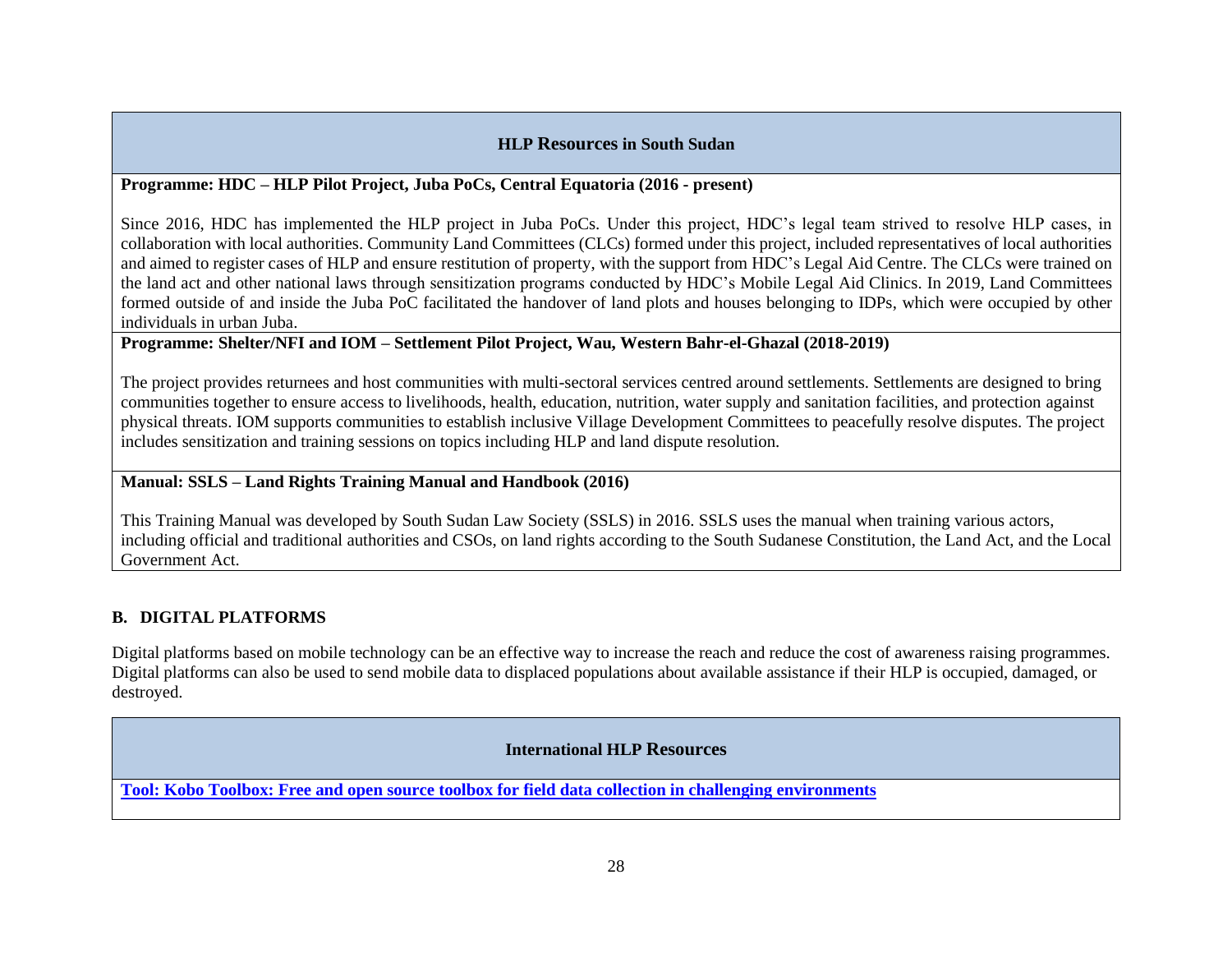# **HLP Resources in South Sudan**

# **Programme: HDC – HLP Pilot Project, Juba PoCs, Central Equatoria (2016 - present)**

Since 2016, HDC has implemented the HLP project in Juba PoCs. Under this project, HDC's legal team strived to resolve HLP cases, in collaboration with local authorities. Community Land Committees (CLCs) formed under this project, included representatives of local authorities and aimed to register cases of HLP and ensure restitution of property, with the support from HDC's Legal Aid Centre. The CLCs were trained on the land act and other national laws through sensitization programs conducted by HDC's Mobile Legal Aid Clinics. In 2019, Land Committees formed outside of and inside the Juba PoC facilitated the handover of land plots and houses belonging to IDPs, which were occupied by other individuals in urban Juba.

# **Programme: Shelter/NFI and IOM – Settlement Pilot Project, Wau, Western Bahr-el-Ghazal (2018-2019)**

The project provides returnees and host communities with multi-sectoral services centred around settlements. Settlements are designed to bring communities together to ensure access to livelihoods, health, education, nutrition, water supply and sanitation facilities, and protection against physical threats. IOM supports communities to establish inclusive Village Development Committees to peacefully resolve disputes. The project includes sensitization and training sessions on topics including HLP and land dispute resolution.

# **Manual: SSLS – Land Rights Training Manual and Handbook (2016)**

This Training Manual was developed by South Sudan Law Society (SSLS) in 2016. SSLS uses the manual when training various actors, including official and traditional authorities and CSOs, on land rights according to the South Sudanese Constitution, the Land Act, and the Local Government Act.

# **B. DIGITAL PLATFORMS**

Digital platforms based on mobile technology can be an effective way to increase the reach and reduce the cost of awareness raising programmes. Digital platforms can also be used to send mobile data to displaced populations about available assistance if their HLP is occupied, damaged, or destroyed.

#### **International HLP Resources**

**[Tool: Kobo Toolbox: Free and open source toolbox for field data collection in challenging environments](https://www.kobotoolbox.org/)**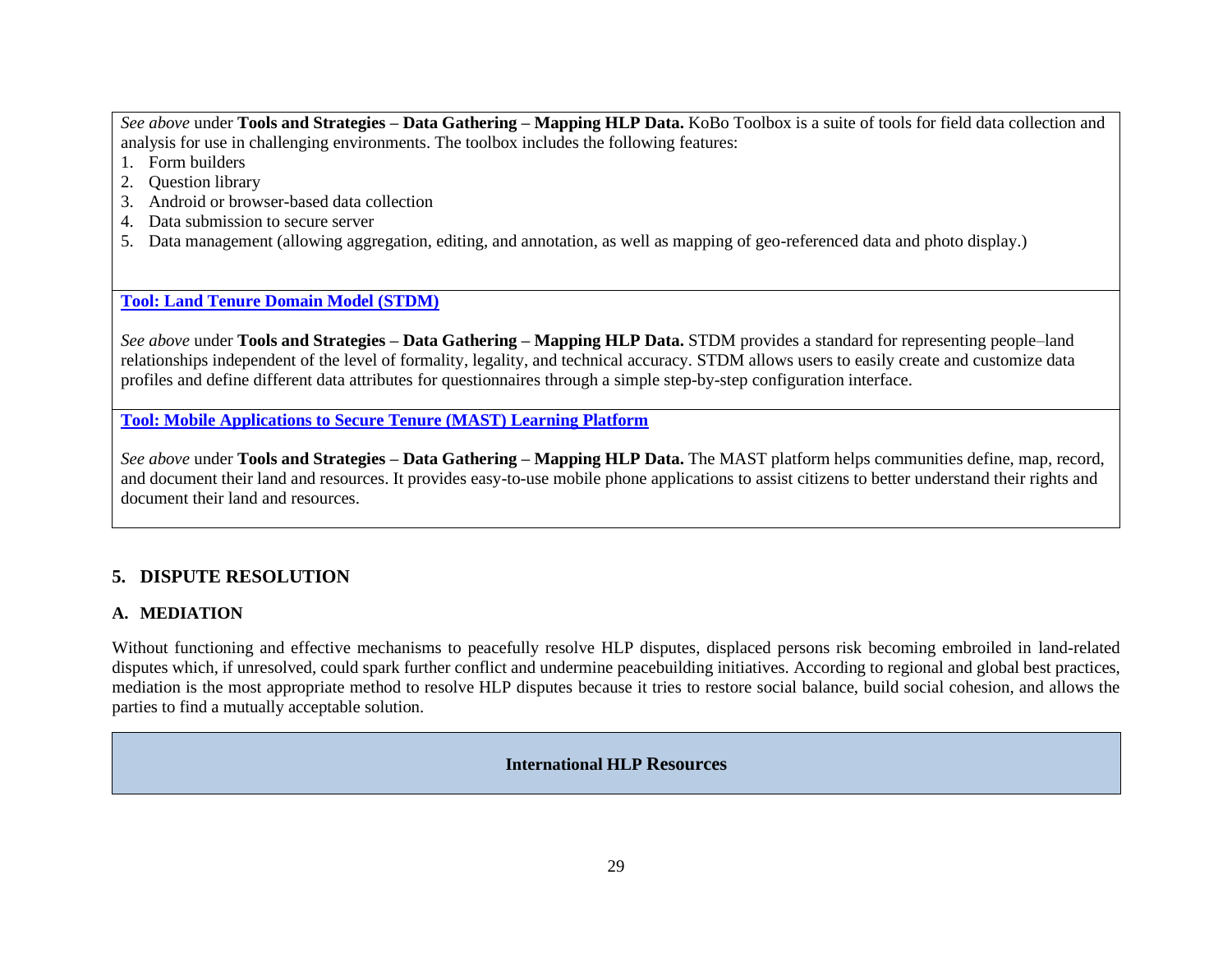*See above* under **Tools and Strategies – Data Gathering – Mapping HLP Data.** KoBo Toolbox is a suite of tools for field data collection and analysis for use in challenging environments. The toolbox includes the following features:

- 1. Form builders
- 2. Question library
- 3. Android or browser-based data collection
- 4. Data submission to secure server
- 5. Data management (allowing aggregation, editing, and annotation, as well as mapping of geo-referenced data and photo display.)

# **[Tool: Land Tenure Domain Model \(STDM\)](https://stdm.gltn.net/)**

*See above* under **Tools and Strategies – Data Gathering – Mapping HLP Data.** STDM provides a standard for representing people–land relationships independent of the level of formality, legality, and technical accuracy. STDM allows users to easily create and customize data profiles and define different data attributes for questionnaires through a simple step-by-step configuration interface.

**[Tool: Mobile Applications to Secure Tenure \(MAST\) Learning Platform](https://land-links.org/tool-resource/mobile-applications-to-secure-tenure-mast/)** 

*See above* under **Tools and Strategies – Data Gathering – Mapping HLP Data.** The MAST platform helps communities define, map, record, and document their land and resources. It provides easy-to-use mobile phone applications to assist citizens to better understand their rights and document their land and resources.

# **5. DISPUTE RESOLUTION**

# **A. MEDIATION**

Without functioning and effective mechanisms to peacefully resolve HLP disputes, displaced persons risk becoming embroiled in land-related disputes which, if unresolved, could spark further conflict and undermine peacebuilding initiatives. According to regional and global best practices, mediation is the most appropriate method to resolve HLP disputes because it tries to restore social balance, build social cohesion, and allows the parties to find a mutually acceptable solution.

**International HLP Resources**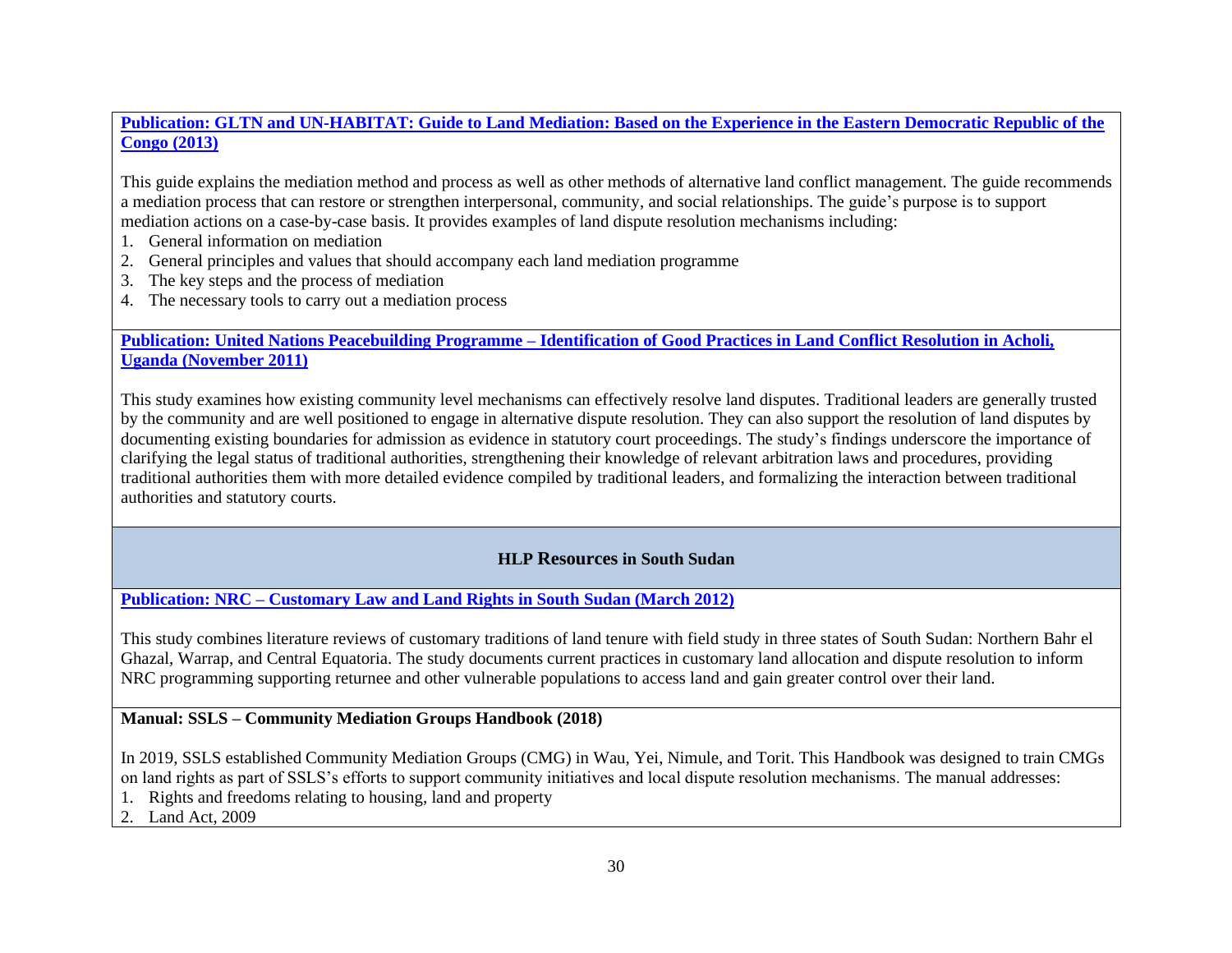**[Publication: GLTN and UN-HABITAT: Guide to Land Mediation: Based on the Experience in the Eastern Democratic Republic of the](https://gltn.net/2013/11/08/guide-to-land-mediation/)  [Congo \(2013\)](https://gltn.net/2013/11/08/guide-to-land-mediation/)**

This guide explains the mediation method and process as well as other methods of alternative land conflict management. The guide recommends a mediation process that can restore or strengthen interpersonal, community, and social relationships. The guide's purpose is to support mediation actions on a case-by-case basis. It provides examples of land dispute resolution mechanisms including:

- 1. General information on mediation
- 2. General principles and values that should accompany each land mediation programme
- 3. The key steps and the process of mediation
- 4. The necessary tools to carry out a mediation process

**Publication: United Nations Peacebuilding Programme – [Identification of Good Practices in Land Conflict Resolution in Acholi,](http://land.igad.int/index.php/documents-1/improving-land-governance/best-practices/1528-identification-of-good-practices-in-land-conflict-resolution-in-acholi-uganda/file)  [Uganda \(November 2011\)](http://land.igad.int/index.php/documents-1/improving-land-governance/best-practices/1528-identification-of-good-practices-in-land-conflict-resolution-in-acholi-uganda/file)**

This study examines how existing community level mechanisms can effectively resolve land disputes. Traditional leaders are generally trusted by the community and are well positioned to engage in alternative dispute resolution. They can also support the resolution of land disputes by documenting existing boundaries for admission as evidence in statutory court proceedings. The study's findings underscore the importance of clarifying the legal status of traditional authorities, strengthening their knowledge of relevant arbitration laws and procedures, providing traditional authorities them with more detailed evidence compiled by traditional leaders, and formalizing the interaction between traditional authorities and statutory courts.

# **HLP Resources in South Sudan**

**Publication: NRC – [Customary Law and Land Rights in South Sudan \(March 2012\)](https://www.nrc.no/resources/reports/customary-law-and-land-rights-in-south-sudan/)**

This study combines literature reviews of customary traditions of land tenure with field study in three states of South Sudan: Northern Bahr el Ghazal, Warrap, and Central Equatoria. The study documents current practices in customary land allocation and dispute resolution to inform NRC programming supporting returnee and other vulnerable populations to access land and gain greater control over their land.

# **Manual: SSLS – Community Mediation Groups Handbook (2018)**

In 2019, SSLS established Community Mediation Groups (CMG) in Wau, Yei, Nimule, and Torit. This Handbook was designed to train CMGs on land rights as part of SSLS's efforts to support community initiatives and local dispute resolution mechanisms. The manual addresses:

- 1. Rights and freedoms relating to housing, land and property
- 2. Land Act, 2009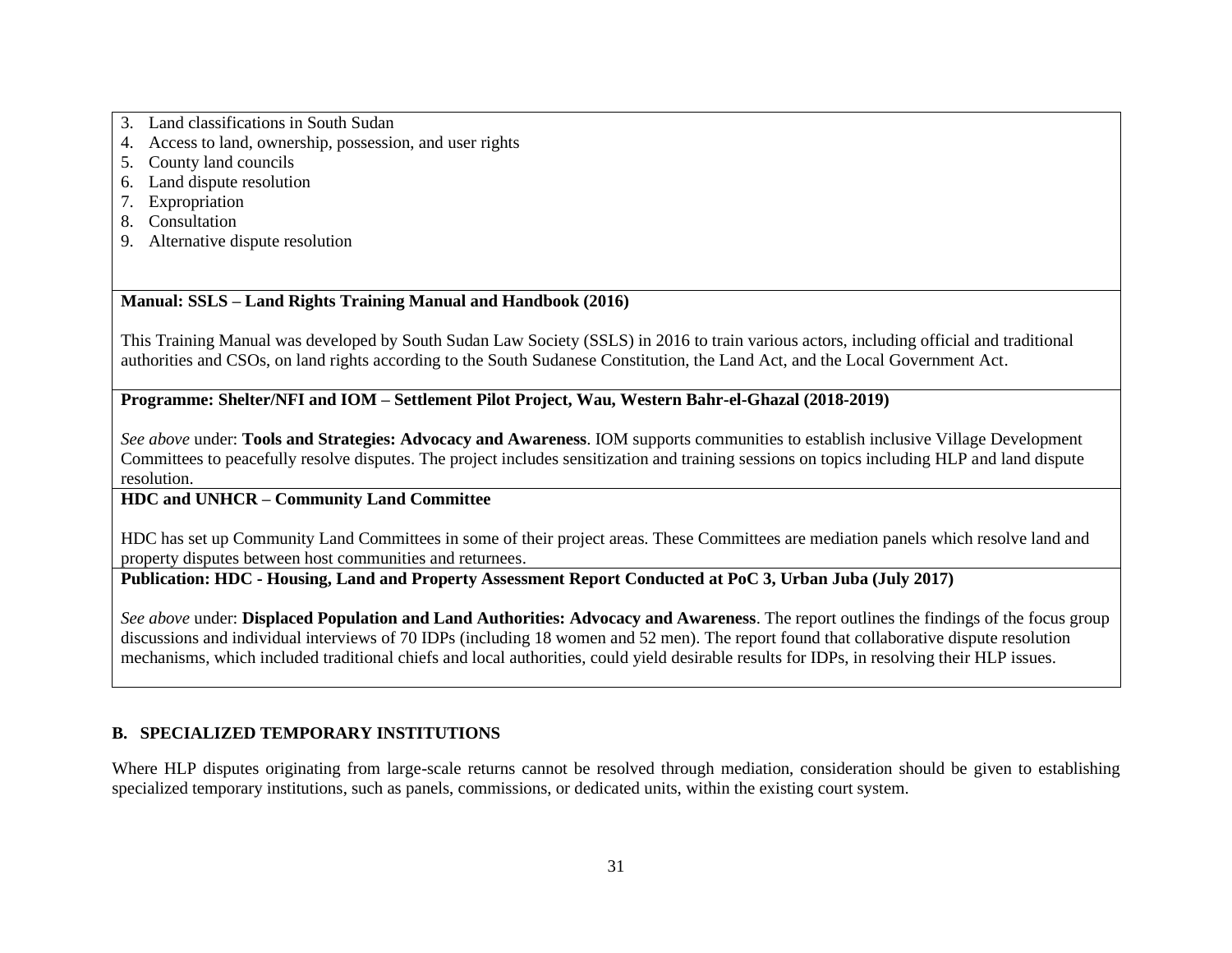- 3. Land classifications in South Sudan
- 4. Access to land, ownership, possession, and user rights
- 5. County land councils
- 6. Land dispute resolution
- 7. Expropriation
- 8. Consultation
- 9. Alternative dispute resolution

# **Manual: SSLS – Land Rights Training Manual and Handbook (2016)**

This Training Manual was developed by South Sudan Law Society (SSLS) in 2016 to train various actors, including official and traditional authorities and CSOs, on land rights according to the South Sudanese Constitution, the Land Act, and the Local Government Act.

# **Programme: Shelter/NFI and IOM – Settlement Pilot Project, Wau, Western Bahr-el-Ghazal (2018-2019)**

*See above* under: **Tools and Strategies: Advocacy and Awareness**. IOM supports communities to establish inclusive Village Development Committees to peacefully resolve disputes. The project includes sensitization and training sessions on topics including HLP and land dispute resolution.

# **HDC and UNHCR – Community Land Committee**

HDC has set up Community Land Committees in some of their project areas. These Committees are mediation panels which resolve land and property disputes between host communities and returnees.

# **Publication: HDC - Housing, Land and Property Assessment Report Conducted at PoC 3, Urban Juba (July 2017)**

*See above* under: **Displaced Population and Land Authorities: Advocacy and Awareness**. The report outlines the findings of the focus group discussions and individual interviews of 70 IDPs (including 18 women and 52 men). The report found that collaborative dispute resolution mechanisms, which included traditional chiefs and local authorities, could yield desirable results for IDPs, in resolving their HLP issues.

# **B. SPECIALIZED TEMPORARY INSTITUTIONS**

Where HLP disputes originating from large-scale returns cannot be resolved through mediation, consideration should be given to establishing specialized temporary institutions, such as panels, commissions, or dedicated units, within the existing court system.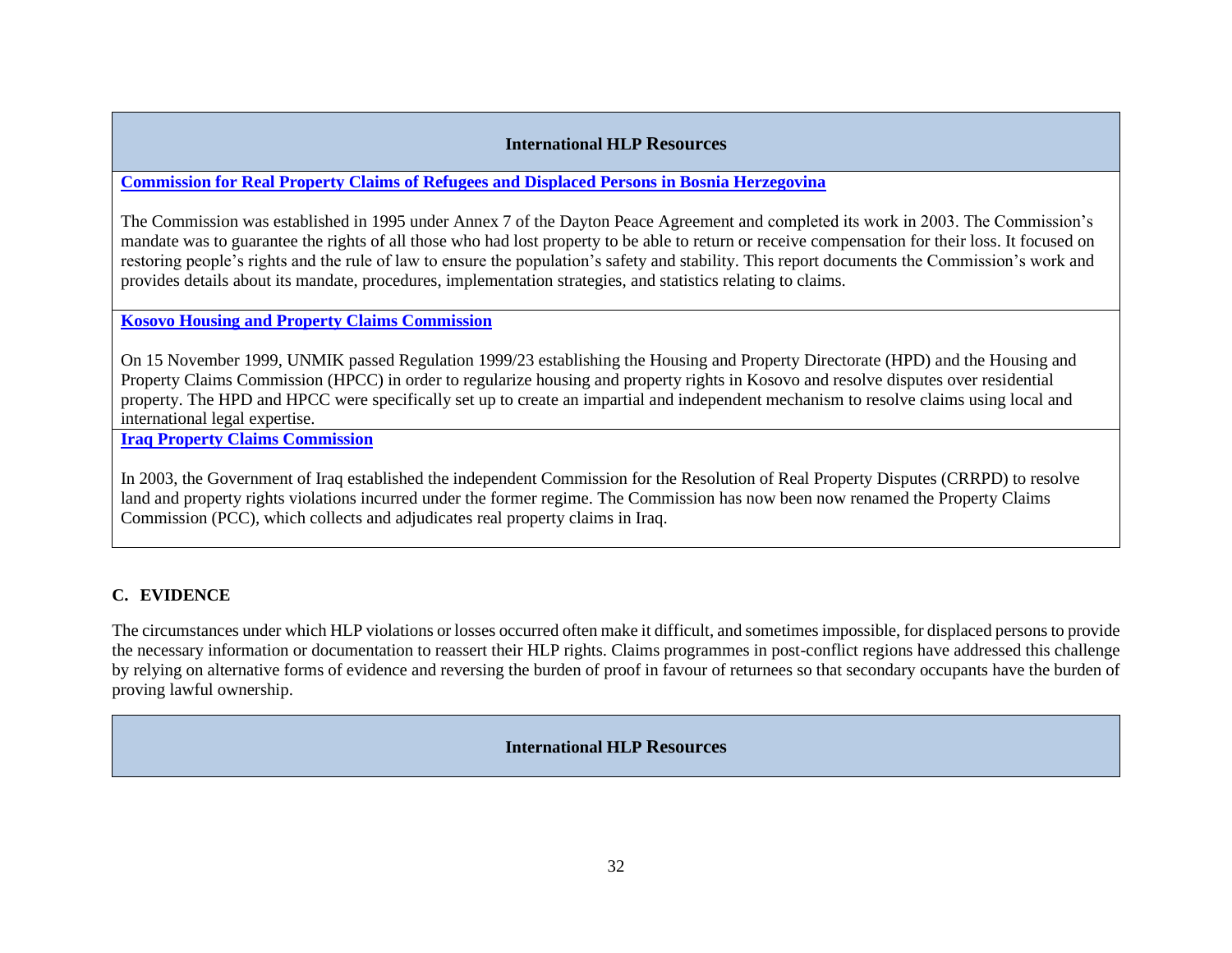# **International HLP Resources**

**[Commission for Real Property Claims of Refugees and Displaced Persons in Bosnia Herzegovina](http://www.nuhanovicfoundation.org/en/legal-instruments/commission-for-real-property-claims-of-refugees-and-displaced-persons-in-bosnia-herzegovina/)**

The Commission was established in 1995 under Annex 7 of the Dayton Peace Agreement and completed its work in 2003. The Commission's mandate was to guarantee the rights of all those who had lost property to be able to return or receive compensation for their loss. It focused on restoring people's rights and the rule of law to ensure the population's safety and stability. This report documents the Commission's work and provides details about its mandate, procedures, implementation strategies, and statistics relating to claims.

**[Kosovo Housing and Property Claims Commission](http://www.kpaonline.org/hpd/aboutus.htm)**

On 15 November 1999, UNMIK passed Regulation 1999/23 establishing the Housing and Property Directorate (HPD) and the Housing and Property Claims Commission (HPCC) in order to regularize housing and property rights in Kosovo and resolve disputes over residential property. The HPD and HPCC were specifically set up to create an impartial and independent mechanism to resolve claims using local and international legal expertise.

**[Iraq Property Claims Commission](http://publications.iom.int/fr/system/files/pdf/property_restitution_compensation.pdf)**

In 2003, the Government of Iraq established the independent Commission for the Resolution of Real Property Disputes (CRRPD) to resolve land and property rights violations incurred under the former regime. The Commission has now been now renamed the Property Claims Commission (PCC), which collects and adjudicates real property claims in Iraq.

# **C. EVIDENCE**

The circumstances under which HLP violations or losses occurred often make it difficult, and sometimes impossible, for displaced persons to provide the necessary information or documentation to reassert their HLP rights. Claims programmes in post-conflict regions have addressed this challenge by relying on alternative forms of evidence and reversing the burden of proof in favour of returnees so that secondary occupants have the burden of proving lawful ownership.

**International HLP Resources**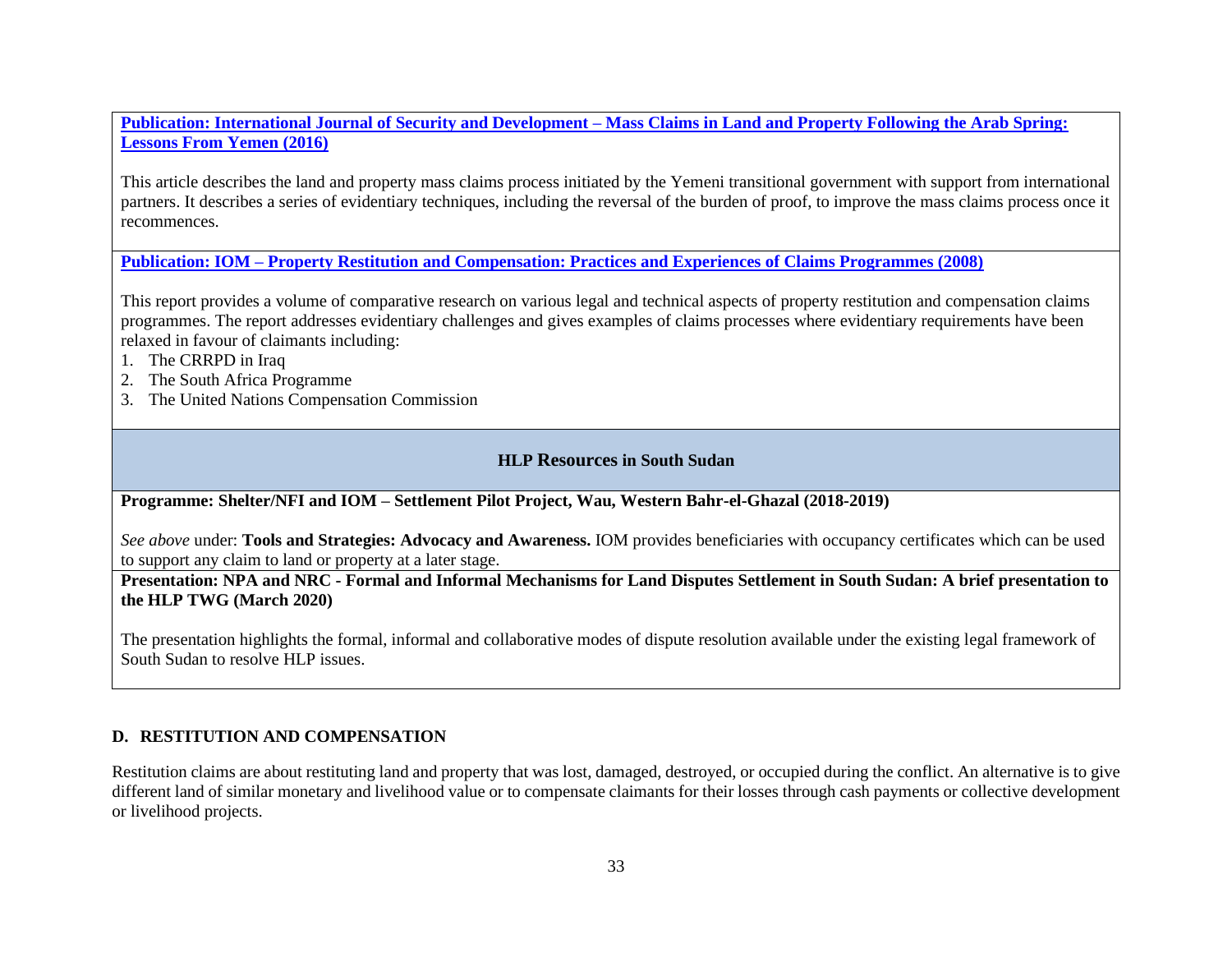**Publication: International Journal of Security and Development – [Mass Claims in Land and Property Following the Arab Spring:](https://www.stabilityjournal.org/articles/10.5334/sta.444/)  [Lessons From Yemen \(2016\)](https://www.stabilityjournal.org/articles/10.5334/sta.444/)** 

This article describes the land and property mass claims process initiated by the Yemeni transitional government with support from international partners. It describes a series of evidentiary techniques, including the reversal of the burden of proof, to improve the mass claims process once it recommences.

**Publication: IOM – [Property Restitution and Compensation: Practices and Experiences of Claims Programmes \(2008\)](http://publications.iom.int/system/files/pdf/property_restitution_compensation.pdf)**

This report provides a volume of comparative research on various legal and technical aspects of property restitution and compensation claims programmes. The report addresses evidentiary challenges and gives examples of claims processes where evidentiary requirements have been relaxed in favour of claimants including:

- 1. The CRRPD in Iraq
- 2. The South Africa Programme
- 3. The United Nations Compensation Commission

#### **HLP Resources in South Sudan**

**Programme: Shelter/NFI and IOM – Settlement Pilot Project, Wau, Western Bahr-el-Ghazal (2018-2019)**

*See above* under: **Tools and Strategies: Advocacy and Awareness.** IOM provides beneficiaries with occupancy certificates which can be used to support any claim to land or property at a later stage.

**Presentation: NPA and NRC - Formal and Informal Mechanisms for Land Disputes Settlement in South Sudan: A brief presentation to the HLP TWG (March 2020)**

The presentation highlights the formal, informal and collaborative modes of dispute resolution available under the existing legal framework of South Sudan to resolve HLP issues.

#### **D. RESTITUTION AND COMPENSATION**

Restitution claims are about restituting land and property that was lost, damaged, destroyed, or occupied during the conflict. An alternative is to give different land of similar monetary and livelihood value or to compensate claimants for their losses through cash payments or collective development or livelihood projects.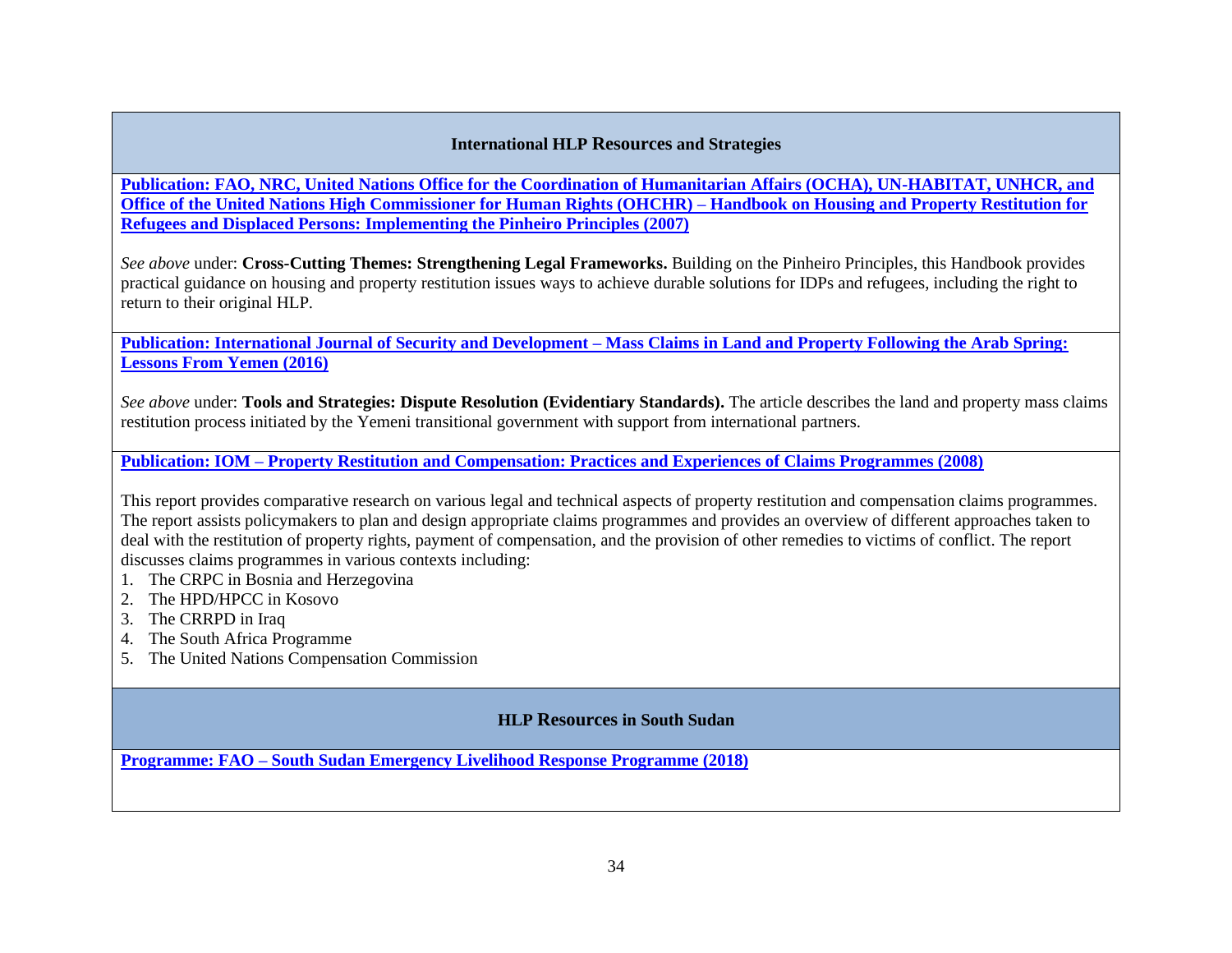#### **International HLP Resources and Strategies**

**[Publication: FAO, NRC, United Nations Office for the Coordination of Humanitarian Affairs \(OCHA\), UN-HABITAT, UNHCR, and](https://www.ohchr.org/Documents/Publications/pinheiro_principles.pdf)  [Office of the United Nations High Commissioner for Human Rights \(OHCHR\) –](https://www.ohchr.org/Documents/Publications/pinheiro_principles.pdf) Handbook on Housing and Property Restitution for Refugees and Displaced Persons: [Implementing the Pinheiro Principles \(2007\)](https://www.ohchr.org/Documents/Publications/pinheiro_principles.pdf)**

*See above* under: **Cross-Cutting Themes: Strengthening Legal Frameworks.** Building on the Pinheiro Principles, this Handbook provides practical guidance on housing and property restitution issues ways to achieve durable solutions for IDPs and refugees, including the right to return to their original HLP.

**[Publication: International Journal of Security and Development –](https://www.stabilityjournal.org/articles/10.5334/sta.444/) Mass Claims in Land and Property Following the Arab Spring: [Lessons From Yemen \(2016\)](https://www.stabilityjournal.org/articles/10.5334/sta.444/)**

*See above* under: **Tools and Strategies: Dispute Resolution (Evidentiary Standards).** The article describes the land and property mass claims restitution process initiated by the Yemeni transitional government with support from international partners.

**Publication: IOM – [Property Restitution and Compensation: Practices and Experiences of Claims Programmes \(2008\)](http://publications.iom.int/system/files/pdf/property_restitution_compensation.pdf)**

This report provides comparative research on various legal and technical aspects of property restitution and compensation claims programmes. The report assists policymakers to plan and design appropriate claims programmes and provides an overview of different approaches taken to deal with the restitution of property rights, payment of compensation, and the provision of other remedies to victims of conflict. The report discusses claims programmes in various contexts including:

- 1. The CRPC in Bosnia and Herzegovina
- 2. The HPD/HPCC in Kosovo
- 3. The CRRPD in Iraq
- 4. The South Africa Programme
- 5. The United Nations Compensation Commission

# **HLP Resources in South Sudan**

**Programme: FAO – [South Sudan Emergency Livelihood Response Programme \(2018\)](http://www.fao.org/3/i9646en/I9646EN.pdf)**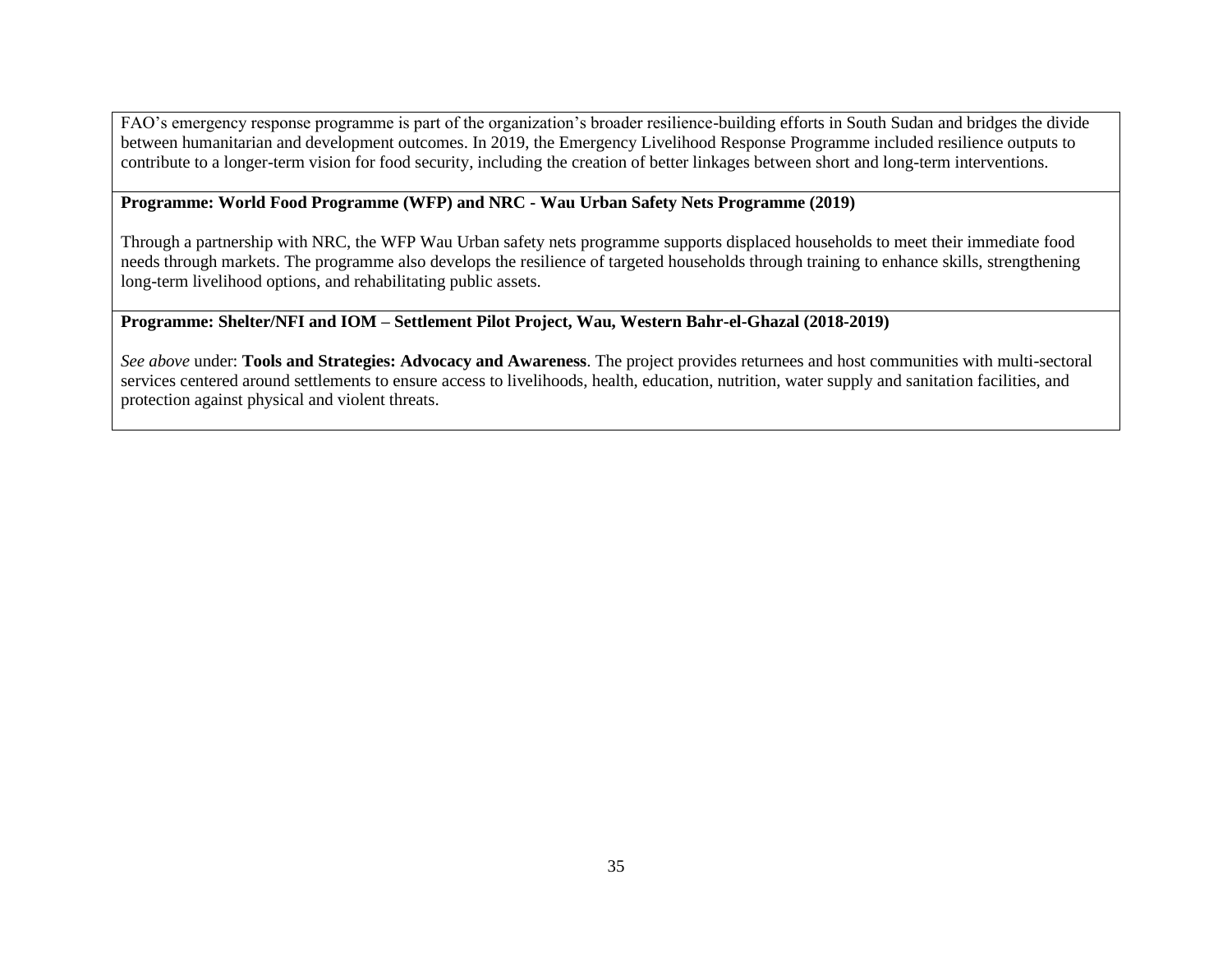FAO's emergency response programme is part of the organization's broader resilience-building efforts in South Sudan and bridges the divide between humanitarian and development outcomes. In 2019, the Emergency Livelihood Response Programme included resilience outputs to contribute to a longer-term vision for food security, including the creation of better linkages between short and long-term interventions.

#### **Programme: World Food Programme (WFP) and NRC - Wau Urban Safety Nets Programme (2019)**

Through a partnership with NRC, the WFP Wau Urban safety nets programme supports displaced households to meet their immediate food needs through markets. The programme also develops the resilience of targeted households through training to enhance skills, strengthening long-term livelihood options, and rehabilitating public assets.

# **Programme: Shelter/NFI and IOM – Settlement Pilot Project, Wau, Western Bahr-el-Ghazal (2018-2019)**

*See above* under: **Tools and Strategies: Advocacy and Awareness**. The project provides returnees and host communities with multi-sectoral services centered around settlements to ensure access to livelihoods, health, education, nutrition, water supply and sanitation facilities, and protection against physical and violent threats.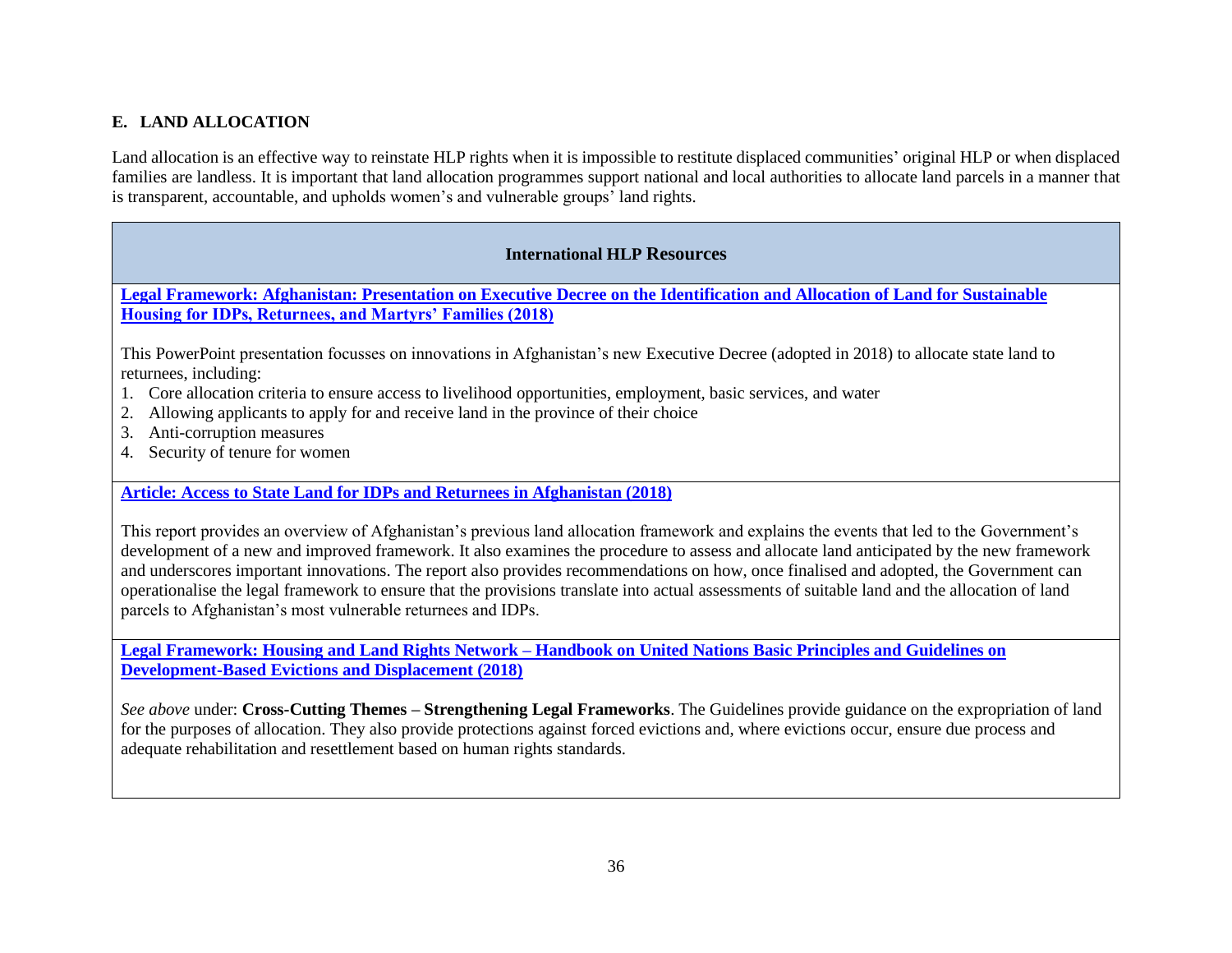# **E. LAND ALLOCATION**

Land allocation is an effective way to reinstate HLP rights when it is impossible to restitute displaced communities' original HLP or when displaced families are landless. It is important that land allocation programmes support national and local authorities to allocate land parcels in a manner that is transparent, accountable, and upholds women's and vulnerable groups' land rights.

#### **International HLP Resources**

**[Legal Framework: Afghanistan: Presentation on Executive Decree on the Identification and Allocation of Land for Sustainable](https://www.conftool.com/landandpoverty2018/index.php/08-03-Sherchan-822_ppt.pdf?page=downloadPaper&filename=08-03-Sherchan-822_ppt.pdf&form_id=822&form_index=2&form_version=final)  [Housing for IDPs, Returnees, and Martyrs' Families \(2018\)](https://www.conftool.com/landandpoverty2018/index.php/08-03-Sherchan-822_ppt.pdf?page=downloadPaper&filename=08-03-Sherchan-822_ppt.pdf&form_id=822&form_index=2&form_version=final)**

This PowerPoint presentation focusses on innovations in Afghanistan's new Executive Decree (adopted in 2018) to allocate state land to returnees, including:

- 1. Core allocation criteria to ensure access to livelihood opportunities, employment, basic services, and water
- 2. Allowing applicants to apply for and receive land in the province of their choice
- 3. Anti-corruption measures
- 4. Security of tenure for women

**[Article: Access to State Land for IDPs and Returnees in Afghanistan \(2018\)](https://www.conftool.com/landandpoverty2018/index.php/08-03-Sherchan-822_paper.pdf?page=downloadPaper&filename=08-03-Sherchan-822_paper.pdf&form_id=822&form_version=final)**

This report provides an overview of Afghanistan's previous land allocation framework and explains the events that led to the Government's development of a new and improved framework. It also examines the procedure to assess and allocate land anticipated by the new framework and underscores important innovations. The report also provides recommendations on how, once finalised and adopted, the Government can operationalise the legal framework to ensure that the provisions translate into actual assessments of suitable land and the allocation of land parcels to Afghanistan's most vulnerable returnees and IDPs.

**Legal Framework: Housing and Land Rights Network – [Handbook on United Nations Basic Principles and Guidelines on](http://hlrn.org.in/documents/Handbook_UN_Guidelines.pdf)  [Development-Based Evictions and Displacement \(2018\)](http://hlrn.org.in/documents/Handbook_UN_Guidelines.pdf)**

*See above* under: **Cross-Cutting Themes – Strengthening Legal Frameworks**. The Guidelines provide guidance on the expropriation of land for the purposes of allocation. They also provide protections against forced evictions and, where evictions occur, ensure due process and adequate rehabilitation and resettlement based on human rights standards.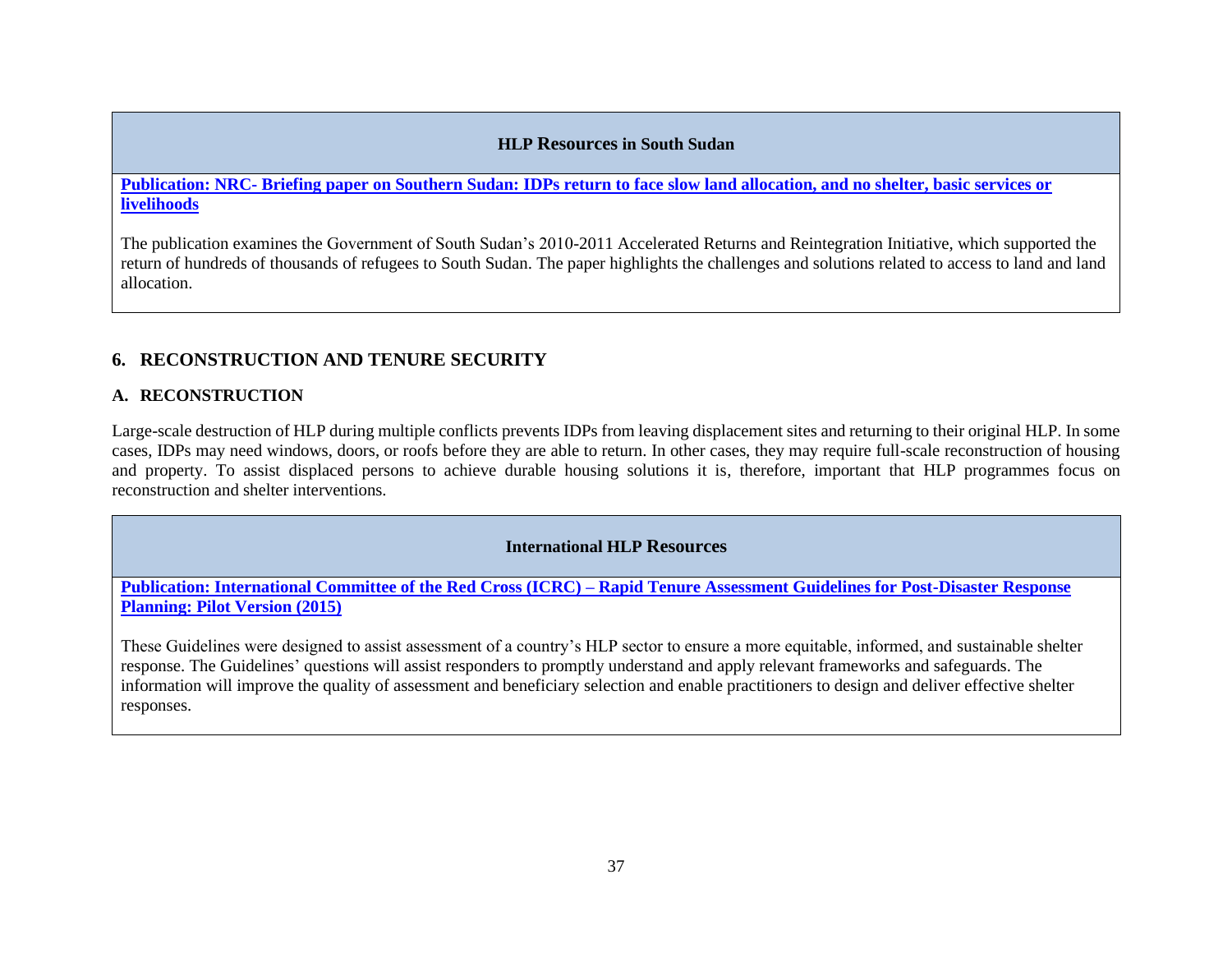#### **HLP Resources in South Sudan**

**Publication: NRC- [Briefing paper on Southern Sudan: IDPs return to face slow land allocation, and no shelter, basic services or](https://reliefweb.int/sites/reliefweb.int/files/resources/F_R_63.pdf)  [livelihoods](https://reliefweb.int/sites/reliefweb.int/files/resources/F_R_63.pdf)** 

The publication examines the Government of South Sudan's 2010-2011 Accelerated Returns and Reintegration Initiative, which supported the return of hundreds of thousands of refugees to South Sudan. The paper highlights the challenges and solutions related to access to land and land allocation.

# **6. RECONSTRUCTION AND TENURE SECURITY**

# **A. RECONSTRUCTION**

Large-scale destruction of HLP during multiple conflicts prevents IDPs from leaving displacement sites and returning to their original HLP. In some cases, IDPs may need windows, doors, or roofs before they are able to return. In other cases, they may require full-scale reconstruction of housing and property. To assist displaced persons to achieve durable housing solutions it is, therefore, important that HLP programmes focus on reconstruction and shelter interventions.

# **International HLP Resources**

**Publication: International Committee of the Red Cross (ICRC) – [Rapid Tenure Assessment Guidelines for Post-Disaster Response](https://www.sheltercluster.org/sites/default/files/docs/english_rapid_tenure_assessment_guidelines.pdf)  [Planning: Pilot Version \(2015\)](https://www.sheltercluster.org/sites/default/files/docs/english_rapid_tenure_assessment_guidelines.pdf)** 

These Guidelines were designed to assist assessment of a country's HLP sector to ensure a more equitable, informed, and sustainable shelter response. The Guidelines' questions will assist responders to promptly understand and apply relevant frameworks and safeguards. The information will improve the quality of assessment and beneficiary selection and enable practitioners to design and deliver effective shelter responses.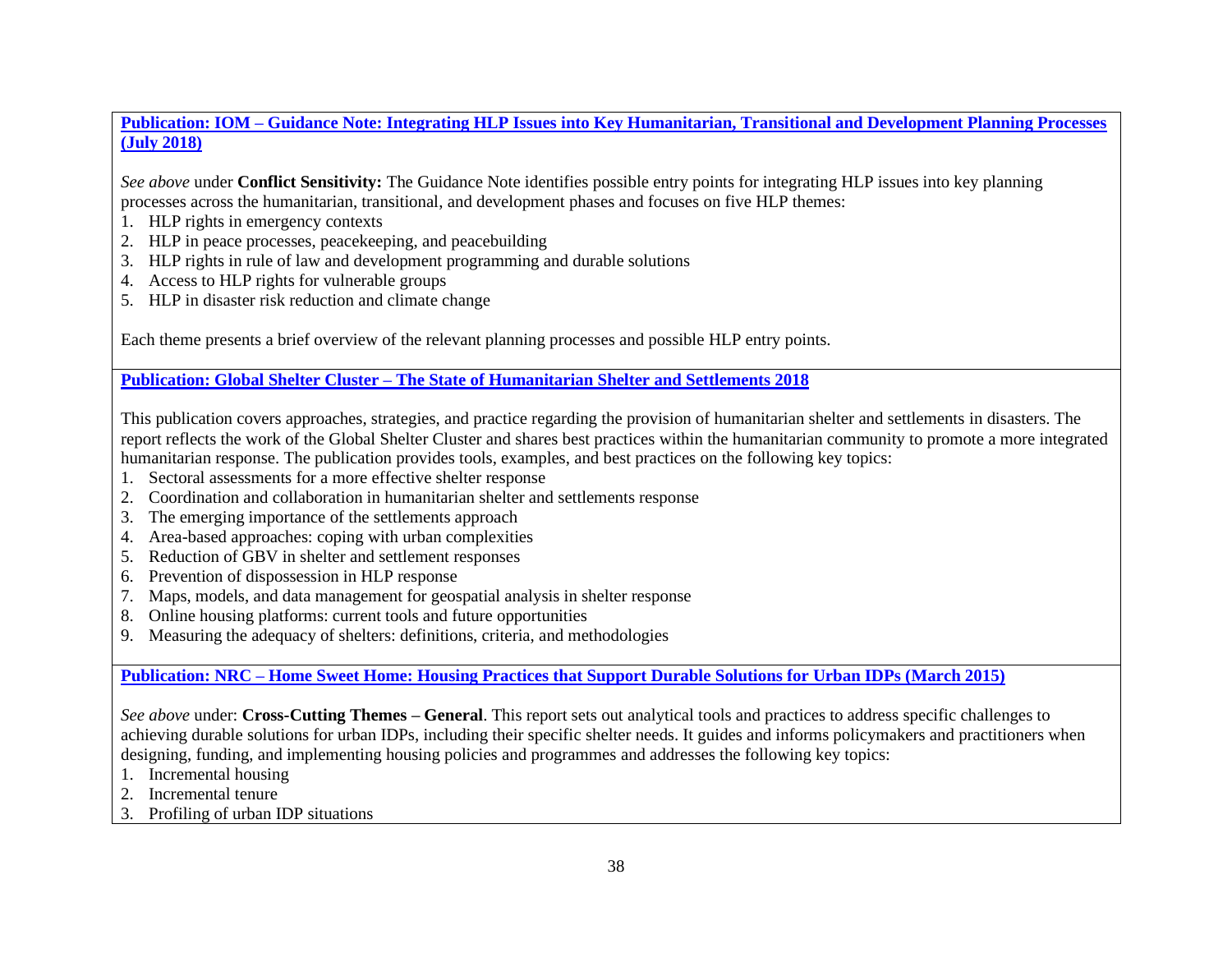**Publication: IOM – [Guidance Note: Integrating HLP Issues into Key Humanitarian, Transitional and Development Planning Processes](https://publications.iom.int/books/guidance-note-integrating-housing-land-and-property-issues-key-humanitarian-transitional-and)  [\(July 2018\)](https://publications.iom.int/books/guidance-note-integrating-housing-land-and-property-issues-key-humanitarian-transitional-and)**

*See above* under **Conflict Sensitivity:** The Guidance Note identifies possible entry points for integrating HLP issues into key planning processes across the humanitarian, transitional, and development phases and focuses on five HLP themes:

- 1. HLP rights in emergency contexts
- 2. HLP in peace processes, peacekeeping, and peacebuilding
- 3. HLP rights in rule of law and development programming and durable solutions
- 4. Access to HLP rights for vulnerable groups
- 5. HLP in disaster risk reduction and climate change

Each theme presents a brief overview of the relevant planning processes and possible HLP entry points.

**Publication: Global Shelter Cluster – [The State of Humanitarian Shelter and Settlements 2018](https://www.sheltercluster.org/sites/default/files/The%20State%20of%20Humanitarian%20Shelter%20and%20Settlements%202018.pdf)**

This publication covers approaches, strategies, and practice regarding the provision of humanitarian shelter and settlements in disasters. The report reflects the work of the Global Shelter Cluster and shares best practices within the humanitarian community to promote a more integrated humanitarian response. The publication provides tools, examples, and best practices on the following key topics:

- 1. Sectoral assessments for a more effective shelter response
- 2. Coordination and collaboration in humanitarian shelter and settlements response
- 3. The emerging importance of the settlements approach
- 4. Area-based approaches: coping with urban complexities
- 5. Reduction of GBV in shelter and settlement responses
- 6. Prevention of dispossession in HLP response
- 7. Maps, models, and data management for geospatial analysis in shelter response
- 8. Online housing platforms: current tools and future opportunities
- 9. Measuring the adequacy of shelters: definitions, criteria, and methodologies

**Publication: NRC – [Home Sweet Home: Housing Practices that Support Durable Solutions for Urban IDPs \(March 2015\)](http://www.internal-displacement.org/sites/default/files/inline-files/20150325-global-home-sweet-home-en-full-report.pdf)**

*See above* under: **Cross-Cutting Themes – General**. This report sets out analytical tools and practices to address specific challenges to achieving durable solutions for urban IDPs, including their specific shelter needs. It guides and informs policymakers and practitioners when designing, funding, and implementing housing policies and programmes and addresses the following key topics:

- 1. Incremental housing
- 2. Incremental tenure
- 3. Profiling of urban IDP situations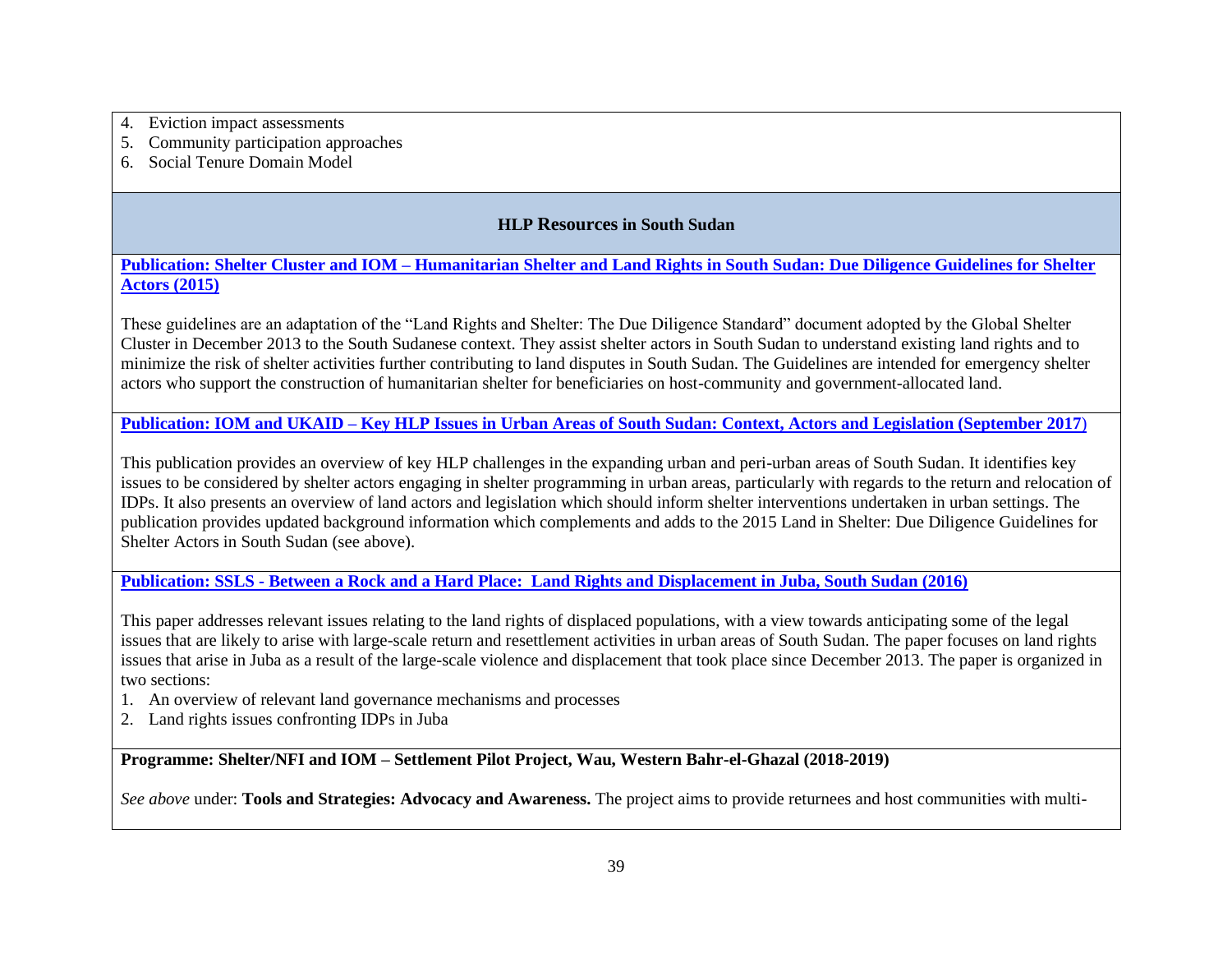- 4. Eviction impact assessments
- 5. Community participation approaches
- 6. Social Tenure Domain Model

# **HLP Resources in South Sudan**

**Publication: Shelter Cluster and IOM – [Humanitarian Shelter and Land Rights in South Sudan: Due Diligence Guidelines for Shelter](https://www.sheltercluster.org/south-sudan/documents/land-rights-and-shelter-south-sudan)  [Actors \(2015\)](https://www.sheltercluster.org/south-sudan/documents/land-rights-and-shelter-south-sudan)**

These guidelines are an adaptation of the "Land Rights and Shelter: The Due Diligence Standard" document adopted by the Global Shelter Cluster in December 2013 to the South Sudanese context. They assist shelter actors in South Sudan to understand existing land rights and to minimize the risk of shelter activities further contributing to land disputes in South Sudan. The Guidelines are intended for emergency shelter actors who support the construction of humanitarian shelter for beneficiaries on host-community and government-allocated land.

**Publication: IOM and UKAID – [Key HLP Issues in Urban Areas of South Sudan: Context, Actors and Legislation \(September](https://www.sheltercluster.org/sites/default/files/docs/key_housing_land_and_property_hlp_issues_in_urban_areas_of_south_sudan_.pdf) 2017**)

This publication provides an overview of key HLP challenges in the expanding urban and peri-urban areas of South Sudan. It identifies key issues to be considered by shelter actors engaging in shelter programming in urban areas, particularly with regards to the return and relocation of IDPs. It also presents an overview of land actors and legislation which should inform shelter interventions undertaken in urban settings. The publication provides updated background information which complements and adds to the 2015 Land in Shelter: Due Diligence Guidelines for Shelter Actors in South Sudan (see above).

**Publication: SSLS - [Between a Rock and a Hard Place: Land Rights and Displacement in Juba, South Sudan \(2016\)](http://land.igad.int/index.php/documents-1/countries/south-sudan/gender-5/979-between-a-rock-and-a-hard-place-land-rights-and-displacement-in-juba-south-sudan-2016/file)**

This paper addresses relevant issues relating to the land rights of displaced populations, with a view towards anticipating some of the legal issues that are likely to arise with large-scale return and resettlement activities in urban areas of South Sudan. The paper focuses on land rights issues that arise in Juba as a result of the large-scale violence and displacement that took place since December 2013. The paper is organized in two sections:

- 1. An overview of relevant land governance mechanisms and processes
- 2. Land rights issues confronting IDPs in Juba

**Programme: Shelter/NFI and IOM – Settlement Pilot Project, Wau, Western Bahr-el-Ghazal (2018-2019)**

*See above* under: **Tools and Strategies: Advocacy and Awareness.** The project aims to provide returnees and host communities with multi-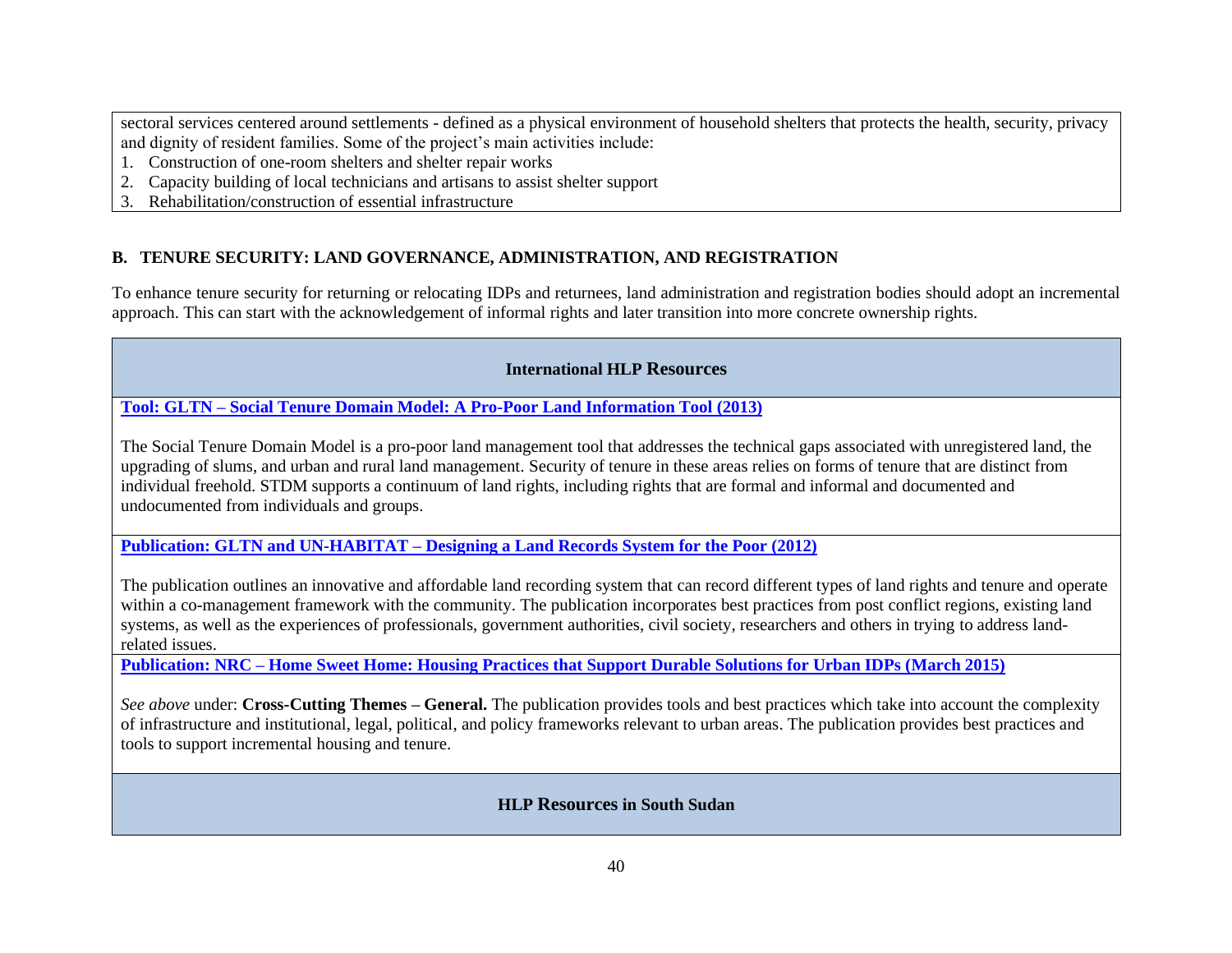sectoral services centered around settlements - defined as a physical environment of household shelters that protects the health, security, privacy and dignity of resident families. Some of the project's main activities include:

- 1. Construction of one-room shelters and shelter repair works
- 2. Capacity building of local technicians and artisans to assist shelter support
- 3. Rehabilitation/construction of essential infrastructure

# **B. TENURE SECURITY: LAND GOVERNANCE, ADMINISTRATION, AND REGISTRATION**

To enhance tenure security for returning or relocating IDPs and returnees, land administration and registration bodies should adopt an incremental approach. This can start with the acknowledgement of informal rights and later transition into more concrete ownership rights.

# **International HLP Resources**

**Tool: GLTN – [Social Tenure Domain Model: A Pro-Poor Land Information Tool \(2013\)](https://stdm.gltn.net/)**

The Social Tenure Domain Model is a pro-poor land management tool that addresses the technical gaps associated with unregistered land, the upgrading of slums, and urban and rural land management. Security of tenure in these areas relies on forms of tenure that are distinct from individual freehold. STDM supports a continuum of land rights, including rights that are formal and informal and documented and undocumented from individuals and groups.

**Publication: GLTN and UN-HABITAT – [Designing a Land Records System for the Poor \(2012\)](https://www.stdm.gltn.net/docs/Designing-a-Land-Records-System-for-The-Poor.pdf)**

The publication outlines an innovative and affordable land recording system that can record different types of land rights and tenure and operate within a co-management framework with the community. The publication incorporates best practices from post conflict regions, existing land systems, as well as the experiences of professionals, government authorities, civil society, researchers and others in trying to address landrelated issues.

**Publication: NRC – [Home Sweet Home: Housing Practices that Support Durable Solutions for Urban IDPs \(March 2015\)](http://www.internal-displacement.org/sites/default/files/inline-files/20150325-global-home-sweet-home-en-full-report.pdf)**

*See above* under: **Cross-Cutting Themes – General.** The publication provides tools and best practices which take into account the complexity of infrastructure and institutional, legal, political, and policy frameworks relevant to urban areas. The publication provides best practices and tools to support incremental housing and tenure.

# **HLP Resources in South Sudan**